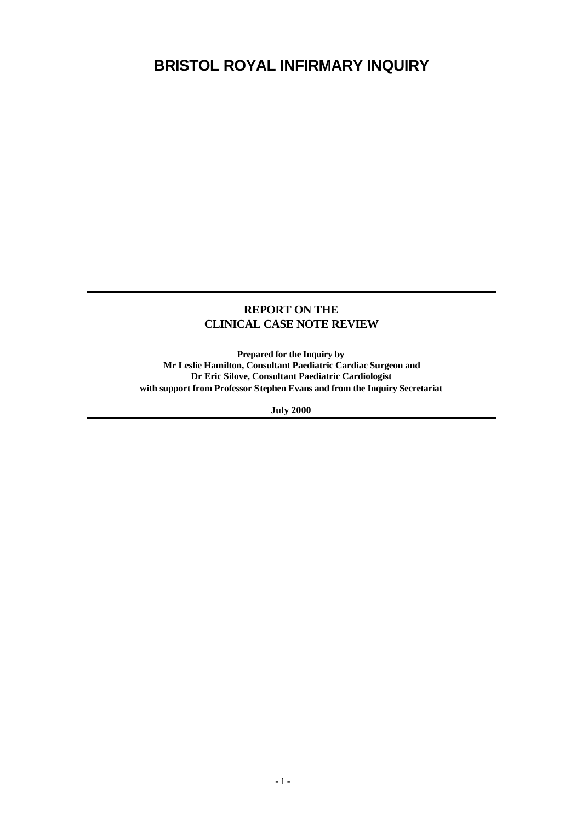# **BRISTOL ROYAL INFIRMARY INQUIRY**

## **REPORT ON THE CLINICAL CASE NOTE REVIEW**

**Prepared for the Inquiry by Mr Leslie Hamilton, Consultant Paediatric Cardiac Surgeon and Dr Eric Silove, Consultant Paediatric Cardiologist with support from Professor Stephen Evans and from the Inquiry Secretariat**

**July 2000**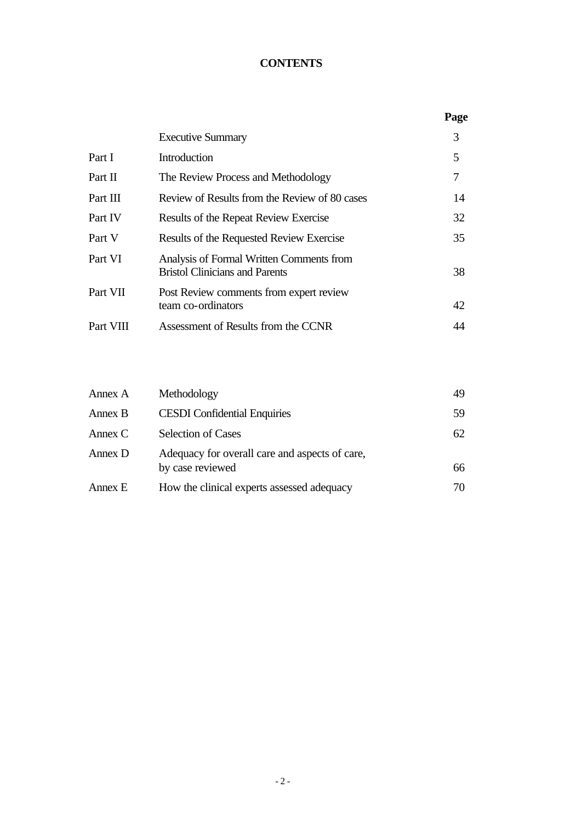# **CONTENTS**

|           |                                                                                   | Page |
|-----------|-----------------------------------------------------------------------------------|------|
|           | <b>Executive Summary</b>                                                          | 3    |
| Part I    | Introduction                                                                      | 5    |
| Part II   | The Review Process and Methodology                                                | 7    |
| Part III  | Review of Results from the Review of 80 cases                                     | 14   |
| Part IV   | Results of the Repeat Review Exercise                                             | 32   |
| Part V    | Results of the Requested Review Exercise                                          | 35   |
| Part VI   | Analysis of Formal Written Comments from<br><b>Bristol Clinicians and Parents</b> | 38   |
| Part VII  | Post Review comments from expert review<br>team co-ordinators                     | 42   |
| Part VIII | Assessment of Results from the CCNR                                               |      |
|           |                                                                                   |      |

| Annex A | Methodology                                                        | 49 |
|---------|--------------------------------------------------------------------|----|
| Annex B | <b>CESDI</b> Confidential Enquiries                                | 59 |
| Annex C | <b>Selection of Cases</b>                                          | 62 |
| Annex D | Adequacy for overall care and aspects of care,<br>by case reviewed | 66 |
| Annex E | How the clinical experts assessed adequacy                         | 70 |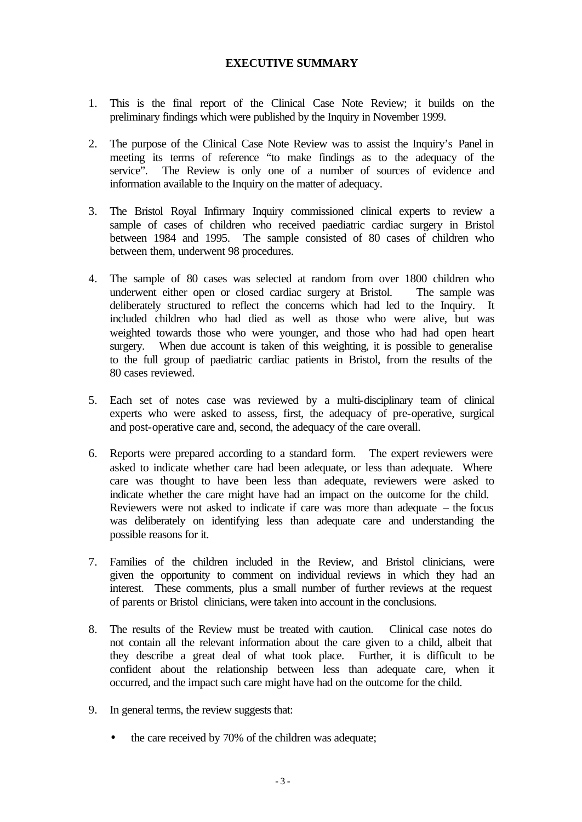## **EXECUTIVE SUMMARY**

- 1. This is the final report of the Clinical Case Note Review; it builds on the preliminary findings which were published by the Inquiry in November 1999.
- 2. The purpose of the Clinical Case Note Review was to assist the Inquiry's Panel in meeting its terms of reference "to make findings as to the adequacy of the service". The Review is only one of a number of sources of evidence and information available to the Inquiry on the matter of adequacy.
- 3. The Bristol Royal Infirmary Inquiry commissioned clinical experts to review a sample of cases of children who received paediatric cardiac surgery in Bristol between 1984 and 1995. The sample consisted of 80 cases of children who between them, underwent 98 procedures.
- 4. The sample of 80 cases was selected at random from over 1800 children who underwent either open or closed cardiac surgery at Bristol. The sample was deliberately structured to reflect the concerns which had led to the Inquiry. It included children who had died as well as those who were alive, but was weighted towards those who were younger, and those who had had open heart surgery. When due account is taken of this weighting, it is possible to generalise to the full group of paediatric cardiac patients in Bristol, from the results of the 80 cases reviewed.
- 5. Each set of notes case was reviewed by a multi-disciplinary team of clinical experts who were asked to assess, first, the adequacy of pre-operative, surgical and post-operative care and, second, the adequacy of the care overall.
- 6. Reports were prepared according to a standard form. The expert reviewers were asked to indicate whether care had been adequate, or less than adequate. Where care was thought to have been less than adequate, reviewers were asked to indicate whether the care might have had an impact on the outcome for the child. Reviewers were not asked to indicate if care was more than adequate – the focus was deliberately on identifying less than adequate care and understanding the possible reasons for it.
- 7. Families of the children included in the Review, and Bristol clinicians, were given the opportunity to comment on individual reviews in which they had an interest. These comments, plus a small number of further reviews at the request of parents or Bristol clinicians, were taken into account in the conclusions.
- 8. The results of the Review must be treated with caution. Clinical case notes do not contain all the relevant information about the care given to a child, albeit that they describe a great deal of what took place. Further, it is difficult to be confident about the relationship between less than adequate care, when it occurred, and the impact such care might have had on the outcome for the child.
- 9. In general terms, the review suggests that:
	- the care received by 70% of the children was adequate;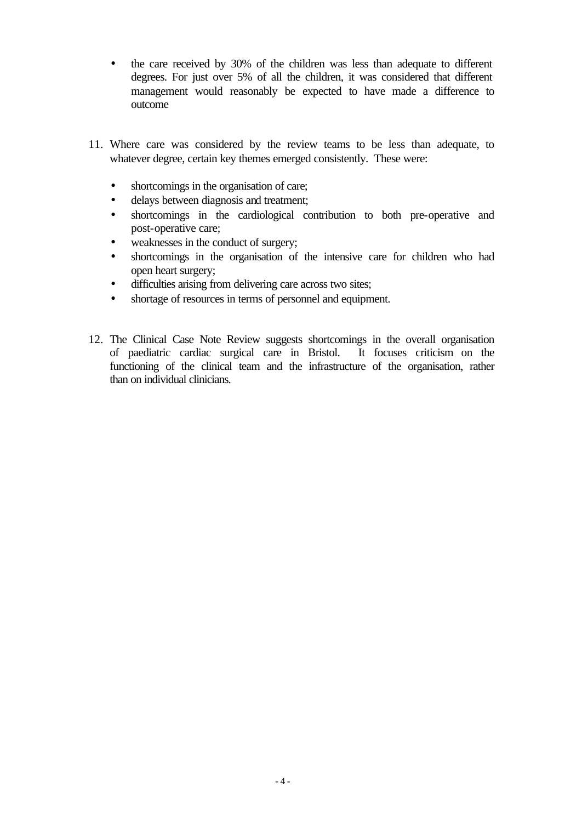- the care received by 30% of the children was less than adequate to different degrees. For just over 5% of all the children, it was considered that different management would reasonably be expected to have made a difference to outcome
- 11. Where care was considered by the review teams to be less than adequate, to whatever degree, certain key themes emerged consistently. These were:
	- shortcomings in the organisation of care;
	- delays between diagnosis and treatment;
	- shortcomings in the cardiological contribution to both pre-operative and post-operative care;
	- weaknesses in the conduct of surgery;
	- shortcomings in the organisation of the intensive care for children who had open heart surgery;
	- difficulties arising from delivering care across two sites;
	- shortage of resources in terms of personnel and equipment.
- 12. The Clinical Case Note Review suggests shortcomings in the overall organisation of paediatric cardiac surgical care in Bristol. It focuses criticism on the functioning of the clinical team and the infrastructure of the organisation, rather than on individual clinicians.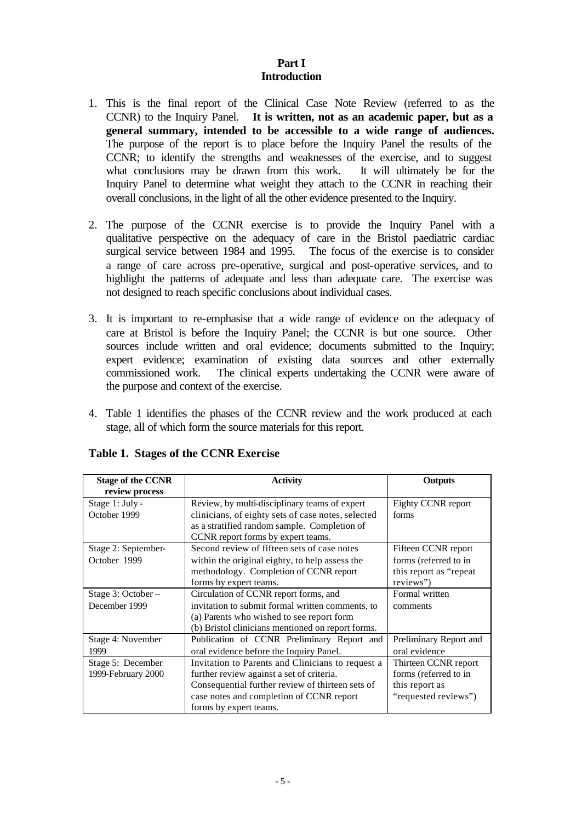# **Part I Introduction**

- 1. This is the final report of the Clinical Case Note Review (referred to as the CCNR) to the Inquiry Panel. **It is written, not as an academic paper, but as a general summary, intended to be accessible to a wide range of audiences.**  The purpose of the report is to place before the Inquiry Panel the results of the CCNR; to identify the strengths and weaknesses of the exercise, and to suggest what conclusions may be drawn from this work. It will ultimately be for the Inquiry Panel to determine what weight they attach to the CCNR in reaching their overall conclusions, in the light of all the other evidence presented to the Inquiry.
- 2. The purpose of the CCNR exercise is to provide the Inquiry Panel with a qualitative perspective on the adequacy of care in the Bristol paediatric cardiac surgical service between 1984 and 1995. The focus of the exercise is to consider a range of care across pre-operative, surgical and post-operative services, and to highlight the patterns of adequate and less than adequate care. The exercise was not designed to reach specific conclusions about individual cases.
- 3. It is important to re-emphasise that a wide range of evidence on the adequacy of care at Bristol is before the Inquiry Panel; the CCNR is but one source. Other sources include written and oral evidence; documents submitted to the Inquiry; expert evidence; examination of existing data sources and other externally commissioned work. The clinical experts undertaking the CCNR were aware of the purpose and context of the exercise.
- 4. Table 1 identifies the phases of the CCNR review and the work produced at each stage, all of which form the source materials for this report.

| <b>Stage of the CCNR</b><br>review process | <b>Activity</b>                                                                                                                                                                                                          | Outputs                                                                                 |
|--------------------------------------------|--------------------------------------------------------------------------------------------------------------------------------------------------------------------------------------------------------------------------|-----------------------------------------------------------------------------------------|
| Stage 1: July -<br>October 1999            | Review, by multi-disciplinary teams of expert<br>clinicians, of eighty sets of case notes, selected<br>as a stratified random sample. Completion of<br>CCNR report forms by expert teams.                                | Eighty CCNR report<br>forms                                                             |
| Stage 2: September-<br>October 1999        | Second review of fifteen sets of case notes<br>within the original eighty, to help assess the<br>methodology. Completion of CCNR report<br>forms by expert teams.                                                        | Fifteen CCNR report<br>forms (referred to in<br>this report as "repeat<br>reviews")     |
| Stage 3: October -<br>December 1999        | Circulation of CCNR report forms, and<br>invitation to submit formal written comments, to<br>(a) Parents who wished to see report form<br>(b) Bristol clinicians mentioned on report forms.                              | Formal written<br>comments                                                              |
| Stage 4: November<br>1999                  | Publication of CCNR Preliminary Report and<br>oral evidence before the Inquiry Panel.                                                                                                                                    | Preliminary Report and<br>oral evidence                                                 |
| Stage 5: December<br>1999-February 2000    | Invitation to Parents and Clinicians to request a<br>further review against a set of criteria.<br>Consequential further review of thirteen sets of<br>case notes and completion of CCNR report<br>forms by expert teams. | Thirteen CCNR report<br>forms (referred to in<br>this report as<br>"requested reviews") |

#### **Table 1. Stages of the CCNR Exercise**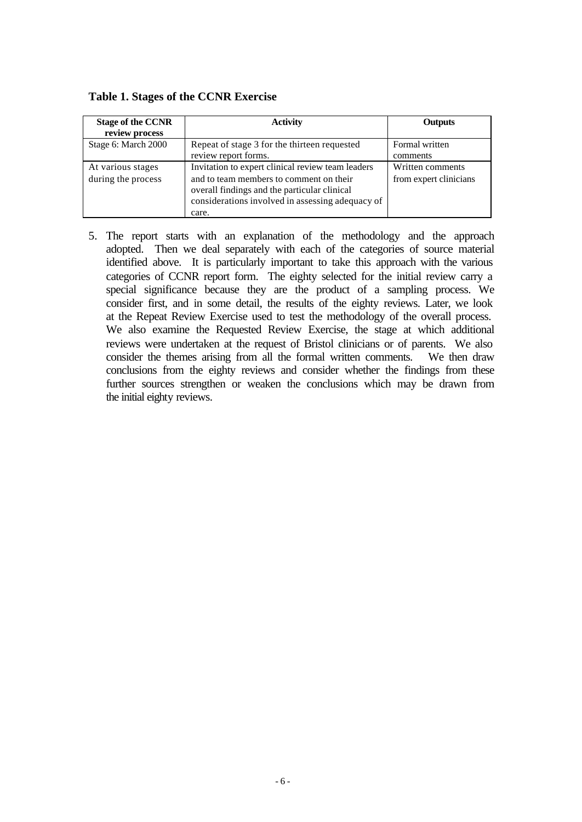| <b>Stage of the CCNR</b><br>review process | <b>Activity</b>                                                                                                                                                                                           | Outputs                                    |
|--------------------------------------------|-----------------------------------------------------------------------------------------------------------------------------------------------------------------------------------------------------------|--------------------------------------------|
| Stage 6: March 2000                        | Repeat of stage 3 for the thirteen requested<br>review report forms.                                                                                                                                      | Formal written<br>comments                 |
| At various stages<br>during the process    | Invitation to expert clinical review team leaders<br>and to team members to comment on their<br>overall findings and the particular clinical<br>considerations involved in assessing adequacy of<br>care. | Written comments<br>from expert clinicians |

**Table 1. Stages of the CCNR Exercise**

5. The report starts with an explanation of the methodology and the approach adopted. Then we deal separately with each of the categories of source material identified above. It is particularly important to take this approach with the various categories of CCNR report form. The eighty selected for the initial review carry a special significance because they are the product of a sampling process. We consider first, and in some detail, the results of the eighty reviews. Later, we look at the Repeat Review Exercise used to test the methodology of the overall process. We also examine the Requested Review Exercise, the stage at which additional reviews were undertaken at the request of Bristol clinicians or of parents. We also consider the themes arising from all the formal written comments. We then draw conclusions from the eighty reviews and consider whether the findings from these further sources strengthen or weaken the conclusions which may be drawn from the initial eighty reviews.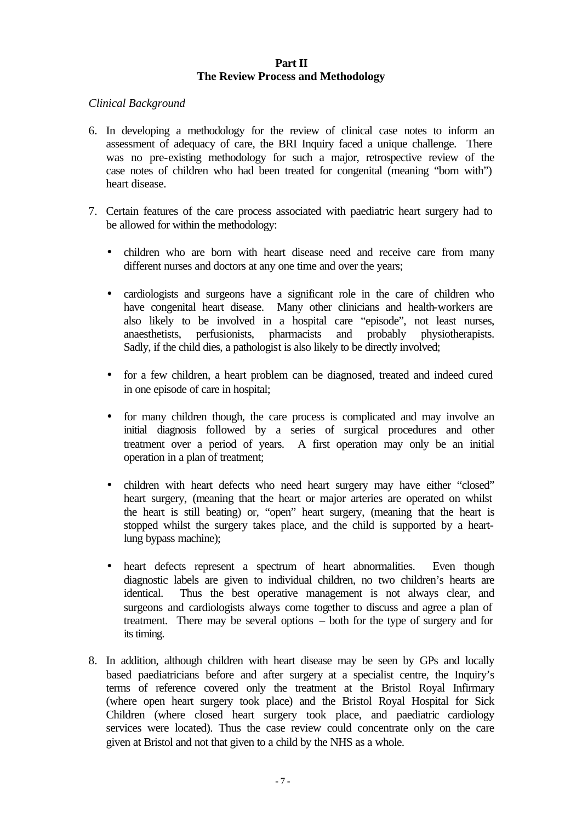#### **Part II The Review Process and Methodology**

## *Clinical Background*

- 6. In developing a methodology for the review of clinical case notes to inform an assessment of adequacy of care, the BRI Inquiry faced a unique challenge. There was no pre-existing methodology for such a major, retrospective review of the case notes of children who had been treated for congenital (meaning "born with") heart disease.
- 7. Certain features of the care process associated with paediatric heart surgery had to be allowed for within the methodology:
	- children who are born with heart disease need and receive care from many different nurses and doctors at any one time and over the years;
	- cardiologists and surgeons have a significant role in the care of children who have congenital heart disease. Many other clinicians and health-workers are also likely to be involved in a hospital care "episode", not least nurses, anaesthetists, perfusionists, pharmacists and probably physiotherapists. Sadly, if the child dies, a pathologist is also likely to be directly involved;
	- for a few children, a heart problem can be diagnosed, treated and indeed cured in one episode of care in hospital;
	- for many children though, the care process is complicated and may involve an initial diagnosis followed by a series of surgical procedures and other treatment over a period of years. A first operation may only be an initial operation in a plan of treatment;
	- children with heart defects who need heart surgery may have either "closed" heart surgery, (meaning that the heart or major arteries are operated on whilst the heart is still beating) or, "open" heart surgery, (meaning that the heart is stopped whilst the surgery takes place, and the child is supported by a heartlung bypass machine);
	- heart defects represent a spectrum of heart abnormalities. Even though diagnostic labels are given to individual children, no two children's hearts are identical. Thus the best operative management is not always clear, and surgeons and cardiologists always come together to discuss and agree a plan of treatment. There may be several options – both for the type of surgery and for its timing.
- 8. In addition, although children with heart disease may be seen by GPs and locally based paediatricians before and after surgery at a specialist centre, the Inquiry's terms of reference covered only the treatment at the Bristol Royal Infirmary (where open heart surgery took place) and the Bristol Royal Hospital for Sick Children (where closed heart surgery took place, and paediatric cardiology services were located). Thus the case review could concentrate only on the care given at Bristol and not that given to a child by the NHS as a whole.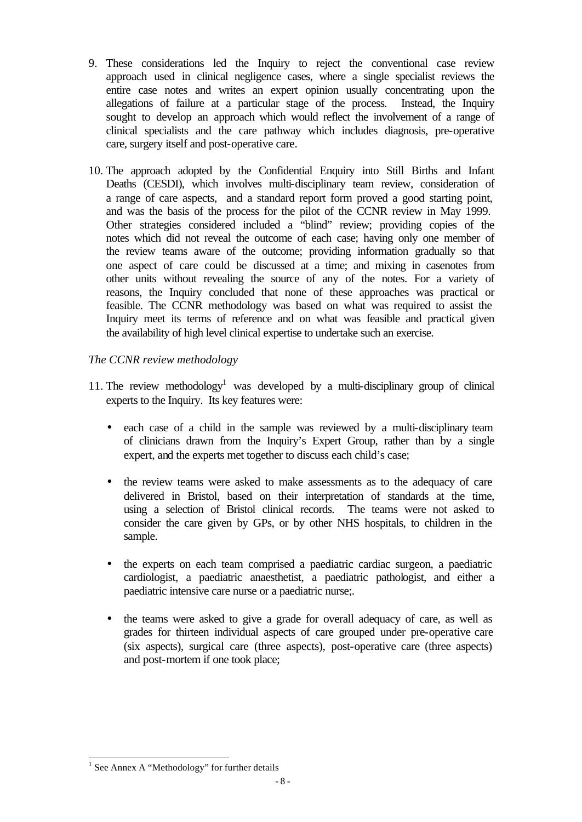- 9. These considerations led the Inquiry to reject the conventional case review approach used in clinical negligence cases, where a single specialist reviews the entire case notes and writes an expert opinion usually concentrating upon the allegations of failure at a particular stage of the process. Instead, the Inquiry sought to develop an approach which would reflect the involvement of a range of clinical specialists and the care pathway which includes diagnosis, pre-operative care, surgery itself and post-operative care.
- 10. The approach adopted by the Confidential Enquiry into Still Births and Infant Deaths (CESDI), which involves multi-disciplinary team review, consideration of a range of care aspects, and a standard report form proved a good starting point, and was the basis of the process for the pilot of the CCNR review in May 1999. Other strategies considered included a "blind" review; providing copies of the notes which did not reveal the outcome of each case; having only one member of the review teams aware of the outcome; providing information gradually so that one aspect of care could be discussed at a time; and mixing in casenotes from other units without revealing the source of any of the notes. For a variety of reasons, the Inquiry concluded that none of these approaches was practical or feasible. The CCNR methodology was based on what was required to assist the Inquiry meet its terms of reference and on what was feasible and practical given the availability of high level clinical expertise to undertake such an exercise.

# *The CCNR review methodology*

- 11. The review methodology<sup>1</sup> was developed by a multi-disciplinary group of clinical experts to the Inquiry. Its key features were:
	- each case of a child in the sample was reviewed by a multi-disciplinary team of clinicians drawn from the Inquiry's Expert Group, rather than by a single expert, and the experts met together to discuss each child's case;
	- the review teams were asked to make assessments as to the adequacy of care delivered in Bristol, based on their interpretation of standards at the time, using a selection of Bristol clinical records. The teams were not asked to consider the care given by GPs, or by other NHS hospitals, to children in the sample.
	- the experts on each team comprised a paediatric cardiac surgeon, a paediatric cardiologist, a paediatric anaesthetist, a paediatric pathologist, and either a paediatric intensive care nurse or a paediatric nurse;.
	- the teams were asked to give a grade for overall adequacy of care, as well as grades for thirteen individual aspects of care grouped under pre-operative care (six aspects), surgical care (three aspects), post-operative care (three aspects) and post-mortem if one took place;

l

<sup>&</sup>lt;sup>1</sup> See Annex A "Methodology" for further details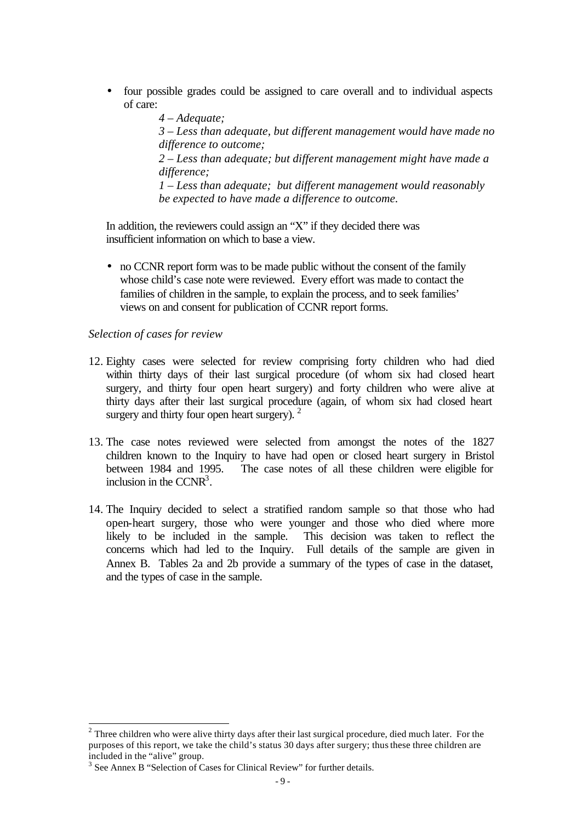• four possible grades could be assigned to care overall and to individual aspects of care:

> *4 – Adequate; 3 – Less than adequate, but different management would have made no difference to outcome; 2 – Less than adequate; but different management might have made a difference; 1 – Less than adequate; but different management would reasonably be expected to have made a difference to outcome.*

In addition, the reviewers could assign an "X" if they decided there was insufficient information on which to base a view.

• no CCNR report form was to be made public without the consent of the family whose child's case note were reviewed. Every effort was made to contact the families of children in the sample, to explain the process, and to seek families' views on and consent for publication of CCNR report forms.

#### *Selection of cases for review*

l

- 12. Eighty cases were selected for review comprising forty children who had died within thirty days of their last surgical procedure (of whom six had closed heart surgery, and thirty four open heart surgery) and forty children who were alive at thirty days after their last surgical procedure (again, of whom six had closed heart surgery and thirty four open heart surgery).  $2$
- 13. The case notes reviewed were selected from amongst the notes of the 1827 children known to the Inquiry to have had open or closed heart surgery in Bristol between 1984 and 1995. The case notes of all these children were eligible for inclusion in the CCNR<sup>3</sup>.
- 14. The Inquiry decided to select a stratified random sample so that those who had open-heart surgery, those who were younger and those who died where more likely to be included in the sample. This decision was taken to reflect the concerns which had led to the Inquiry. Full details of the sample are given in Annex B. Tables 2a and 2b provide a summary of the types of case in the dataset, and the types of case in the sample.

 $2$  Three children who were alive thirty days after their last surgical procedure, died much later. For the purposes of this report, we take the child's status 30 days after surgery; thus these three children are included in the "alive" group.

<sup>&</sup>lt;sup>3</sup> See Annex B "Selection of Cases for Clinical Review" for further details.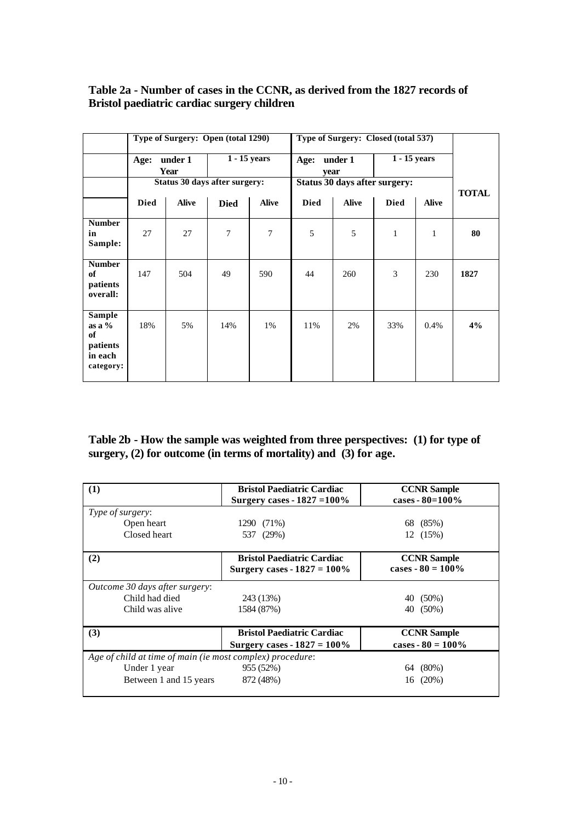# **Table 2a - Number of cases in the CCNR, as derived from the 1827 records of Bristol paediatric cardiac surgery children***.*

|                                                                                          |             | Type of Surgery: Open (total 1290)   |             |                |              |                               | Type of Surgery: Closed (total 537) |              |              |
|------------------------------------------------------------------------------------------|-------------|--------------------------------------|-------------|----------------|--------------|-------------------------------|-------------------------------------|--------------|--------------|
|                                                                                          | Age:        | under 1<br>Year                      |             | $1 - 15$ years | Age:<br>year | under 1                       | 1 - 15 years                        |              |              |
|                                                                                          |             | <b>Status 30 days after surgery:</b> |             |                |              | Status 30 days after surgery: |                                     |              | <b>TOTAL</b> |
|                                                                                          | <b>Died</b> | <b>Alive</b>                         | <b>Died</b> | <b>Alive</b>   | <b>Died</b>  | <b>Alive</b>                  | <b>Died</b>                         | <b>Alive</b> |              |
| <b>Number</b><br>in<br>Sample:                                                           | 27          | 27                                   | 7           | $\overline{7}$ | 5            | 5                             | $\mathbf{1}$                        | 1            | 80           |
| <b>Number</b><br>of<br>patients<br>overall:                                              | 147         | 504                                  | 49          | 590            | 44           | 260                           | 3                                   | 230          | 1827         |
| Sample<br>$\mathbf{a} \mathbf{s} \mathbf{a}$ %<br>of<br>patients<br>in each<br>category: | 18%         | 5%                                   | 14%         | 1%             | 11%          | 2%                            | 33%                                 | 0.4%         | 4%           |

## **Table 2b - How the sample was weighted from three perspectives: (1) for type of surgery, (2) for outcome (in terms of mortality) and (3) for age.**

| (1)                                                       | <b>Bristol Paediatric Cardiac</b>                                   | <b>CCNR</b> Sample                        |  |  |  |
|-----------------------------------------------------------|---------------------------------------------------------------------|-------------------------------------------|--|--|--|
|                                                           | Surgery cases - $1827 = 100\%$                                      | cases - $80=100%$                         |  |  |  |
| Type of surgery:                                          |                                                                     |                                           |  |  |  |
| Open heart                                                | 1290 (71%)                                                          | (85%)<br>68                               |  |  |  |
| Closed heart                                              | 537 (29%)                                                           | 12 (15%)                                  |  |  |  |
| (2)                                                       | <b>Bristol Paediatric Cardiac</b><br>Surgery cases - $1827 = 100\%$ | <b>CCNR</b> Sample<br>cases $-80 = 100\%$ |  |  |  |
| <i>Outcome 30 days after surgery:</i>                     |                                                                     |                                           |  |  |  |
| Child had died                                            | 243 (13%)                                                           | $(50\%)$<br>40                            |  |  |  |
| Child was alive                                           | 1584 (87%)                                                          | $(50\%)$<br>40                            |  |  |  |
| (3)                                                       | <b>Bristol Paediatric Cardiac</b>                                   | <b>CCNR</b> Sample                        |  |  |  |
|                                                           | Surgery cases - $1827 = 100\%$                                      | cases - $80 = 100\%$                      |  |  |  |
| Age of child at time of main (ie most complex) procedure: |                                                                     |                                           |  |  |  |
| Under 1 year                                              | 955 (52%)                                                           | $(80\%)$<br>64                            |  |  |  |
| Between 1 and 15 years                                    | 872 (48%)                                                           | $(20\%)$<br>16                            |  |  |  |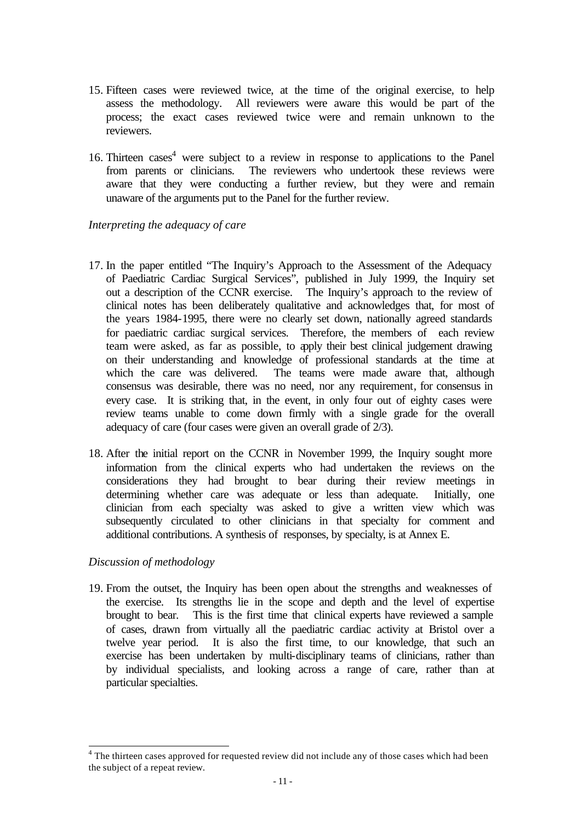- 15. Fifteen cases were reviewed twice, at the time of the original exercise, to help assess the methodology. All reviewers were aware this would be part of the process; the exact cases reviewed twice were and remain unknown to the reviewers.
- 16. Thirteen cases<sup>4</sup> were subject to a review in response to applications to the Panel from parents or clinicians. The reviewers who undertook these reviews were aware that they were conducting a further review, but they were and remain unaware of the arguments put to the Panel for the further review.

*Interpreting the adequacy of care*

- 17. In the paper entitled "The Inquiry's Approach to the Assessment of the Adequacy of Paediatric Cardiac Surgical Services", published in July 1999, the Inquiry set out a description of the CCNR exercise. The Inquiry's approach to the review of clinical notes has been deliberately qualitative and acknowledges that, for most of the years 1984-1995, there were no clearly set down, nationally agreed standards for paediatric cardiac surgical services. Therefore, the members of each review team were asked, as far as possible, to apply their best clinical judgement drawing on their understanding and knowledge of professional standards at the time at which the care was delivered. The teams were made aware that, although consensus was desirable, there was no need, nor any requirement, for consensus in every case. It is striking that, in the event, in only four out of eighty cases were review teams unable to come down firmly with a single grade for the overall adequacy of care (four cases were given an overall grade of 2/3).
- 18. After the initial report on the CCNR in November 1999, the Inquiry sought more information from the clinical experts who had undertaken the reviews on the considerations they had brought to bear during their review meetings in determining whether care was adequate or less than adequate. Initially, one clinician from each specialty was asked to give a written view which was subsequently circulated to other clinicians in that specialty for comment and additional contributions. A synthesis of responses, by specialty, is at Annex E.

# *Discussion of methodology*

19. From the outset, the Inquiry has been open about the strengths and weaknesses of the exercise. Its strengths lie in the scope and depth and the level of expertise brought to bear. This is the first time that clinical experts have reviewed a sample of cases, drawn from virtually all the paediatric cardiac activity at Bristol over a twelve year period. It is also the first time, to our knowledge, that such an exercise has been undertaken by multi-disciplinary teams of clinicians, rather than by individual specialists, and looking across a range of care, rather than at particular specialties.

 4 The thirteen cases approved for requested review did not include any of those cases which had been the subject of a repeat review.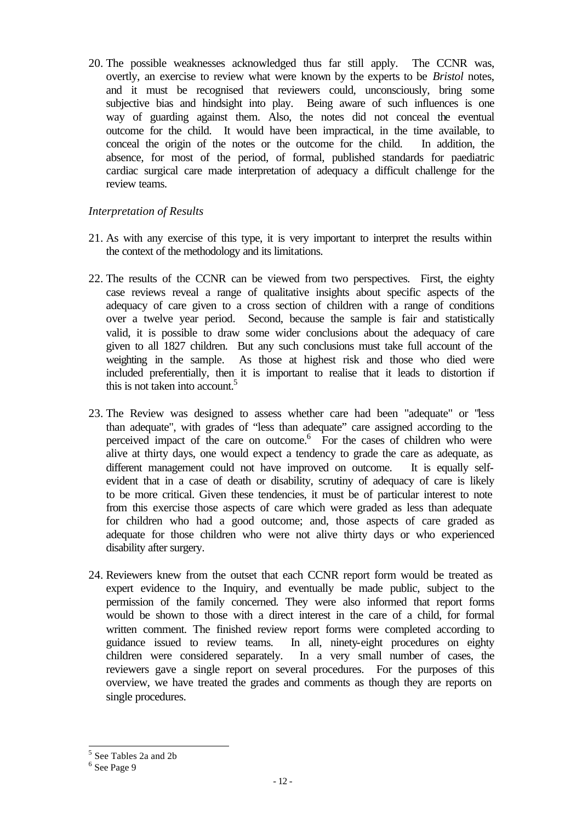20. The possible weaknesses acknowledged thus far still apply. The CCNR was, overtly, an exercise to review what were known by the experts to be *Bristol* notes, and it must be recognised that reviewers could, unconsciously, bring some subjective bias and hindsight into play. Being aware of such influences is one way of guarding against them. Also, the notes did not conceal the eventual outcome for the child. It would have been impractical, in the time available, to conceal the origin of the notes or the outcome for the child. In addition, the absence, for most of the period, of formal, published standards for paediatric cardiac surgical care made interpretation of adequacy a difficult challenge for the review teams.

## *Interpretation of Results*

- 21. As with any exercise of this type, it is very important to interpret the results within the context of the methodology and its limitations.
- 22. The results of the CCNR can be viewed from two perspectives. First, the eighty case reviews reveal a range of qualitative insights about specific aspects of the adequacy of care given to a cross section of children with a range of conditions over a twelve year period. Second, because the sample is fair and statistically valid, it is possible to draw some wider conclusions about the adequacy of care given to all 1827 children. But any such conclusions must take full account of the weighting in the sample. As those at highest risk and those who died were included preferentially, then it is important to realise that it leads to distortion if this is not taken into account.<sup>5</sup>
- 23. The Review was designed to assess whether care had been "adequate" or "less than adequate", with grades of "less than adequate" care assigned according to the perceived impact of the care on outcome.<sup>6</sup> For the cases of children who were alive at thirty days, one would expect a tendency to grade the care as adequate, as different management could not have improved on outcome. It is equally selfevident that in a case of death or disability, scrutiny of adequacy of care is likely to be more critical. Given these tendencies, it must be of particular interest to note from this exercise those aspects of care which were graded as less than adequate for children who had a good outcome; and, those aspects of care graded as adequate for those children who were not alive thirty days or who experienced disability after surgery.
- 24. Reviewers knew from the outset that each CCNR report form would be treated as expert evidence to the Inquiry, and eventually be made public, subject to the permission of the family concerned. They were also informed that report forms would be shown to those with a direct interest in the care of a child, for formal written comment. The finished review report forms were completed according to guidance issued to review teams. In all, ninety-eight procedures on eighty children were considered separately. In a very small number of cases, the reviewers gave a single report on several procedures. For the purposes of this overview, we have treated the grades and comments as though they are reports on single procedures.

 5 See Tables 2a and 2b

<sup>6</sup> See Page 9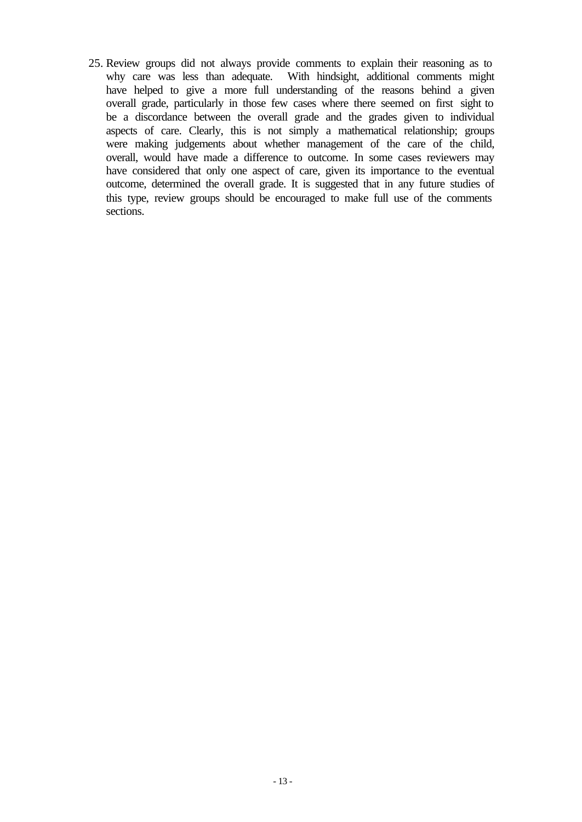25. Review groups did not always provide comments to explain their reasoning as to why care was less than adequate. With hindsight, additional comments might have helped to give a more full understanding of the reasons behind a given overall grade, particularly in those few cases where there seemed on first sight to be a discordance between the overall grade and the grades given to individual aspects of care. Clearly, this is not simply a mathematical relationship; groups were making judgements about whether management of the care of the child, overall, would have made a difference to outcome. In some cases reviewers may have considered that only one aspect of care, given its importance to the eventual outcome, determined the overall grade. It is suggested that in any future studies of this type, review groups should be encouraged to make full use of the comments sections.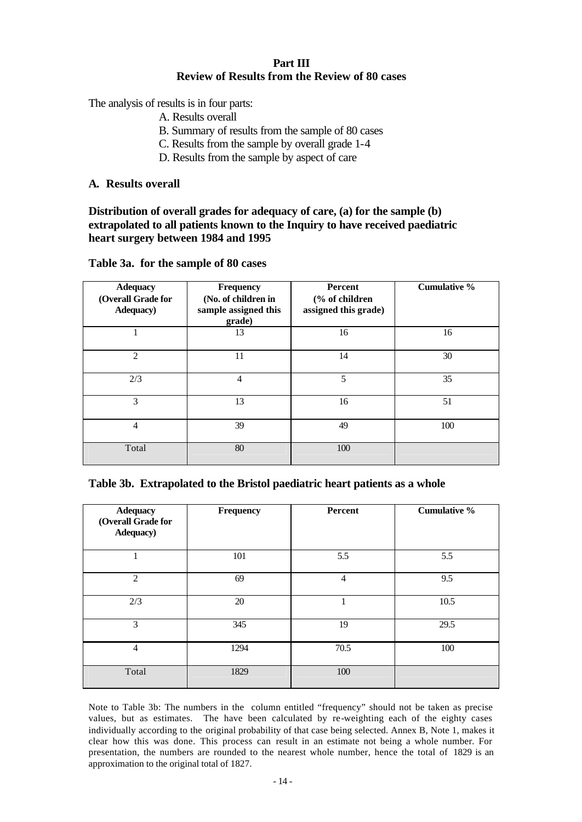# **Part III Review of Results from the Review of 80 cases**

The analysis of results is in four parts:

- A. Results overall
- B. Summary of results from the sample of 80 cases
- C. Results from the sample by overall grade 1-4
- D. Results from the sample by aspect of care

#### **A. Results overall**

#### **Distribution of overall grades for adequacy of care, (a) for the sample (b) extrapolated to all patients known to the Inquiry to have received paediatric heart surgery between 1984 and 1995**

|  |  | Table 3a. for the sample of 80 cases |  |
|--|--|--------------------------------------|--|
|--|--|--------------------------------------|--|

| <b>Adequacy</b><br>(Overall Grade for<br><b>Adequacy</b> ) | <b>Frequency</b><br>(No. of children in<br>sample assigned this<br>grade) | Percent<br>(% of children<br>assigned this grade) | <b>Cumulative %</b> |
|------------------------------------------------------------|---------------------------------------------------------------------------|---------------------------------------------------|---------------------|
|                                                            | 13                                                                        | 16                                                | 16                  |
| 2                                                          | 11                                                                        | 14                                                | 30                  |
| 2/3                                                        | $\overline{4}$                                                            | 5                                                 | 35                  |
| 3                                                          | 13                                                                        | 16                                                | 51                  |
| 4                                                          | 39                                                                        | 49                                                | 100                 |
| Total                                                      | 80                                                                        | 100                                               |                     |

#### **Table 3b. Extrapolated to the Bristol paediatric heart patients as a whole**

| <b>Adequacy</b><br>(Overall Grade for<br>Adequacy) | Frequency | Percent | <b>Cumulative %</b> |
|----------------------------------------------------|-----------|---------|---------------------|
|                                                    | 101       | 5.5     | 5.5                 |
| 2                                                  | 69        | 4       | 9.5                 |
| 2/3                                                | 20        | 1       | 10.5                |
| 3                                                  | 345       | 19      | 29.5                |
| $\overline{4}$                                     | 1294      | 70.5    | 100                 |
| Total                                              | 1829      | 100     |                     |

Note to Table 3b: The numbers in the column entitled "frequency" should not be taken as precise values, but as estimates. The have been calculated by re-weighting each of the eighty cases individually according to the original probability of that case being selected. Annex B, Note 1, makes it clear how this was done. This process can result in an estimate not being a whole number. For presentation, the numbers are rounded to the nearest whole number, hence the total of 1829 is an approximation to the original total of 1827.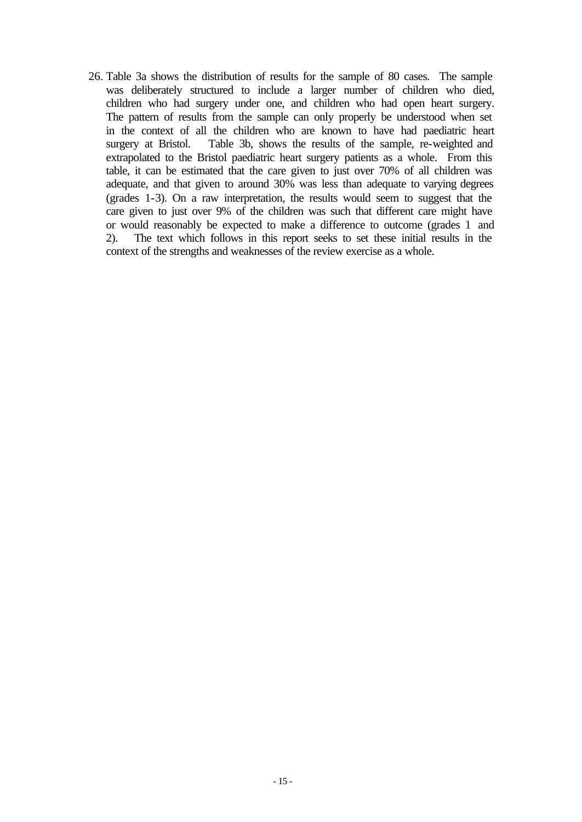26. Table 3a shows the distribution of results for the sample of 80 cases. The sample was deliberately structured to include a larger number of children who died, children who had surgery under one, and children who had open heart surgery. The pattern of results from the sample can only properly be understood when set in the context of all the children who are known to have had paediatric heart surgery at Bristol. Table 3b, shows the results of the sample, re-weighted and extrapolated to the Bristol paediatric heart surgery patients as a whole. From this table, it can be estimated that the care given to just over 70% of all children was adequate, and that given to around 30% was less than adequate to varying degrees (grades 1-3). On a raw interpretation, the results would seem to suggest that the care given to just over 9% of the children was such that different care might have or would reasonably be expected to make a difference to outcome (grades 1 and 2). The text which follows in this report seeks to set these initial results in the context of the strengths and weaknesses of the review exercise as a whole.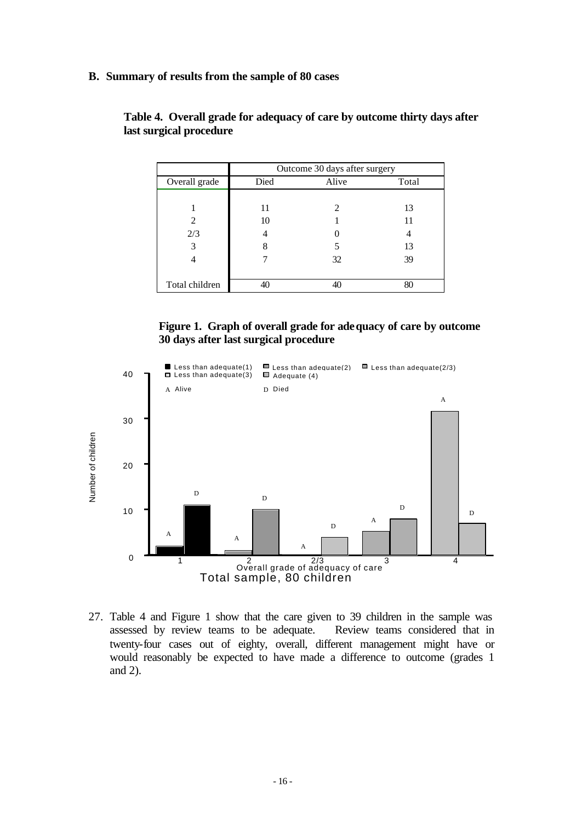**B. Summary of results from the sample of 80 cases**

|                |      | Outcome 30 days after surgery |       |
|----------------|------|-------------------------------|-------|
| Overall grade  | Died | Alive                         | Total |
|                |      |                               |       |
|                | 11   |                               | 13    |
| 2              | 10   |                               | 11    |
| 2/3            |      |                               |       |
| 3              | 8    |                               | 13    |
|                |      | 32                            | 39    |
|                |      |                               |       |
| Total children |      |                               | 80    |

**Table 4. Overall grade for adequacy of care by outcome thirty days after last surgical procedure**





27. Table 4 and Figure 1 show that the care given to 39 children in the sample was assessed by review teams to be adequate. Review teams considered that in twenty-four cases out of eighty, overall, different management might have or would reasonably be expected to have made a difference to outcome (grades 1 and 2).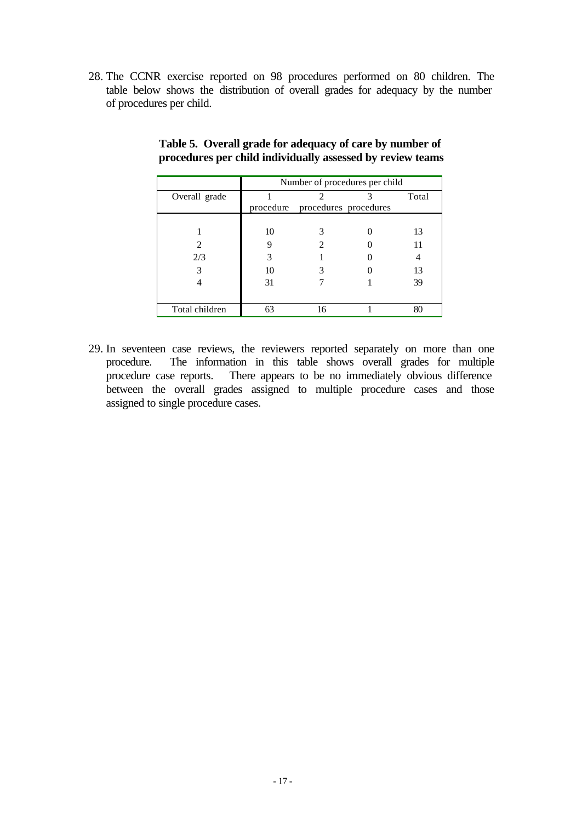28. The CCNR exercise reported on 98 procedures performed on 80 children. The table below shows the distribution of overall grades for adequacy by the number of procedures per child.

|                | Number of procedures per child |                                 |  |       |
|----------------|--------------------------------|---------------------------------|--|-------|
| Overall grade  |                                |                                 |  | Total |
|                |                                | procedure procedures procedures |  |       |
|                |                                |                                 |  |       |
|                | 10                             |                                 |  | 13    |
|                |                                |                                 |  | 11    |
| 2/3            | 3                              |                                 |  |       |
|                | 10                             |                                 |  | 13    |
|                | 31                             |                                 |  | 39    |
|                |                                |                                 |  |       |
| Total children |                                | 16                              |  | 80    |

## **Table 5. Overall grade for adequacy of care by number of procedures per child individually assessed by review teams**

29. In seventeen case reviews, the reviewers reported separately on more than one procedure. The information in this table shows overall grades for multiple procedure case reports. There appears to be no immediately obvious difference between the overall grades assigned to multiple procedure cases and those assigned to single procedure cases.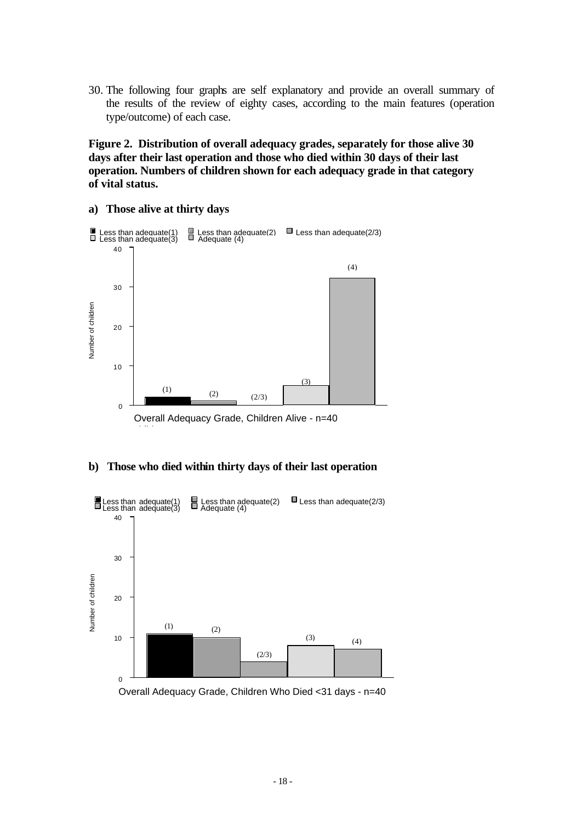30. The following four graphs are self explanatory and provide an overall summary of the results of the review of eighty cases, according to the main features (operation type/outcome) of each case.

**Figure 2. Distribution of overall adequacy grades, separately for those alive 30 days after their last operation and those who died within 30 days of their last operation. Numbers of children shown for each adequacy grade in that category of vital status.**

**a) Those alive at thirty days**



**b) Those who died within thirty days of their last operation**



Overall Adequacy Grade, Children Who Died <31 days - n=40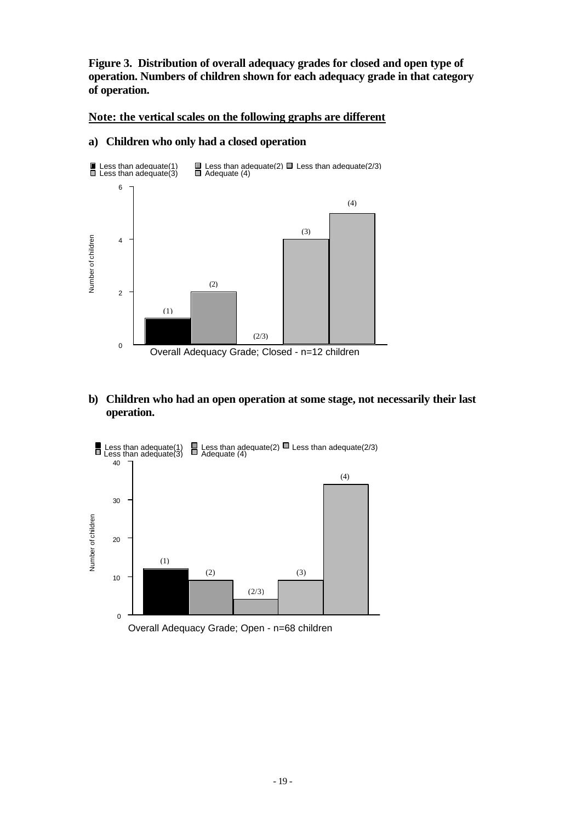**Figure 3. Distribution of overall adequacy grades for closed and open type of operation. Numbers of children shown for each adequacy grade in that category of operation.**

**Note: the vertical scales on the following graphs are different**

#### **a) Children who only had a closed operation**



## **b) Children who had an open operation at some stage, not necessarily their last operation.**

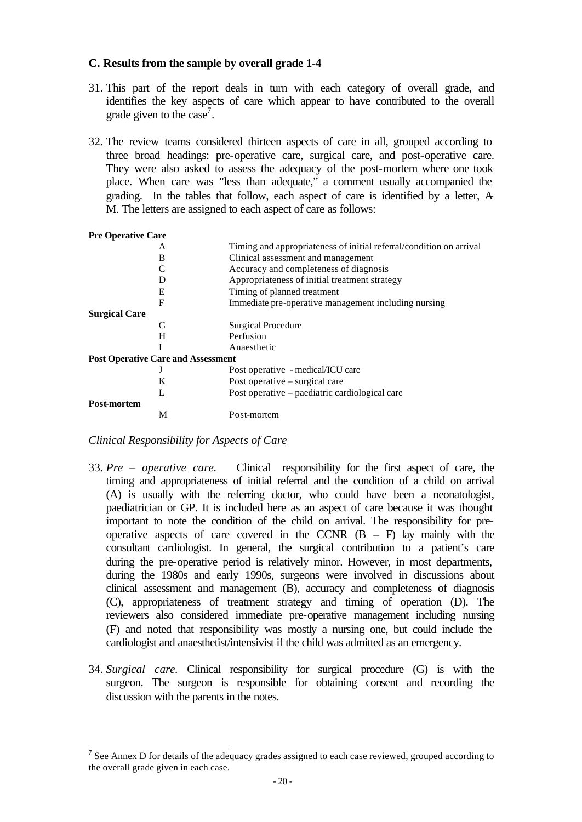## **C. Results from the sample by overall grade 1-4**

- 31. This part of the report deals in turn with each category of overall grade, and identifies the key aspects of care which appear to have contributed to the overall grade given to the case<sup>7</sup>.
- 32. The review teams considered thirteen aspects of care in all, grouped according to three broad headings: pre-operative care, surgical care, and post-operative care. They were also asked to assess the adequacy of the post-mortem where one took place. When care was "less than adequate," a comment usually accompanied the grading. In the tables that follow, each aspect of care is identified by a letter, A-M. The letters are assigned to each aspect of care as follows:

| <b>Pre Operative Care</b>                 |                                                                     |
|-------------------------------------------|---------------------------------------------------------------------|
| A                                         | Timing and appropriateness of initial referral/condition on arrival |
| B                                         | Clinical assessment and management                                  |
|                                           | Accuracy and completeness of diagnosis                              |
|                                           | Appropriateness of initial treatment strategy                       |
| Е                                         | Timing of planned treatment                                         |
| F                                         | Immediate pre-operative management including nursing                |
| <b>Surgical Care</b>                      |                                                                     |
| G                                         | Surgical Procedure                                                  |
| H                                         | Perfusion                                                           |
|                                           | Anaesthetic                                                         |
| <b>Post Operative Care and Assessment</b> |                                                                     |
|                                           | Post operative - medical/ICU care                                   |
| K                                         | Post operative – surgical care                                      |
| L                                         | Post operative – paediatric cardiological care                      |
| Post-mortem                               |                                                                     |
| М                                         | Post-mortem                                                         |

*Clinical Responsibility for Aspects of Care*

- 33. *Pre operative care.* Clinical responsibility for the first aspect of care, the timing and appropriateness of initial referral and the condition of a child on arrival (A) is usually with the referring doctor, who could have been a neonatologist, paediatrician or GP. It is included here as an aspect of care because it was thought important to note the condition of the child on arrival. The responsibility for preoperative aspects of care covered in the CCNR  $(B - F)$  lay mainly with the consultant cardiologist. In general, the surgical contribution to a patient's care during the pre-operative period is relatively minor. However, in most departments, during the 1980s and early 1990s, surgeons were involved in discussions about clinical assessment and management (B), accuracy and completeness of diagnosis (C), appropriateness of treatment strategy and timing of operation (D). The reviewers also considered immediate pre-operative management including nursing (F) and noted that responsibility was mostly a nursing one, but could include the cardiologist and anaesthetist/intensivist if the child was admitted as an emergency.
- 34. *Surgical care.* Clinical responsibility for surgical procedure (G) is with the surgeon. The surgeon is responsible for obtaining consent and recording the discussion with the parents in the notes.

<sup>&</sup>lt;sup>7</sup> See Annex D for details of the adequacy grades assigned to each case reviewed, grouped according to the overall grade given in each case.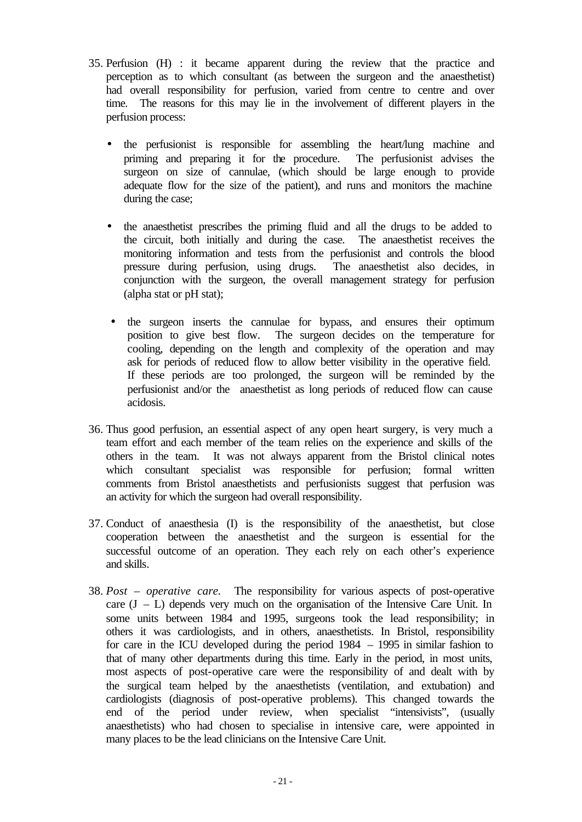- 35. Perfusion (H) : it became apparent during the review that the practice and perception as to which consultant (as between the surgeon and the anaesthetist) had overall responsibility for perfusion, varied from centre to centre and over time. The reasons for this may lie in the involvement of different players in the perfusion process:
	- the perfusionist is responsible for assembling the heart/lung machine and priming and preparing it for the procedure. The perfusionist advises the surgeon on size of cannulae, (which should be large enough to provide adequate flow for the size of the patient), and runs and monitors the machine during the case;
	- the anaesthetist prescribes the priming fluid and all the drugs to be added to the circuit, both initially and during the case. The anaesthetist receives the monitoring information and tests from the perfusionist and controls the blood pressure during perfusion, using drugs. The anaesthetist also decides, in conjunction with the surgeon, the overall management strategy for perfusion (alpha stat or pH stat);
	- the surgeon inserts the cannulae for bypass, and ensures their optimum position to give best flow. The surgeon decides on the temperature for cooling, depending on the length and complexity of the operation and may ask for periods of reduced flow to allow better visibility in the operative field. If these periods are too prolonged, the surgeon will be reminded by the perfusionist and/or the anaesthetist as long periods of reduced flow can cause acidosis.
- 36. Thus good perfusion, an essential aspect of any open heart surgery, is very much a team effort and each member of the team relies on the experience and skills of the others in the team. It was not always apparent from the Bristol clinical notes which consultant specialist was responsible for perfusion; formal written comments from Bristol anaesthetists and perfusionists suggest that perfusion was an activity for which the surgeon had overall responsibility.
- 37. Conduct of anaesthesia (I) is the responsibility of the anaesthetist, but close cooperation between the anaesthetist and the surgeon is essential for the successful outcome of an operation. They each rely on each other's experience and skills.
- 38. *Post operative care.* The re*s*ponsibility for various aspects of post-operative care  $(J - L)$  depends very much on the organisation of the Intensive Care Unit. In some units between 1984 and 1995, surgeons took the lead responsibility; in others it was cardiologists, and in others, anaesthetists. In Bristol, responsibility for care in the ICU developed during the period 1984 – 1995 in similar fashion to that of many other departments during this time. Early in the period, in most units, most aspects of post-operative care were the responsibility of and dealt with by the surgical team helped by the anaesthetists (ventilation, and extubation) and cardiologists (diagnosis of post-operative problems). This changed towards the end of the period under review, when specialist "intensivists", (usually anaesthetists) who had chosen to specialise in intensive care, were appointed in many places to be the lead clinicians on the Intensive Care Unit.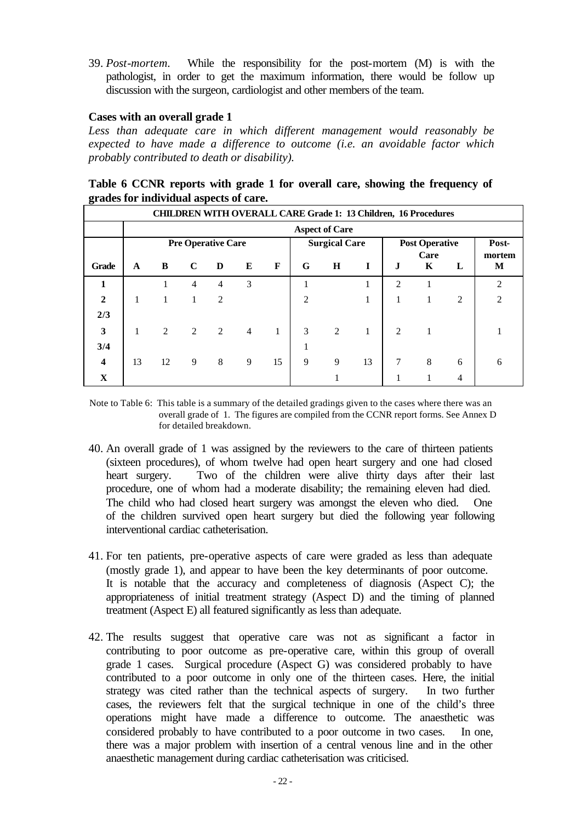39. *Post-mortem.* While the responsibility for the post-mortem (M) is with the pathologist, in order to get the maximum information, there would be follow up discussion with the surgeon, cardiologist and other members of the team.

#### **Cases with an overall grade 1**

*Less than adequate care in which different management would reasonably be expected to have made a difference to outcome (i.e. an avoidable factor which probably contributed to death or disability).*

| Table 6 CCNR reports with grade 1 for overall care, showing the frequency of |  |  |  |  |
|------------------------------------------------------------------------------|--|--|--|--|
| grades for individual aspects of care.                                       |  |  |  |  |

|                         | <b>CHILDREN WITH OVERALL CARE Grade 1: 13 Children, 16 Procedures</b> |    |                |                |                |    |                |                      |    |                |                       |       |                             |
|-------------------------|-----------------------------------------------------------------------|----|----------------|----------------|----------------|----|----------------|----------------------|----|----------------|-----------------------|-------|-----------------------------|
| <b>Aspect of Care</b>   |                                                                       |    |                |                |                |    |                |                      |    |                |                       |       |                             |
|                         | <b>Pre Operative Care</b>                                             |    |                |                |                |    |                | <b>Surgical Care</b> |    |                | <b>Post Operative</b> | Post- |                             |
| Grade                   | $\mathbf{A}$                                                          | B  | $\mathbf C$    | D              | E              | F  | G              | $\mathbf H$          | I  | J.             | Care<br>K             | L     | mortem<br>M                 |
| 1                       |                                                                       |    | $\overline{4}$ | $\overline{4}$ | 3              |    |                |                      |    | $\overline{2}$ |                       |       | $\mathcal{D}_{\mathcal{L}}$ |
| $\mathbf{2}$            |                                                                       |    | 1              | $\overline{c}$ |                |    | $\overline{c}$ |                      |    |                |                       | 2     | $\overline{2}$              |
| 2/3                     |                                                                       |    |                |                |                |    |                |                      |    |                |                       |       |                             |
| 3                       |                                                                       | 2  | 2              | 2              | $\overline{4}$ |    | 3              | 2                    | 1  | 2              |                       |       |                             |
| 3/4                     |                                                                       |    |                |                |                |    |                |                      |    |                |                       |       |                             |
| $\overline{\mathbf{4}}$ | 13                                                                    | 12 | 9              | 8              | 9              | 15 | 9              | 9                    | 13 | 7              | 8                     | 6     | 6                           |
| $\mathbf X$             |                                                                       |    |                |                |                |    |                |                      |    |                |                       | 4     |                             |

Note to Table 6: This table is a summary of the detailed gradings given to the cases where there was an overall grade of 1. The figures are compiled from the CCNR report forms. See Annex D for detailed breakdown.

- 40. An overall grade of 1 was assigned by the reviewers to the care of thirteen patients (sixteen procedures), of whom twelve had open heart surgery and one had closed heart surgery. Two of the children were alive thirty days after their last procedure, one of whom had a moderate disability; the remaining eleven had died. The child who had closed heart surgery was amongst the eleven who died. One of the children survived open heart surgery but died the following year following interventional cardiac catheterisation.
- 41. For ten patients, pre-operative aspects of care were graded as less than adequate (mostly grade 1), and appear to have been the key determinants of poor outcome. It is notable that the accuracy and completeness of diagnosis (Aspect C); the appropriateness of initial treatment strategy (Aspect D) and the timing of planned treatment (Aspect E) all featured significantly as less than adequate.
- 42. The results suggest that operative care was not as significant a factor in contributing to poor outcome as pre-operative care, within this group of overall grade 1 cases. Surgical procedure (Aspect G) was considered probably to have contributed to a poor outcome in only one of the thirteen cases. Here, the initial strategy was cited rather than the technical aspects of surgery. In two further cases, the reviewers felt that the surgical technique in one of the child's three operations might have made a difference to outcome. The anaesthetic was considered probably to have contributed to a poor outcome in two cases. In one, there was a major problem with insertion of a central venous line and in the other anaesthetic management during cardiac catheterisation was criticised.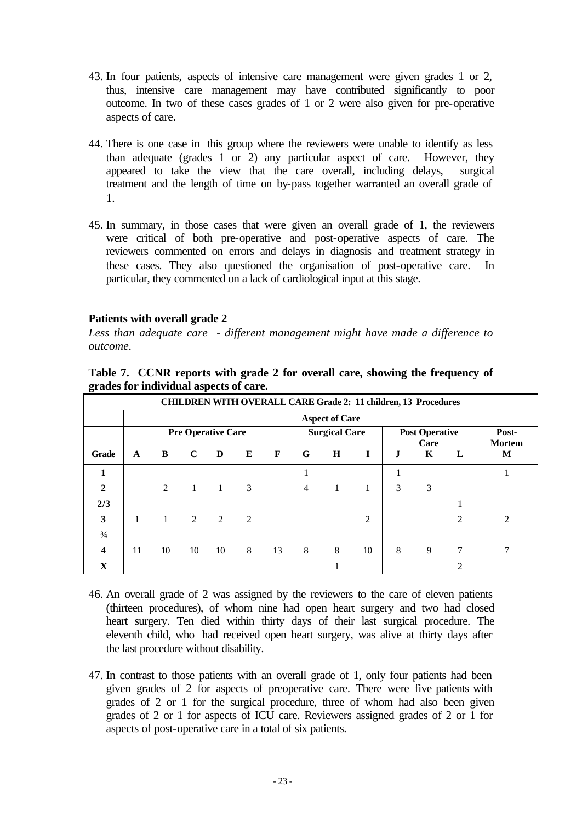- 43. In four patients, aspects of intensive care management were given grades 1 or 2, thus, intensive care management may have contributed significantly to poor outcome. In two of these cases grades of 1 or 2 were also given for pre-operative aspects of care.
- 44. There is one case in this group where the reviewers were unable to identify as less than adequate (grades 1 or 2) any particular aspect of care. However, they appeared to take the view that the care overall, including delays, surgical treatment and the length of time on by-pass together warranted an overall grade of 1.
- 45. In summary, in those cases that were given an overall grade of 1, the reviewers were critical of both pre-operative and post-operative aspects of care. The reviewers commented on errors and delays in diagnosis and treatment strategy in these cases. They also questioned the organisation of post-operative care. In particular, they commented on a lack of cardiological input at this stage.

## **Patients with overall grade 2**

*Less than adequate care - different management might have made a difference to outcome.* 

**Table 7. CCNR reports with grade 2 for overall care, showing the frequency of grades for individual aspects of care.**

|                         | <b>CHILDREN WITH OVERALL CARE Grade 2: 11 children, 13 Procedures</b> |    |             |    |                |    |                |                      |                |                       |           |        |                        |
|-------------------------|-----------------------------------------------------------------------|----|-------------|----|----------------|----|----------------|----------------------|----------------|-----------------------|-----------|--------|------------------------|
|                         | <b>Aspect of Care</b>                                                 |    |             |    |                |    |                |                      |                |                       |           |        |                        |
|                         | <b>Pre Operative Care</b>                                             |    |             |    |                |    |                | <b>Surgical Care</b> |                | <b>Post Operative</b> |           |        | Post-<br><b>Mortem</b> |
| <b>Grade</b>            | A                                                                     | B  | $\mathbf C$ | D  | E              | F  | G              | H                    |                | J                     | Care<br>K | L      | M                      |
| 1                       |                                                                       |    |             |    |                |    |                |                      |                |                       |           |        |                        |
| $\overline{2}$          |                                                                       | 2  |             |    | 3              |    | $\overline{4}$ |                      |                | 3                     | 3         |        |                        |
| 2/3                     |                                                                       |    |             |    |                |    |                |                      |                |                       |           | 1<br>T |                        |
| 3                       |                                                                       | 1  | 2           | 2  | $\mathfrak{D}$ |    |                |                      | $\overline{2}$ |                       |           | 2      | $\overline{2}$         |
| $\frac{3}{4}$           |                                                                       |    |             |    |                |    |                |                      |                |                       |           |        |                        |
| $\overline{\mathbf{4}}$ | 11                                                                    | 10 | 10          | 10 | 8              | 13 | 8              | 8                    | 10             | 8                     | 9         | $\tau$ | 7                      |
| X                       |                                                                       |    |             |    |                |    |                |                      |                |                       |           | 2      |                        |

- 46. An overall grade of 2 was assigned by the reviewers to the care of eleven patients (thirteen procedures), of whom nine had open heart surgery and two had closed heart surgery. Ten died within thirty days of their last surgical procedure. The eleventh child, who had received open heart surgery, was alive at thirty days after the last procedure without disability.
- 47. In contrast to those patients with an overall grade of 1, only four patients had been given grades of 2 for aspects of preoperative care. There were five patients with grades of 2 or 1 for the surgical procedure, three of whom had also been given grades of 2 or 1 for aspects of ICU care. Reviewers assigned grades of 2 or 1 for aspects of post-operative care in a total of six patients.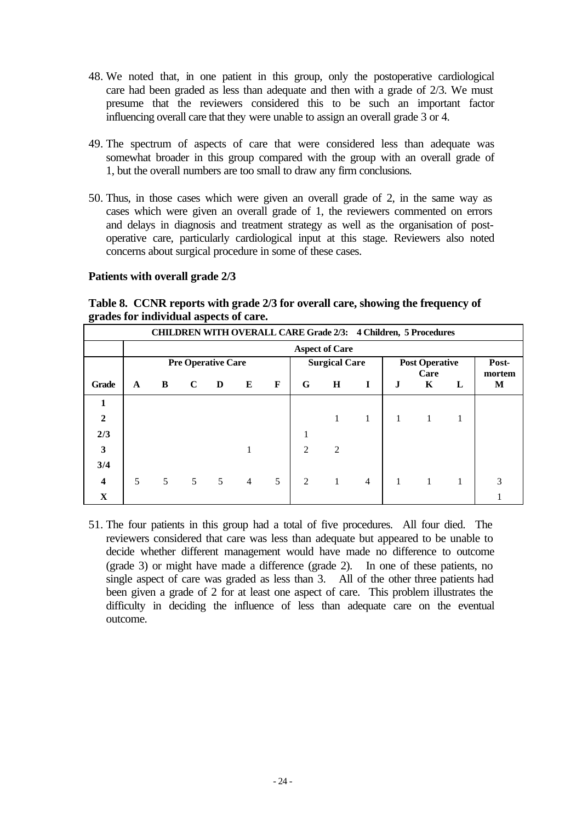- 48. We noted that, in one patient in this group, only the postoperative cardiological care had been graded as less than adequate and then with a grade of 2/3. We must presume that the reviewers considered this to be such an important factor influencing overall care that they were unable to assign an overall grade 3 or 4.
- 49. The spectrum of aspects of care that were considered less than adequate was somewhat broader in this group compared with the group with an overall grade of 1, but the overall numbers are too small to draw any firm conclusions.
- 50. Thus, in those cases which were given an overall grade of 2, in the same way as cases which were given an overall grade of 1, the reviewers commented on errors and delays in diagnosis and treatment strategy as well as the organisation of postoperative care, particularly cardiological input at this stage. Reviewers also noted concerns about surgical procedure in some of these cases.

#### **Patients with overall grade 2/3**

**Table 8. CCNR reports with grade 2/3 for overall care, showing the frequency of grades for individual aspects of care.**

|                         | <b>CHILDREN WITH OVERALL CARE Grade 2/3: 4 Children, 5 Procedures</b> |                |                           |              |                |   |                             |                      |                |              |                       |       |             |
|-------------------------|-----------------------------------------------------------------------|----------------|---------------------------|--------------|----------------|---|-----------------------------|----------------------|----------------|--------------|-----------------------|-------|-------------|
| <b>Aspect of Care</b>   |                                                                       |                |                           |              |                |   |                             |                      |                |              |                       |       |             |
|                         |                                                                       |                | <b>Pre Operative Care</b> |              |                |   |                             | <b>Surgical Care</b> |                |              | <b>Post Operative</b> | Post- |             |
| Grade                   | A                                                                     | B              | $\mathbf C$               | $\mathbf{D}$ | E              | F | G                           | $\bf H$              | 1              | J            | Care<br>K             | L     | mortem<br>M |
| 1                       |                                                                       |                |                           |              |                |   |                             |                      |                |              |                       |       |             |
| $\overline{2}$          |                                                                       |                |                           |              |                |   |                             |                      | 1              |              |                       |       |             |
| 2/3                     |                                                                       |                |                           |              |                |   |                             |                      |                |              |                       |       |             |
| $\overline{\mathbf{3}}$ |                                                                       |                |                           |              |                |   | $\mathcal{D}_{\mathcal{L}}$ | 2                    |                |              |                       |       |             |
| 3/4                     |                                                                       |                |                           |              |                |   |                             |                      |                |              |                       |       |             |
| $\overline{\mathbf{4}}$ | 5                                                                     | 5 <sup>1</sup> | $5\qquad 5$               |              | $\overline{4}$ | 5 | 2                           |                      | $\overline{4}$ | $\mathbf{1}$ |                       |       | 3           |
| $\mathbf X$             |                                                                       |                |                           |              |                |   |                             |                      |                |              |                       |       |             |

51. The four patients in this group had a total of five procedures. All four died. The reviewers considered that care was less than adequate but appeared to be unable to decide whether different management would have made no difference to outcome (grade 3) or might have made a difference (grade 2). In one of these patients, no single aspect of care was graded as less than 3. All of the other three patients had been given a grade of 2 for at least one aspect of care. This problem illustrates the difficulty in deciding the influence of less than adequate care on the eventual outcome.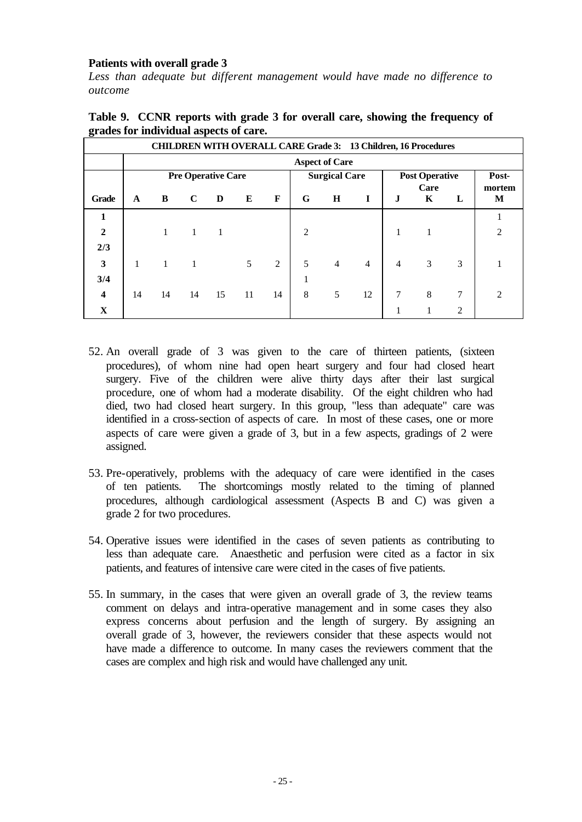## **Patients with overall grade 3**

*Less than adequate but different management would have made no difference to outcome*

|                         | <b>CHILDREN WITH OVERALL CARE Grade 3: 13 Children, 16 Procedures</b> |              |             |    |    |    |                      |                |                |                       |           |   |                |
|-------------------------|-----------------------------------------------------------------------|--------------|-------------|----|----|----|----------------------|----------------|----------------|-----------------------|-----------|---|----------------|
|                         | <b>Aspect of Care</b>                                                 |              |             |    |    |    |                      |                |                |                       |           |   |                |
|                         | <b>Pre Operative Care</b>                                             |              |             |    |    |    | <b>Surgical Care</b> |                |                | <b>Post Operative</b> |           |   | Post-          |
| <b>Grade</b>            | $\mathbf{A}$                                                          | B            | $\mathbf C$ | D  | E  | F  | G                    | $\bf H$        | I              | J                     | Care<br>K | L | mortem<br>M    |
| 1                       |                                                                       |              |             |    |    |    |                      |                |                |                       |           |   |                |
| $\overline{2}$          |                                                                       |              | 1           |    |    |    | 2                    |                |                |                       |           |   | $\overline{c}$ |
| 2/3                     |                                                                       |              |             |    |    |    |                      |                |                |                       |           |   |                |
| $\overline{\mathbf{3}}$ |                                                                       | $\mathbf{1}$ |             |    | 5  | 2  | 5                    | $\overline{4}$ | $\overline{4}$ | 4                     | 3         | 3 |                |
| 3/4                     |                                                                       |              |             |    |    |    |                      |                |                |                       |           |   |                |
| $\overline{\mathbf{4}}$ | 14                                                                    | 14           | 14          | 15 | 11 | 14 | 8                    | 5              | 12             | 7                     | 8         | 7 | $\mathfrak{D}$ |
| $\mathbf X$             |                                                                       |              |             |    |    |    |                      |                |                |                       |           | 2 |                |

|                                        | Table 9. CCNR reports with grade 3 for overall care, showing the frequency of |  |  |
|----------------------------------------|-------------------------------------------------------------------------------|--|--|
| grades for individual aspects of care. |                                                                               |  |  |

- 52. An overall grade of 3 was given to the care of thirteen patients, (sixteen procedures), of whom nine had open heart surgery and four had closed heart surgery. Five of the children were alive thirty days after their last surgical procedure, one of whom had a moderate disability. Of the eight children who had died, two had closed heart surgery. In this group, "less than adequate" care was identified in a cross-section of aspects of care. In most of these cases, one or more aspects of care were given a grade of 3, but in a few aspects, gradings of 2 were assigned.
- 53. Pre-operatively, problems with the adequacy of care were identified in the cases of ten patients. The shortcomings mostly related to the timing of planned procedures, although cardiological assessment (Aspects B and C) was given a grade 2 for two procedures.
- 54. Operative issues were identified in the cases of seven patients as contributing to less than adequate care. Anaesthetic and perfusion were cited as a factor in six patients, and features of intensive care were cited in the cases of five patients.
- 55. In summary, in the cases that were given an overall grade of 3, the review teams comment on delays and intra-operative management and in some cases they also express concerns about perfusion and the length of surgery. By assigning an overall grade of 3, however, the reviewers consider that these aspects would not have made a difference to outcome. In many cases the reviewers comment that the cases are complex and high risk and would have challenged any unit.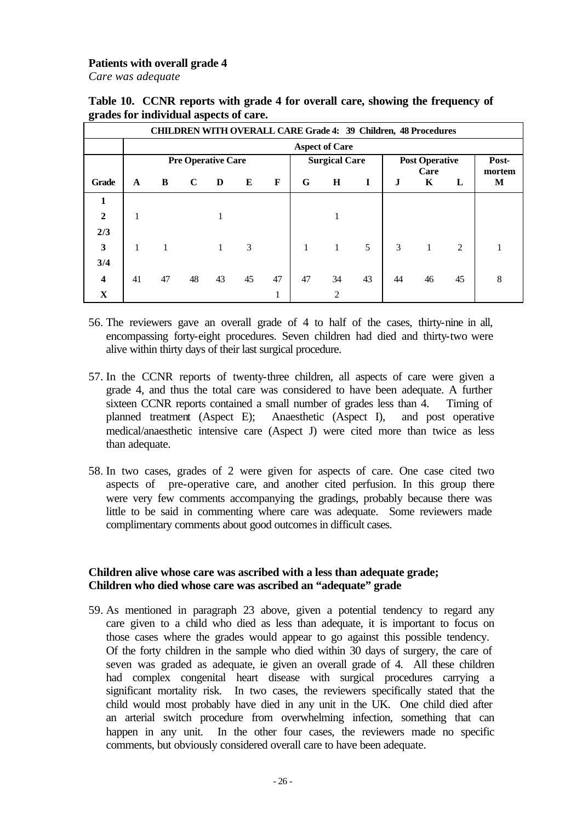#### **Patients with overall grade 4**

*Care was adequate*

|                         | <b>CHILDREN WITH OVERALL CARE Grade 4: 39 Children, 48 Procedures</b> |    |             |    |    |    |                      |                             |    |                       |           |    |             |
|-------------------------|-----------------------------------------------------------------------|----|-------------|----|----|----|----------------------|-----------------------------|----|-----------------------|-----------|----|-------------|
|                         | <b>Aspect of Care</b>                                                 |    |             |    |    |    |                      |                             |    |                       |           |    |             |
|                         | <b>Pre Operative Care</b>                                             |    |             |    |    |    | <b>Surgical Care</b> |                             |    | <b>Post Operative</b> |           |    | Post-       |
| <b>Grade</b>            | $\mathbf{A}$                                                          | B  | $\mathbf C$ | D  | E  | F  | G                    | $\bf H$                     | I  | J                     | Care<br>K | L  | mortem<br>M |
| 1                       |                                                                       |    |             |    |    |    |                      |                             |    |                       |           |    |             |
| $\mathbf{2}$            |                                                                       |    |             |    |    |    |                      |                             |    |                       |           |    |             |
| 2/3                     |                                                                       |    |             |    |    |    |                      |                             |    |                       |           |    |             |
| 3                       | $\mathbf{1}$                                                          | 1  |             | 1  | 3  |    | $\mathbf{1}$         | 1                           | 5  | 3                     |           | 2  |             |
| 3/4                     |                                                                       |    |             |    |    |    |                      |                             |    |                       |           |    |             |
| $\overline{\mathbf{4}}$ | 41                                                                    | 47 | 48          | 43 | 45 | 47 | 47                   | 34                          | 43 | 44                    | 46        | 45 | 8           |
| $\mathbf X$             |                                                                       |    |             |    |    |    |                      | $\mathcal{D}_{\mathcal{L}}$ |    |                       |           |    |             |

**Table 10. CCNR reports with grade 4 for overall care, showing the frequency of grades for individual aspects of care.**

- 56. The reviewers gave an overall grade of 4 to half of the cases, thirty-nine in all, encompassing forty-eight procedures. Seven children had died and thirty-two were alive within thirty days of their last surgical procedure.
- 57. In the CCNR reports of twenty-three children, all aspects of care were given a grade 4, and thus the total care was considered to have been adequate. A further sixteen CCNR reports contained a small number of grades less than 4. Timing of planned treatment (Aspect E); Anaesthetic (Aspect I), and post operative medical/anaesthetic intensive care (Aspect J) were cited more than twice as less than adequate.
- 58. In two cases, grades of 2 were given for aspects of care. One case cited two aspects of pre-operative care, and another cited perfusion. In this group there were very few comments accompanying the gradings, probably because there was little to be said in commenting where care was adequate. Some reviewers made complimentary comments about good outcomes in difficult cases.

## **Children alive whose care was ascribed with a less than adequate grade; Children who died whose care was ascribed an "adequate" grade**

59. As mentioned in paragraph 23 above, given a potential tendency to regard any care given to a child who died as less than adequate, it is important to focus on those cases where the grades would appear to go against this possible tendency. Of the forty children in the sample who died within 30 days of surgery, the care of seven was graded as adequate, ie given an overall grade of 4. All these children had complex congenital heart disease with surgical procedures carrying a significant mortality risk. In two cases, the reviewers specifically stated that the child would most probably have died in any unit in the UK. One child died after an arterial switch procedure from overwhelming infection, something that can happen in any unit. In the other four cases, the reviewers made no specific comments, but obviously considered overall care to have been adequate.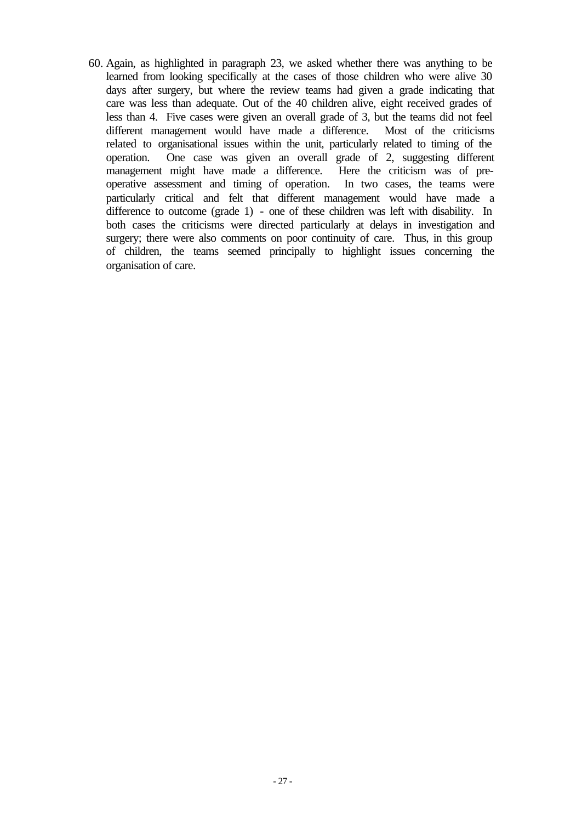60. Again, as highlighted in paragraph 23, we asked whether there was anything to be learned from looking specifically at the cases of those children who were alive 30 days after surgery, but where the review teams had given a grade indicating that care was less than adequate. Out of the 40 children alive, eight received grades of less than 4. Five cases were given an overall grade of 3, but the teams did not feel different management would have made a difference. Most of the criticisms related to organisational issues within the unit, particularly related to timing of the operation. One case was given an overall grade of 2, suggesting different management might have made a difference. Here the criticism was of preoperative assessment and timing of operation. In two cases, the teams were particularly critical and felt that different management would have made a difference to outcome (grade 1) - one of these children was left with disability. In both cases the criticisms were directed particularly at delays in investigation and surgery; there were also comments on poor continuity of care. Thus, in this group of children, the teams seemed principally to highlight issues concerning the organisation of care.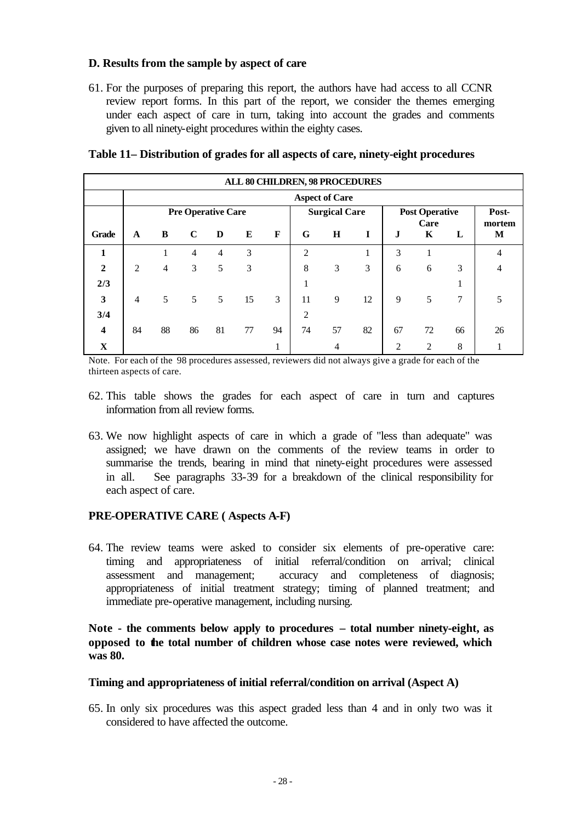## **D. Results from the sample by aspect of care**

61. For the purposes of preparing this report, the authors have had access to all CCNR review report forms. In this part of the report, we consider the themes emerging under each aspect of care in turn, taking into account the grades and comments given to all ninety-eight procedures within the eighty cases.

|                         | <b>ALL 80 CHILDREN, 98 PROCEDURES</b> |                |                           |                |    |    |                             |         |    |                       |                |    |                |
|-------------------------|---------------------------------------|----------------|---------------------------|----------------|----|----|-----------------------------|---------|----|-----------------------|----------------|----|----------------|
|                         | <b>Aspect of Care</b>                 |                |                           |                |    |    |                             |         |    |                       |                |    |                |
|                         |                                       |                | <b>Pre Operative Care</b> |                |    |    | <b>Surgical Care</b>        |         |    | <b>Post Operative</b> |                |    | Post-          |
| Grade                   | $\mathbf{A}$                          | B              | $\mathbf C$               | D              | E  | F  | G                           | $\bf H$ | I  | $\mathbf{J}$          | Care<br>K      | L  | mortem<br>M    |
| 1                       |                                       |                | $\overline{4}$            | $\overline{4}$ | 3  |    | $\mathcal{D}_{\mathcal{L}}$ |         |    | 3                     |                |    | $\overline{4}$ |
| $\overline{2}$          | $\overline{2}$                        | $\overline{4}$ | 3                         | 5              | 3  |    | 8                           | 3       | 3  | 6                     | 6              | 3  | $\overline{4}$ |
| 2/3                     |                                       |                |                           |                |    |    |                             |         |    |                       |                |    |                |
| $\overline{\mathbf{3}}$ | $\overline{4}$                        | 5              | 5                         | 5              | 15 | 3  | 11                          | 9       | 12 | 9                     | 5              | 7  | 5              |
| 3/4                     |                                       |                |                           |                |    |    | 2                           |         |    |                       |                |    |                |
| $\overline{\mathbf{4}}$ | 84                                    | 88             | 86                        | 81             | 77 | 94 | 74                          | 57      | 82 | 67                    | 72             | 66 | 26             |
| X                       |                                       |                |                           |                |    |    |                             | 4       |    | $\overline{c}$        | $\overline{c}$ | 8  |                |

#### **Table 11– Distribution of grades for all aspects of care, ninety-eight procedures**

Note. For each of the 98 procedures assessed, reviewers did not always give a grade for each of the thirteen aspects of care.

- 62. This table shows the grades for each aspect of care in turn and captures information from all review forms.
- 63. We now highlight aspects of care in which a grade of "less than adequate" was assigned; we have drawn on the comments of the review teams in order to summarise the trends, bearing in mind that ninety-eight procedures were assessed in all. See paragraphs 33-39 for a breakdown of the clinical responsibility for each aspect of care.

#### **PRE-OPERATIVE CARE ( Aspects A-F)**

64. The review teams were asked to consider six elements of pre-operative care: timing and appropriateness of initial referral/condition on arrival; clinical assessment and management; accuracy and completeness of diagnosis; appropriateness of initial treatment strategy; timing of planned treatment; and immediate pre-operative management, including nursing.

## **Note - the comments below apply to procedures – total number ninety-eight, as opposed to the total number of children whose case notes were reviewed, which was 80.**

#### **Timing and appropriateness of initial referral/condition on arrival (Aspect A)**

65. In only six procedures was this aspect graded less than 4 and in only two was it considered to have affected the outcome.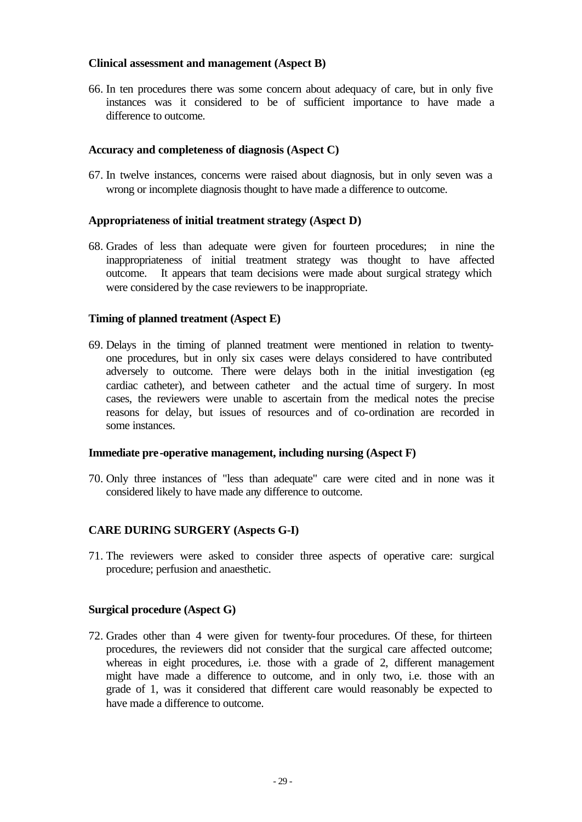#### **Clinical assessment and management (Aspect B)**

66. In ten procedures there was some concern about adequacy of care, but in only five instances was it considered to be of sufficient importance to have made a difference to outcome.

#### **Accuracy and completeness of diagnosis (Aspect C)**

67. In twelve instances, concerns were raised about diagnosis, but in only seven was a wrong or incomplete diagnosis thought to have made a difference to outcome.

#### **Appropriateness of initial treatment strategy (Aspect D)**

68. Grades of less than adequate were given for fourteen procedures; in nine the inappropriateness of initial treatment strategy was thought to have affected outcome. It appears that team decisions were made about surgical strategy which were considered by the case reviewers to be inappropriate.

## **Timing of planned treatment (Aspect E)**

69. Delays in the timing of planned treatment were mentioned in relation to twentyone procedures, but in only six cases were delays considered to have contributed adversely to outcome. There were delays both in the initial investigation (eg cardiac catheter), and between catheter and the actual time of surgery. In most cases, the reviewers were unable to ascertain from the medical notes the precise reasons for delay, but issues of resources and of co-ordination are recorded in some instances.

#### **Immediate pre-operative management, including nursing (Aspect F)**

70. Only three instances of "less than adequate" care were cited and in none was it considered likely to have made any difference to outcome.

#### **CARE DURING SURGERY (Aspects G-I)**

71. The reviewers were asked to consider three aspects of operative care: surgical procedure; perfusion and anaesthetic.

#### **Surgical procedure (Aspect G)**

72. Grades other than 4 were given for twenty-four procedures. Of these, for thirteen procedures, the reviewers did not consider that the surgical care affected outcome; whereas in eight procedures, i.e. those with a grade of 2, different management might have made a difference to outcome, and in only two, i.e. those with an grade of 1, was it considered that different care would reasonably be expected to have made a difference to outcome.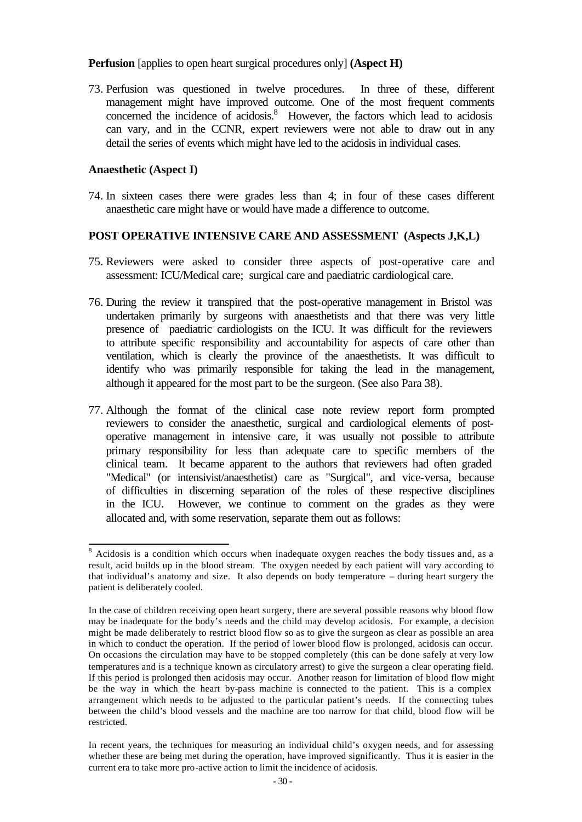#### **Perfusion** [applies to open heart surgical procedures only] **(Aspect H)**

73. Perfusion was questioned in twelve procedures. In three of these, different management might have improved outcome. One of the most frequent comments concerned the incidence of acidosis.<sup>8</sup> However, the factors which lead to acidosis can vary, and in the CCNR, expert reviewers were not able to draw out in any detail the series of events which might have led to the acidosis in individual cases.

#### **Anaesthetic (Aspect I)**

74. In sixteen cases there were grades less than 4; in four of these cases different anaesthetic care might have or would have made a difference to outcome.

#### **POST OPERATIVE INTENSIVE CARE AND ASSESSMENT (Aspects J,K,L)**

- 75. Reviewers were asked to consider three aspects of post-operative care and assessment: ICU/Medical care; surgical care and paediatric cardiological care.
- 76. During the review it transpired that the post-operative management in Bristol was undertaken primarily by surgeons with anaesthetists and that there was very little presence of paediatric cardiologists on the ICU. It was difficult for the reviewers to attribute specific responsibility and accountability for aspects of care other than ventilation, which is clearly the province of the anaesthetists. It was difficult to identify who was primarily responsible for taking the lead in the management, although it appeared for the most part to be the surgeon. (See also Para 38).
- 77. Although the format of the clinical case note review report form prompted reviewers to consider the anaesthetic, surgical and cardiological elements of postoperative management in intensive care, it was usually not possible to attribute primary responsibility for less than adequate care to specific members of the clinical team. It became apparent to the authors that reviewers had often graded "Medical" (or intensivist/anaesthetist) care as "Surgical", and vice-versa, because of difficulties in discerning separation of the roles of these respective disciplines in the ICU. However, we continue to comment on the grades as they were allocated and, with some reservation, separate them out as follows:

<sup>&</sup>lt;sup>8</sup> Acidosis is a condition which occurs when inadequate oxygen reaches the body tissues and, as a result, acid builds up in the blood stream. The oxygen needed by each patient will vary according to that individual's anatomy and size. It also depends on body temperature – during heart surgery the patient is deliberately cooled.

In the case of children receiving open heart surgery, there are several possible reasons why blood flow may be inadequate for the body's needs and the child may develop acidosis. For example, a decision might be made deliberately to restrict blood flow so as to give the surgeon as clear as possible an area in which to conduct the operation. If the period of lower blood flow is prolonged, acidosis can occur. On occasions the circulation may have to be stopped completely (this can be done safely at very low temperatures and is a technique known as circulatory arrest) to give the surgeon a clear operating field. If this period is prolonged then acidosis may occur. Another reason for limitation of blood flow might be the way in which the heart by-pass machine is connected to the patient. This is a complex arrangement which needs to be adjusted to the particular patient's needs. If the connecting tubes between the child's blood vessels and the machine are too narrow for that child, blood flow will be restricted.

In recent years, the techniques for measuring an individual child's oxygen needs, and for assessing whether these are being met during the operation, have improved significantly. Thus it is easier in the current era to take more pro-active action to limit the incidence of acidosis.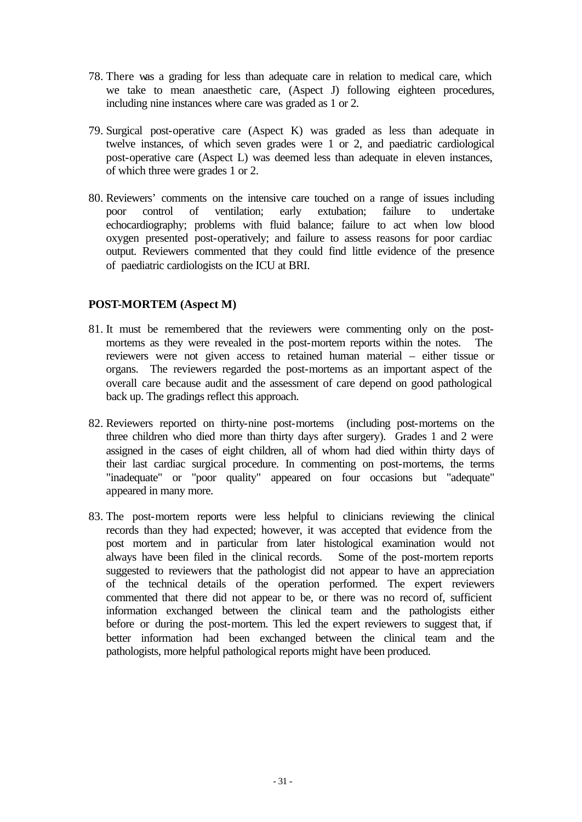- 78. There was a grading for less than adequate care in relation to medical care, which we take to mean anaesthetic care, (Aspect J) following eighteen procedures, including nine instances where care was graded as 1 or 2.
- 79. Surgical post-operative care (Aspect K) was graded as less than adequate in twelve instances, of which seven grades were 1 or 2, and paediatric cardiological post-operative care (Aspect L) was deemed less than adequate in eleven instances, of which three were grades 1 or 2.
- 80. Reviewers' comments on the intensive care touched on a range of issues including poor control of ventilation; early extubation; failure to undertake echocardiography; problems with fluid balance; failure to act when low blood oxygen presented post-operatively; and failure to assess reasons for poor cardiac output. Reviewers commented that they could find little evidence of the presence of paediatric cardiologists on the ICU at BRI.

# **POST-MORTEM (Aspect M)**

- 81. It must be remembered that the reviewers were commenting only on the postmortems as they were revealed in the post-mortem reports within the notes. The reviewers were not given access to retained human material – either tissue or organs. The reviewers regarded the post-mortems as an important aspect of the overall care because audit and the assessment of care depend on good pathological back up. The gradings reflect this approach.
- 82. Reviewers reported on thirty-nine post-mortems (including post-mortems on the three children who died more than thirty days after surgery). Grades 1 and 2 were assigned in the cases of eight children, all of whom had died within thirty days of their last cardiac surgical procedure. In commenting on post-mortems, the terms "inadequate" or "poor quality" appeared on four occasions but "adequate" appeared in many more.
- 83. The post-mortem reports were less helpful to clinicians reviewing the clinical records than they had expected; however, it was accepted that evidence from the post mortem and in particular from later histological examination would not always have been filed in the clinical records. Some of the post-mortem reports suggested to reviewers that the pathologist did not appear to have an appreciation of the technical details of the operation performed. The expert reviewers commented that there did not appear to be, or there was no record of, sufficient information exchanged between the clinical team and the pathologists either before or during the post-mortem. This led the expert reviewers to suggest that, if better information had been exchanged between the clinical team and the pathologists, more helpful pathological reports might have been produced.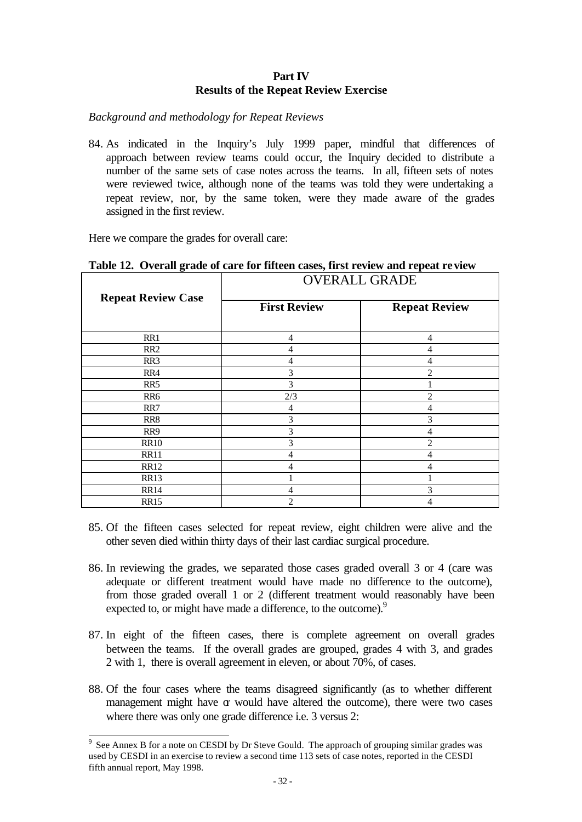#### **Part IV Results of the Repeat Review Exercise**

*Background and methodology for Repeat Reviews*

84. As indicated in the Inquiry's July 1999 paper, mindful that differences of approach between review teams could occur, the Inquiry decided to distribute a number of the same sets of case notes across the teams. In all, fifteen sets of notes were reviewed twice, although none of the teams was told they were undertaking a repeat review, nor, by the same token, were they made aware of the grades assigned in the first review.

Here we compare the grades for overall care:

|                           | <b>OVERALL GRADE</b> |                      |  |  |  |  |  |  |  |
|---------------------------|----------------------|----------------------|--|--|--|--|--|--|--|
| <b>Repeat Review Case</b> | <b>First Review</b>  | <b>Repeat Review</b> |  |  |  |  |  |  |  |
| RR1                       | 4                    | 4                    |  |  |  |  |  |  |  |
| RR <sub>2</sub>           | 4                    | 4                    |  |  |  |  |  |  |  |
| RR <sub>3</sub>           | 4                    | 4                    |  |  |  |  |  |  |  |
| RR4                       | 3                    | $\mathfrak{D}$       |  |  |  |  |  |  |  |
| RR <sub>5</sub>           | 3                    |                      |  |  |  |  |  |  |  |
| RR6                       | 2/3                  | $\overline{c}$       |  |  |  |  |  |  |  |
| RR7                       | 4                    | 4                    |  |  |  |  |  |  |  |
| RR8                       | 3                    | 3                    |  |  |  |  |  |  |  |
| RR9                       | 3                    | 4                    |  |  |  |  |  |  |  |
| <b>RR10</b>               | 3                    | $\overline{c}$       |  |  |  |  |  |  |  |
| <b>RR11</b>               | 4                    | 4                    |  |  |  |  |  |  |  |
| <b>RR12</b>               | $\overline{4}$       | 4                    |  |  |  |  |  |  |  |
| <b>RR13</b>               |                      |                      |  |  |  |  |  |  |  |
| <b>RR14</b>               | 4                    | 3                    |  |  |  |  |  |  |  |
| <b>RR15</b>               | 2                    | 4                    |  |  |  |  |  |  |  |

#### **Table 12. Overall grade of care for fifteen cases, first review and repeat review**

- 85. Of the fifteen cases selected for repeat review, eight children were alive and the other seven died within thirty days of their last cardiac surgical procedure.
- 86. In reviewing the grades, we separated those cases graded overall 3 or 4 (care was adequate or different treatment would have made no difference to the outcome), from those graded overall 1 or 2 (different treatment would reasonably have been expected to, or might have made a difference, to the outcome).<sup>9</sup>
- 87. In eight of the fifteen cases, there is complete agreement on overall grades between the teams. If the overall grades are grouped, grades 4 with 3, and grades 2 with 1, there is overall agreement in eleven, or about 70%, of cases.
- 88. Of the four cases where the teams disagreed significantly (as to whether different management might have  $\alpha$  would have altered the outcome), there were two cases where there was only one grade difference i.e. 3 versus 2:

 $\overline{a}$  $9$  See Annex B for a note on CESDI by Dr Steve Gould. The approach of grouping similar grades was used by CESDI in an exercise to review a second time 113 sets of case notes, reported in the CESDI fifth annual report, May 1998.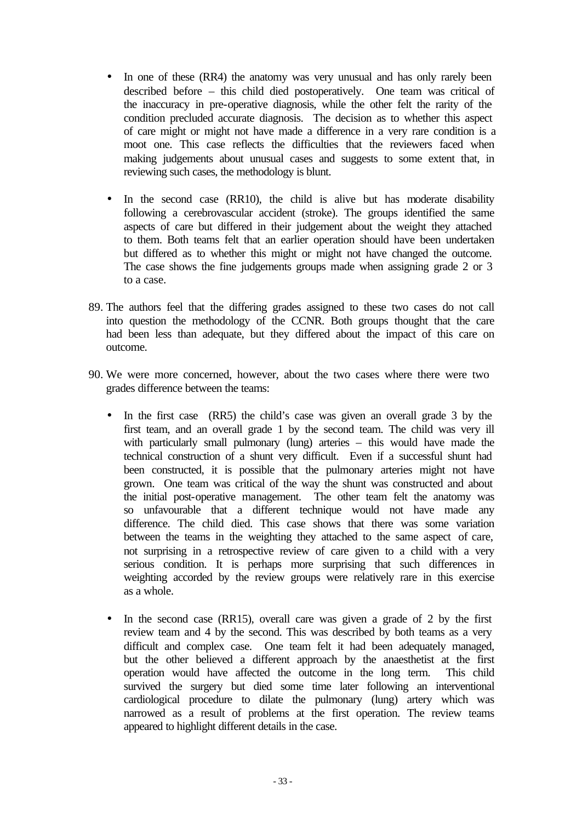- In one of these (RR4) the anatomy was very unusual and has only rarely been described before – this child died postoperatively. One team was critical of the inaccuracy in pre-operative diagnosis, while the other felt the rarity of the condition precluded accurate diagnosis. The decision as to whether this aspect of care might or might not have made a difference in a very rare condition is a moot one. This case reflects the difficulties that the reviewers faced when making judgements about unusual cases and suggests to some extent that, in reviewing such cases, the methodology is blunt.
- In the second case (RR10), the child is alive but has moderate disability following a cerebrovascular accident (stroke). The groups identified the same aspects of care but differed in their judgement about the weight they attached to them. Both teams felt that an earlier operation should have been undertaken but differed as to whether this might or might not have changed the outcome. The case shows the fine judgements groups made when assigning grade 2 or 3 to a case.
- 89. The authors feel that the differing grades assigned to these two cases do not call into question the methodology of the CCNR. Both groups thought that the care had been less than adequate, but they differed about the impact of this care on outcome.
- 90. We were more concerned, however, about the two cases where there were two grades difference between the teams:
	- In the first case (RR5) the child's case was given an overall grade 3 by the first team, and an overall grade 1 by the second team. The child was very ill with particularly small pulmonary (lung) arteries – this would have made the technical construction of a shunt very difficult. Even if a successful shunt had been constructed, it is possible that the pulmonary arteries might not have grown. One team was critical of the way the shunt was constructed and about the initial post-operative management. The other team felt the anatomy was so unfavourable that a different technique would not have made any difference. The child died. This case shows that there was some variation between the teams in the weighting they attached to the same aspect of care, not surprising in a retrospective review of care given to a child with a very serious condition. It is perhaps more surprising that such differences in weighting accorded by the review groups were relatively rare in this exercise as a whole.
	- In the second case (RR15), overall care was given a grade of 2 by the first review team and 4 by the second. This was described by both teams as a very difficult and complex case. One team felt it had been adequately managed, but the other believed a different approach by the anaesthetist at the first operation would have affected the outcome in the long term. This child survived the surgery but died some time later following an interventional cardiological procedure to dilate the pulmonary (lung) artery which was narrowed as a result of problems at the first operation. The review teams appeared to highlight different details in the case.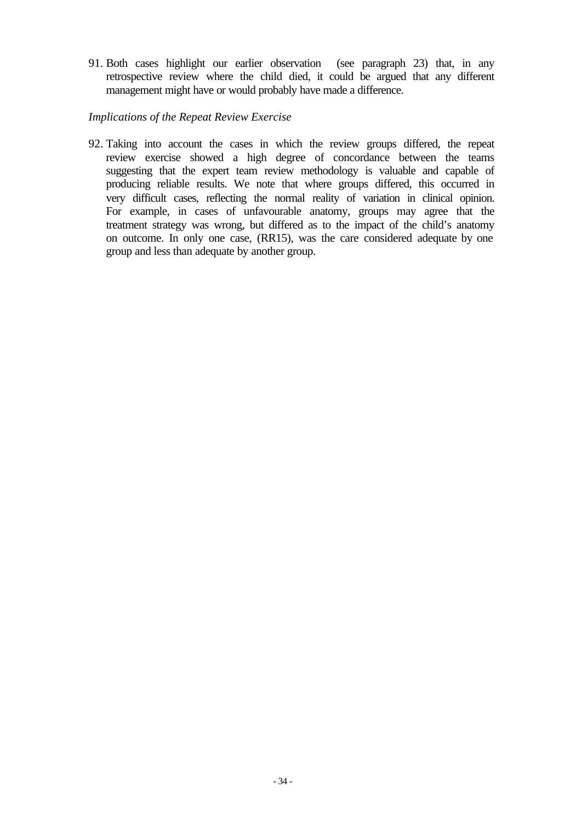91. Both cases highlight our earlier observation (see paragraph 23) that, in any retrospective review where the child died, it could be argued that any different management might have or would probably have made a difference.

#### *Implications of the Repeat Review Exercise*

92. Taking into account the cases in which the review groups differed, the repeat review exercise showed a high degree of concordance between the teams suggesting that the expert team review methodology is valuable and capable of producing reliable results. We note that where groups differed, this occurred in very difficult cases, reflecting the normal reality of variation in clinical opinion. For example, in cases of unfavourable anatomy, groups may agree that the treatment strategy was wrong, but differed as to the impact of the child's anatomy on outcome. In only one case, (RR15), was the care considered adequate by one group and less than adequate by another group.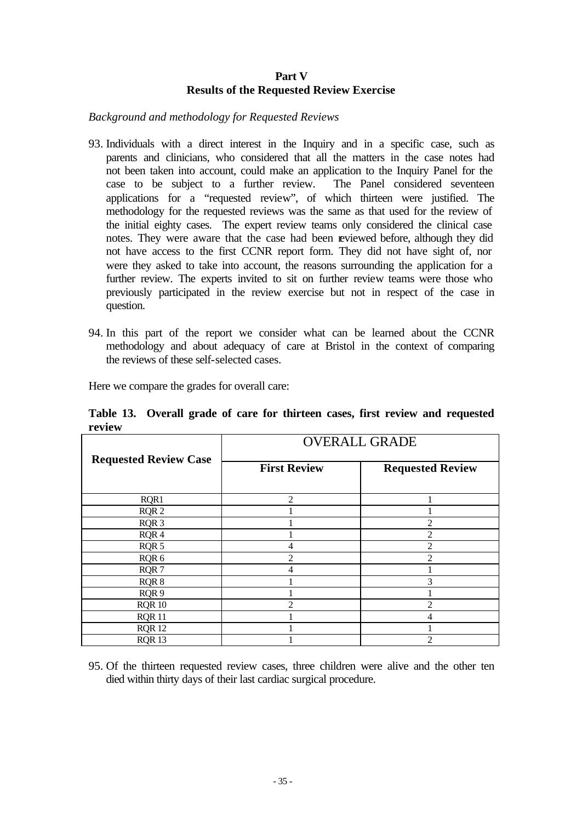## **Part V Results of the Requested Review Exercise**

*Background and methodology for Requested Reviews*

- 93. Individuals with a direct interest in the Inquiry and in a specific case, such as parents and clinicians, who considered that all the matters in the case notes had not been taken into account, could make an application to the Inquiry Panel for the case to be subject to a further review. The Panel considered seventeen applications for a "requested review", of which thirteen were justified. The methodology for the requested reviews was the same as that used for the review of the initial eighty cases. The expert review teams only considered the clinical case notes. They were aware that the case had been reviewed before, although they did not have access to the first CCNR report form. They did not have sight of, nor were they asked to take into account, the reasons surrounding the application for a further review. The experts invited to sit on further review teams were those who previously participated in the review exercise but not in respect of the case in question.
- 94. In this part of the report we consider what can be learned about the CCNR methodology and about adequacy of care at Bristol in the context of comparing the reviews of these self-selected cases.

Here we compare the grades for overall care:

**Table 13. Overall grade of care for thirteen cases, first review and requested review**

|                              | <b>OVERALL GRADE</b> |                                                                                                                                                                                                                                                                                                                                                                                                             |  |  |  |  |  |  |  |
|------------------------------|----------------------|-------------------------------------------------------------------------------------------------------------------------------------------------------------------------------------------------------------------------------------------------------------------------------------------------------------------------------------------------------------------------------------------------------------|--|--|--|--|--|--|--|
| <b>Requested Review Case</b> | <b>First Review</b>  | <b>Requested Review</b>                                                                                                                                                                                                                                                                                                                                                                                     |  |  |  |  |  |  |  |
| RQR1                         | $\mathcal{D}$        |                                                                                                                                                                                                                                                                                                                                                                                                             |  |  |  |  |  |  |  |
| RQR <sub>2</sub>             |                      |                                                                                                                                                                                                                                                                                                                                                                                                             |  |  |  |  |  |  |  |
| RQR <sub>3</sub>             |                      | $\mathcal{D}_{\mathcal{L}}^{\mathcal{L}}(\mathcal{L})=\mathcal{L}_{\mathcal{L}}^{\mathcal{L}}(\mathcal{L})\mathcal{L}_{\mathcal{L}}^{\mathcal{L}}(\mathcal{L})$                                                                                                                                                                                                                                             |  |  |  |  |  |  |  |
| RQR4                         |                      | $\overline{c}$                                                                                                                                                                                                                                                                                                                                                                                              |  |  |  |  |  |  |  |
| RQR 5                        | 4                    | $\overline{c}$                                                                                                                                                                                                                                                                                                                                                                                              |  |  |  |  |  |  |  |
| RQR 6                        |                      | $\mathfrak{D}$                                                                                                                                                                                                                                                                                                                                                                                              |  |  |  |  |  |  |  |
| RQR7                         | 4                    |                                                                                                                                                                                                                                                                                                                                                                                                             |  |  |  |  |  |  |  |
| RQR8                         |                      | 3                                                                                                                                                                                                                                                                                                                                                                                                           |  |  |  |  |  |  |  |
| RQR 9                        |                      |                                                                                                                                                                                                                                                                                                                                                                                                             |  |  |  |  |  |  |  |
| <b>RQR 10</b>                | っ                    | $\mathfrak{D}_{1}^{(1)} = \mathfrak{D}_{2}^{(1)} = \mathfrak{D}_{2}^{(1)} = \mathfrak{D}_{2}^{(1)} = \mathfrak{D}_{2}^{(1)} = \mathfrak{D}_{2}^{(1)} = \mathfrak{D}_{2}^{(1)} = \mathfrak{D}_{2}^{(1)} = \mathfrak{D}_{2}^{(1)} = \mathfrak{D}_{2}^{(1)} = \mathfrak{D}_{2}^{(1)} = \mathfrak{D}_{2}^{(1)} = \mathfrak{D}_{2}^{(1)} = \mathfrak{D}_{2}^{(1)} = \mathfrak{D}_{2}^{(1)} = \mathfrak{D}_{2}^{$ |  |  |  |  |  |  |  |
| <b>RQR 11</b>                |                      | 4                                                                                                                                                                                                                                                                                                                                                                                                           |  |  |  |  |  |  |  |
| <b>RQR12</b>                 |                      |                                                                                                                                                                                                                                                                                                                                                                                                             |  |  |  |  |  |  |  |
| RQR 13                       |                      | 2                                                                                                                                                                                                                                                                                                                                                                                                           |  |  |  |  |  |  |  |

95. Of the thirteen requested review cases, three children were alive and the other ten died within thirty days of their last cardiac surgical procedure.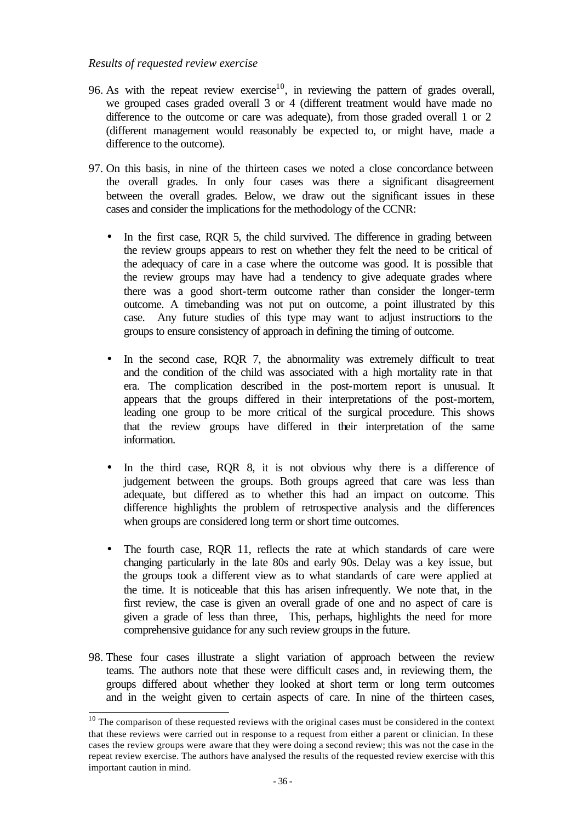#### *Results of requested review exercise*

- 96. As with the repeat review exercise<sup>10</sup>, in reviewing the pattern of grades overall, we grouped cases graded overall 3 or 4 (different treatment would have made no difference to the outcome or care was adequate), from those graded overall 1 or 2 (different management would reasonably be expected to, or might have, made a difference to the outcome).
- 97. On this basis, in nine of the thirteen cases we noted a close concordance between the overall grades. In only four cases was there a significant disagreement between the overall grades. Below, we draw out the significant issues in these cases and consider the implications for the methodology of the CCNR:
	- In the first case, RQR 5, the child survived. The difference in grading between the review groups appears to rest on whether they felt the need to be critical of the adequacy of care in a case where the outcome was good. It is possible that the review groups may have had a tendency to give adequate grades where there was a good short-term outcome rather than consider the longer-term outcome. A timebanding was not put on outcome, a point illustrated by this case. Any future studies of this type may want to adjust instructions to the groups to ensure consistency of approach in defining the timing of outcome.
	- In the second case, ROR 7, the abnormality was extremely difficult to treat and the condition of the child was associated with a high mortality rate in that era. The complication described in the post-mortem report is unusual. It appears that the groups differed in their interpretations of the post-mortem, leading one group to be more critical of the surgical procedure. This shows that the review groups have differed in their interpretation of the same information.
	- In the third case, RQR 8, it is not obvious why there is a difference of judgement between the groups. Both groups agreed that care was less than adequate, but differed as to whether this had an impact on outcome. This difference highlights the problem of retrospective analysis and the differences when groups are considered long term or short time outcomes.
	- The fourth case, RQR 11, reflects the rate at which standards of care were changing particularly in the late 80s and early 90s. Delay was a key issue, but the groups took a different view as to what standards of care were applied at the time. It is noticeable that this has arisen infrequently. We note that, in the first review, the case is given an overall grade of one and no aspect of care is given a grade of less than three, This, perhaps, highlights the need for more comprehensive guidance for any such review groups in the future.
- 98. These four cases illustrate a slight variation of approach between the review teams. The authors note that these were difficult cases and, in reviewing them, the groups differed about whether they looked at short term or long term outcomes and in the weight given to certain aspects of care. In nine of the thirteen cases,

l

 $10$  The comparison of these requested reviews with the original cases must be considered in the context that these reviews were carried out in response to a request from either a parent or clinician. In these cases the review groups were aware that they were doing a second review; this was not the case in the repeat review exercise. The authors have analysed the results of the requested review exercise with this important caution in mind.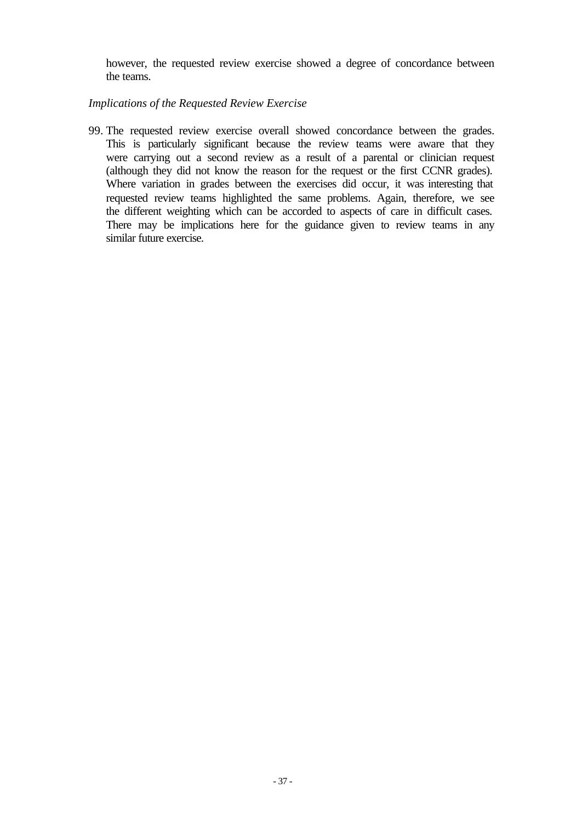however, the requested review exercise showed a degree of concordance between the teams.

## *Implications of the Requested Review Exercise*

99. The requested review exercise overall showed concordance between the grades. This is particularly significant because the review teams were aware that they were carrying out a second review as a result of a parental or clinician request (although they did not know the reason for the request or the first CCNR grades). Where variation in grades between the exercises did occur, it was interesting that requested review teams highlighted the same problems. Again, therefore, we see the different weighting which can be accorded to aspects of care in difficult cases. There may be implications here for the guidance given to review teams in any similar future exercise.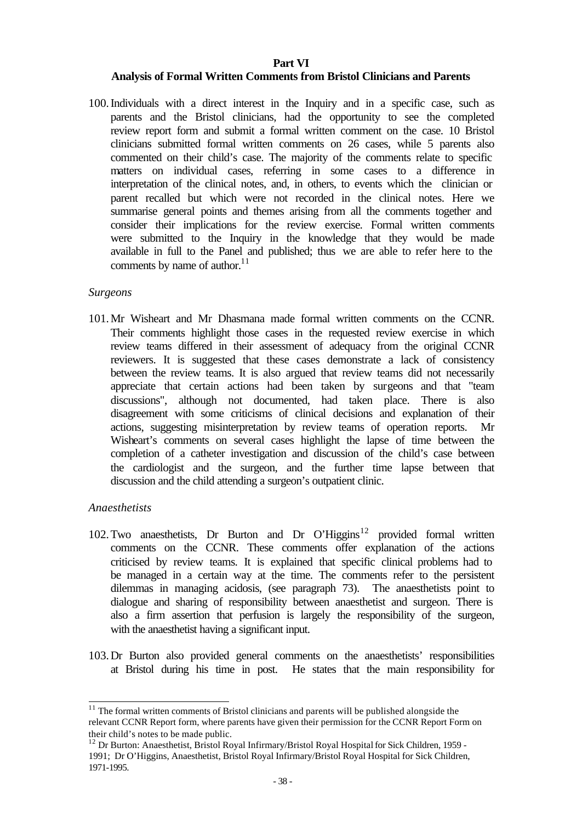## **Part VI**

# **Analysis of Formal Written Comments from Bristol Clinicians and Parents**

100.Individuals with a direct interest in the Inquiry and in a specific case, such as parents and the Bristol clinicians, had the opportunity to see the completed review report form and submit a formal written comment on the case. 10 Bristol clinicians submitted formal written comments on 26 cases, while 5 parents also commented on their child's case. The majority of the comments relate to specific matters on individual cases, referring in some cases to a difference in interpretation of the clinical notes, and, in others, to events which the clinician or parent recalled but which were not recorded in the clinical notes. Here we summarise general points and themes arising from all the comments together and consider their implications for the review exercise. Formal written comments were submitted to the Inquiry in the knowledge that they would be made available in full to the Panel and published; thus we are able to refer here to the comments by name of author.<sup>11</sup>

## *Surgeons*

101.Mr Wisheart and Mr Dhasmana made formal written comments on the CCNR. Their comments highlight those cases in the requested review exercise in which review teams differed in their assessment of adequacy from the original CCNR reviewers. It is suggested that these cases demonstrate a lack of consistency between the review teams. It is also argued that review teams did not necessarily appreciate that certain actions had been taken by surgeons and that "team discussions", although not documented, had taken place. There is also disagreement with some criticisms of clinical decisions and explanation of their actions, suggesting misinterpretation by review teams of operation reports. Mr Wisheart's comments on several cases highlight the lapse of time between the completion of a catheter investigation and discussion of the child's case between the cardiologist and the surgeon, and the further time lapse between that discussion and the child attending a surgeon's outpatient clinic.

# *Anaesthetists*

l

- 102. Two anaesthetists, Dr Burton and Dr O'Higgins<sup>12</sup> provided formal written comments on the CCNR. These comments offer explanation of the actions criticised by review teams. It is explained that specific clinical problems had to be managed in a certain way at the time. The comments refer to the persistent dilemmas in managing acidosis, (see paragraph 73). The anaesthetists point to dialogue and sharing of responsibility between anaesthetist and surgeon. There is also a firm assertion that perfusion is largely the responsibility of the surgeon, with the anaesthetist having a significant input.
- 103.Dr Burton also provided general comments on the anaesthetists' responsibilities at Bristol during his time in post. He states that the main responsibility for

 $11$  The formal written comments of Bristol clinicians and parents will be published alongside the relevant CCNR Report form, where parents have given their permission for the CCNR Report Form on their child's notes to be made public.

<sup>&</sup>lt;sup>12</sup> Dr Burton: Anaesthetist, Bristol Royal Infirmary/Bristol Royal Hospital for Sick Children, 1959 -1991; Dr O'Higgins, Anaesthetist, Bristol Royal Infirmary/Bristol Royal Hospital for Sick Children, 1971-1995.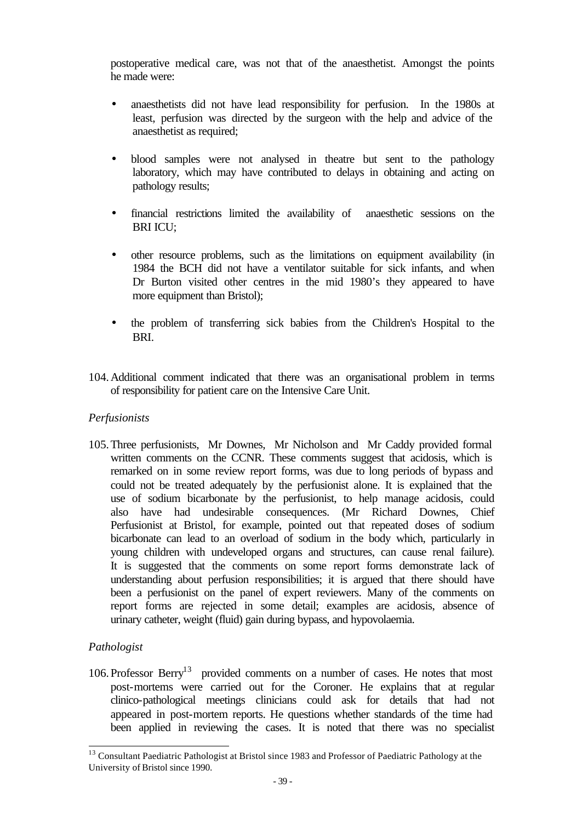postoperative medical care, was not that of the anaesthetist. Amongst the points he made were:

- anaesthetists did not have lead responsibility for perfusion. In the 1980s at least, perfusion was directed by the surgeon with the help and advice of the anaesthetist as required;
- blood samples were not analysed in theatre but sent to the pathology laboratory, which may have contributed to delays in obtaining and acting on pathology results;
- financial restrictions limited the availability of anaesthetic sessions on the BRI ICU;
- other resource problems, such as the limitations on equipment availability (in 1984 the BCH did not have a ventilator suitable for sick infants, and when Dr Burton visited other centres in the mid 1980's they appeared to have more equipment than Bristol);
- the problem of transferring sick babies from the Children's Hospital to the BRI.
- 104.Additional comment indicated that there was an organisational problem in terms of responsibility for patient care on the Intensive Care Unit.

# *Perfusionists*

105.Three perfusionists, Mr Downes, Mr Nicholson and Mr Caddy provided formal written comments on the CCNR. These comments suggest that acidosis, which is remarked on in some review report forms, was due to long periods of bypass and could not be treated adequately by the perfusionist alone. It is explained that the use of sodium bicarbonate by the perfusionist, to help manage acidosis, could also have had undesirable consequences. (Mr Richard Downes, Chief Perfusionist at Bristol, for example, pointed out that repeated doses of sodium bicarbonate can lead to an overload of sodium in the body which, particularly in young children with undeveloped organs and structures, can cause renal failure). It is suggested that the comments on some report forms demonstrate lack of understanding about perfusion responsibilities; it is argued that there should have been a perfusionist on the panel of expert reviewers. Many of the comments on report forms are rejected in some detail; examples are acidosis, absence of urinary catheter, weight (fluid) gain during bypass, and hypovolaemia.

# *Pathologist*

l

106. Professor Berry<sup>13</sup> provided comments on a number of cases. He notes that most post-mortems were carried out for the Coroner. He explains that at regular clinico-pathological meetings clinicians could ask for details that had not appeared in post-mortem reports. He questions whether standards of the time had been applied in reviewing the cases. It is noted that there was no specialist

<sup>&</sup>lt;sup>13</sup> Consultant Paediatric Pathologist at Bristol since 1983 and Professor of Paediatric Pathology at the University of Bristol since 1990.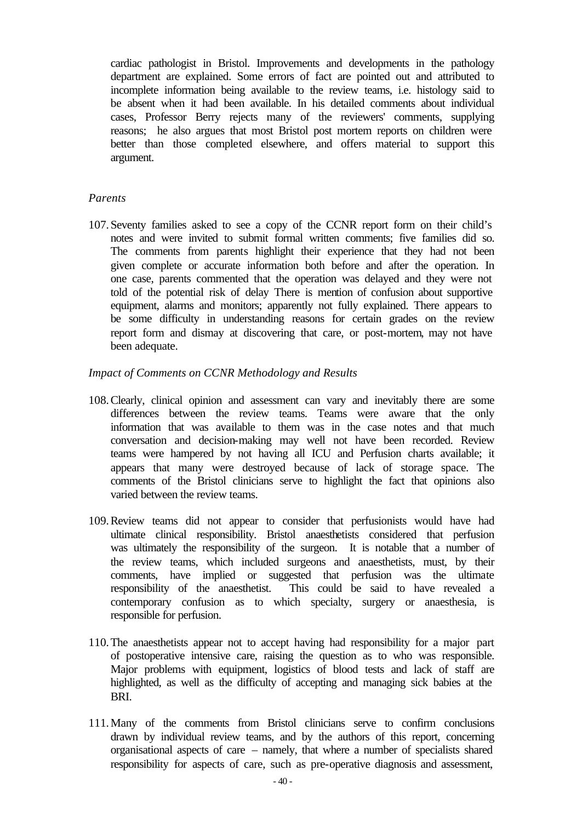cardiac pathologist in Bristol. Improvements and developments in the pathology department are explained. Some errors of fact are pointed out and attributed to incomplete information being available to the review teams, i.e. histology said to be absent when it had been available. In his detailed comments about individual cases, Professor Berry rejects many of the reviewers' comments, supplying reasons; he also argues that most Bristol post mortem reports on children were better than those completed elsewhere, and offers material to support this argument.

## *Parents*

107.Seventy families asked to see a copy of the CCNR report form on their child's notes and were invited to submit formal written comments; five families did so. The comments from parents highlight their experience that they had not been given complete or accurate information both before and after the operation. In one case, parents commented that the operation was delayed and they were not told of the potential risk of delay There is mention of confusion about supportive equipment, alarms and monitors; apparently not fully explained. There appears to be some difficulty in understanding reasons for certain grades on the review report form and dismay at discovering that care, or post-mortem, may not have been adequate.

## *Impact of Comments on CCNR Methodology and Results*

- 108.Clearly, clinical opinion and assessment can vary and inevitably there are some differences between the review teams. Teams were aware that the only information that was available to them was in the case notes and that much conversation and decision-making may well not have been recorded. Review teams were hampered by not having all ICU and Perfusion charts available; it appears that many were destroyed because of lack of storage space. The comments of the Bristol clinicians serve to highlight the fact that opinions also varied between the review teams.
- 109.Review teams did not appear to consider that perfusionists would have had ultimate clinical responsibility. Bristol anaesthetists considered that perfusion was ultimately the responsibility of the surgeon. It is notable that a number of the review teams, which included surgeons and anaesthetists, must, by their comments, have implied or suggested that perfusion was the ultimate responsibility of the anaesthetist. This could be said to have revealed a contemporary confusion as to which specialty, surgery or anaesthesia, is responsible for perfusion.
- 110.The anaesthetists appear not to accept having had responsibility for a major part of postoperative intensive care, raising the question as to who was responsible. Major problems with equipment, logistics of blood tests and lack of staff are highlighted, as well as the difficulty of accepting and managing sick babies at the BRI.
- 111.Many of the comments from Bristol clinicians serve to confirm conclusions drawn by individual review teams, and by the authors of this report, concerning organisational aspects of care – namely, that where a number of specialists shared responsibility for aspects of care, such as pre-operative diagnosis and assessment,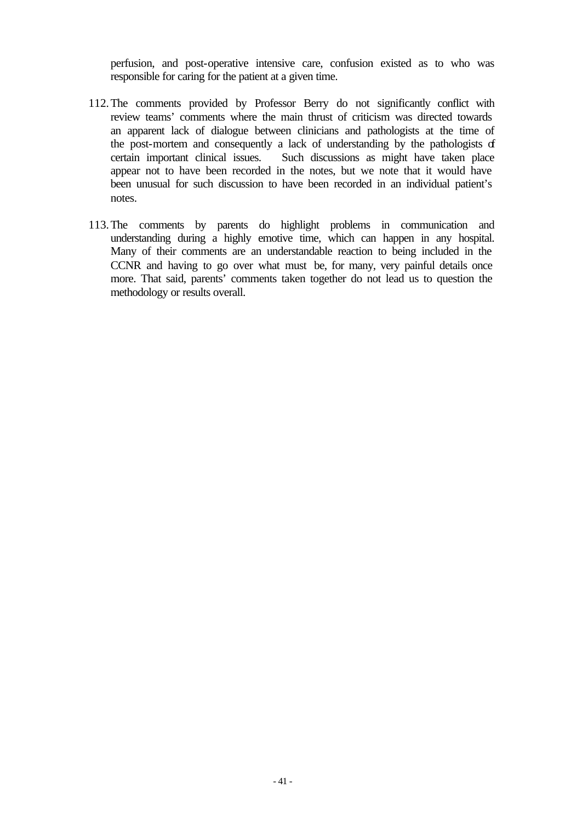perfusion, and post-operative intensive care, confusion existed as to who was responsible for caring for the patient at a given time.

- 112.The comments provided by Professor Berry do not significantly conflict with review teams' comments where the main thrust of criticism was directed towards an apparent lack of dialogue between clinicians and pathologists at the time of the post-mortem and consequently a lack of understanding by the pathologists of certain important clinical issues. Such discussions as might have taken place appear not to have been recorded in the notes, but we note that it would have been unusual for such discussion to have been recorded in an individual patient's notes.
- 113.The comments by parents do highlight problems in communication and understanding during a highly emotive time, which can happen in any hospital. Many of their comments are an understandable reaction to being included in the CCNR and having to go over what must be, for many, very painful details once more. That said, parents' comments taken together do not lead us to question the methodology or results overall.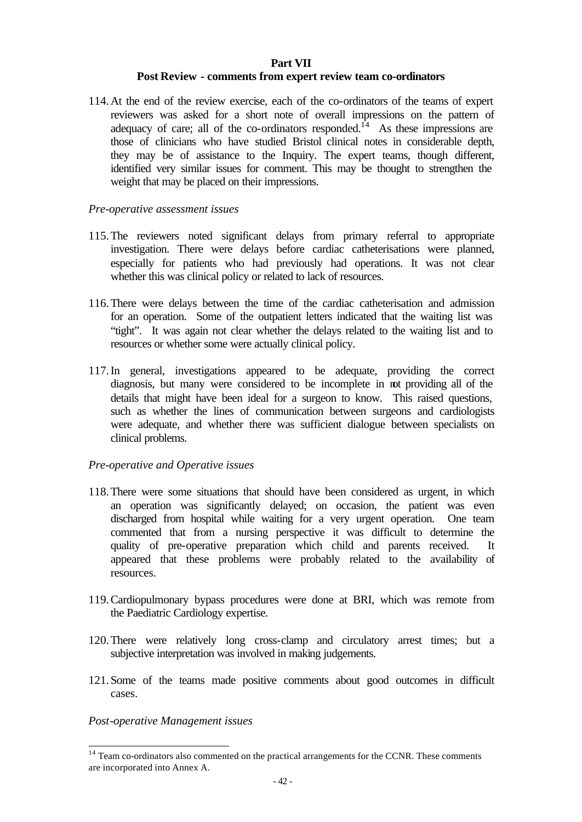# **Part VII**

# **Post Review - comments from expert review team co-ordinators**

114.At the end of the review exercise, each of the co-ordinators of the teams of expert reviewers was asked for a short note of overall impressions on the pattern of adequacy of care; all of the co-ordinators responded.<sup>14</sup> As these impressions are those of clinicians who have studied Bristol clinical notes in considerable depth, they may be of assistance to the Inquiry. The expert teams, though different, identified very similar issues for comment. This may be thought to strengthen the weight that may be placed on their impressions.

## *Pre-operative assessment issues*

- 115.The reviewers noted significant delays from primary referral to appropriate investigation. There were delays before cardiac catheterisations were planned, especially for patients who had previously had operations. It was not clear whether this was clinical policy or related to lack of resources.
- 116.There were delays between the time of the cardiac catheterisation and admission for an operation. Some of the outpatient letters indicated that the waiting list was "tight". It was again not clear whether the delays related to the waiting list and to resources or whether some were actually clinical policy.
- 117.In general, investigations appeared to be adequate, providing the correct diagnosis, but many were considered to be incomplete in not providing all of the details that might have been ideal for a surgeon to know. This raised questions, such as whether the lines of communication between surgeons and cardiologists were adequate, and whether there was sufficient dialogue between specialists on clinical problems.

# *Pre-operative and Operative issues*

- 118.There were some situations that should have been considered as urgent, in which an operation was significantly delayed; on occasion, the patient was even discharged from hospital while waiting for a very urgent operation. One team commented that from a nursing perspective it was difficult to determine the quality of pre-operative preparation which child and parents received. It appeared that these problems were probably related to the availability of resources.
- 119.Cardiopulmonary bypass procedures were done at BRI, which was remote from the Paediatric Cardiology expertise.
- 120.There were relatively long cross-clamp and circulatory arrest times; but a subjective interpretation was involved in making judgements.
- 121.Some of the teams made positive comments about good outcomes in difficult cases.

*Post-operative Management issues*

l

 $14$  Team co-ordinators also commented on the practical arrangements for the CCNR. These comments are incorporated into Annex A.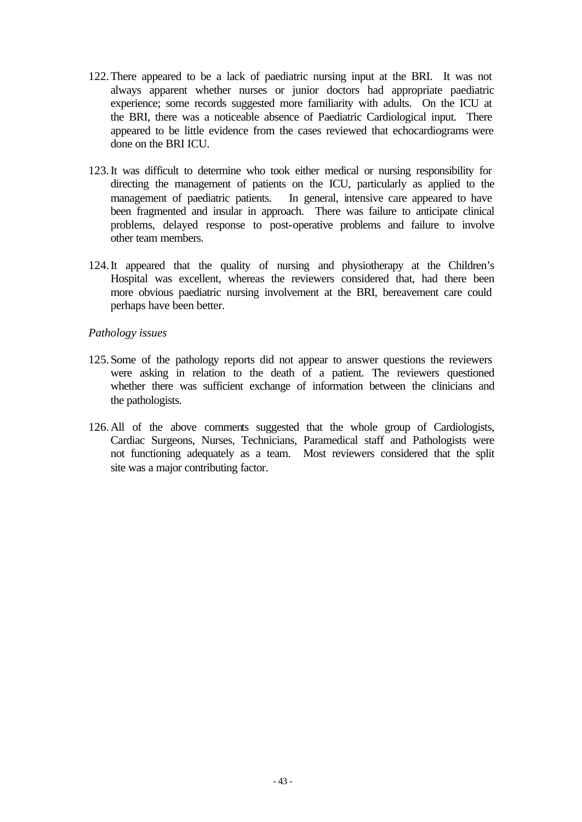- 122.There appeared to be a lack of paediatric nursing input at the BRI. It was not always apparent whether nurses or junior doctors had appropriate paediatric experience; some records suggested more familiarity with adults. On the ICU at the BRI, there was a noticeable absence of Paediatric Cardiological input. There appeared to be little evidence from the cases reviewed that echocardiograms were done on the BRI ICU.
- 123.It was difficult to determine who took either medical or nursing responsibility for directing the management of patients on the ICU, particularly as applied to the management of paediatric patients. In general, intensive care appeared to have been fragmented and insular in approach. There was failure to anticipate clinical problems, delayed response to post-operative problems and failure to involve other team members.
- 124.It appeared that the quality of nursing and physiotherapy at the Children's Hospital was excellent, whereas the reviewers considered that, had there been more obvious paediatric nursing involvement at the BRI, bereavement care could perhaps have been better.

## *Pathology issues*

- 125.Some of the pathology reports did not appear to answer questions the reviewers were asking in relation to the death of a patient. The reviewers questioned whether there was sufficient exchange of information between the clinicians and the pathologists.
- 126.All of the above comments suggested that the whole group of Cardiologists, Cardiac Surgeons, Nurses, Technicians, Paramedical staff and Pathologists were not functioning adequately as a team. Most reviewers considered that the split site was a major contributing factor.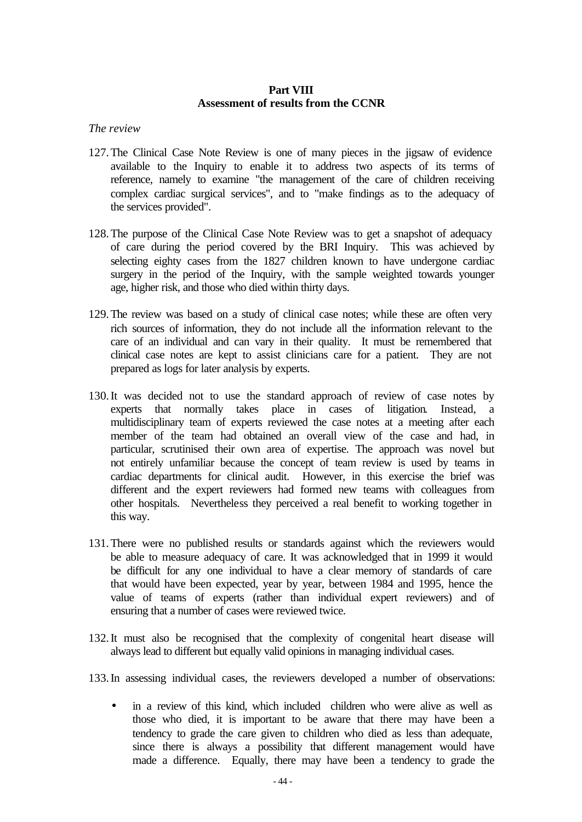## **Part VIII Assessment of results from the CCNR**

### *The review*

- 127.The Clinical Case Note Review is one of many pieces in the jigsaw of evidence available to the Inquiry to enable it to address two aspects of its terms of reference, namely to examine "the management of the care of children receiving complex cardiac surgical services", and to "make findings as to the adequacy of the services provided".
- 128.The purpose of the Clinical Case Note Review was to get a snapshot of adequacy of care during the period covered by the BRI Inquiry. This was achieved by selecting eighty cases from the 1827 children known to have undergone cardiac surgery in the period of the Inquiry, with the sample weighted towards younger age, higher risk, and those who died within thirty days.
- 129.The review was based on a study of clinical case notes; while these are often very rich sources of information, they do not include all the information relevant to the care of an individual and can vary in their quality. It must be remembered that clinical case notes are kept to assist clinicians care for a patient. They are not prepared as logs for later analysis by experts.
- 130.It was decided not to use the standard approach of review of case notes by experts that normally takes place in cases of litigation. Instead, a multidisciplinary team of experts reviewed the case notes at a meeting after each member of the team had obtained an overall view of the case and had, in particular, scrutinised their own area of expertise. The approach was novel but not entirely unfamiliar because the concept of team review is used by teams in cardiac departments for clinical audit. However, in this exercise the brief was different and the expert reviewers had formed new teams with colleagues from other hospitals. Nevertheless they perceived a real benefit to working together in this way.
- 131.There were no published results or standards against which the reviewers would be able to measure adequacy of care. It was acknowledged that in 1999 it would be difficult for any one individual to have a clear memory of standards of care that would have been expected, year by year, between 1984 and 1995, hence the value of teams of experts (rather than individual expert reviewers) and of ensuring that a number of cases were reviewed twice.
- 132.It must also be recognised that the complexity of congenital heart disease will always lead to different but equally valid opinions in managing individual cases.
- 133.In assessing individual cases, the reviewers developed a number of observations:
	- in a review of this kind, which included children who were alive as well as those who died, it is important to be aware that there may have been a tendency to grade the care given to children who died as less than adequate, since there is always a possibility that different management would have made a difference. Equally, there may have been a tendency to grade the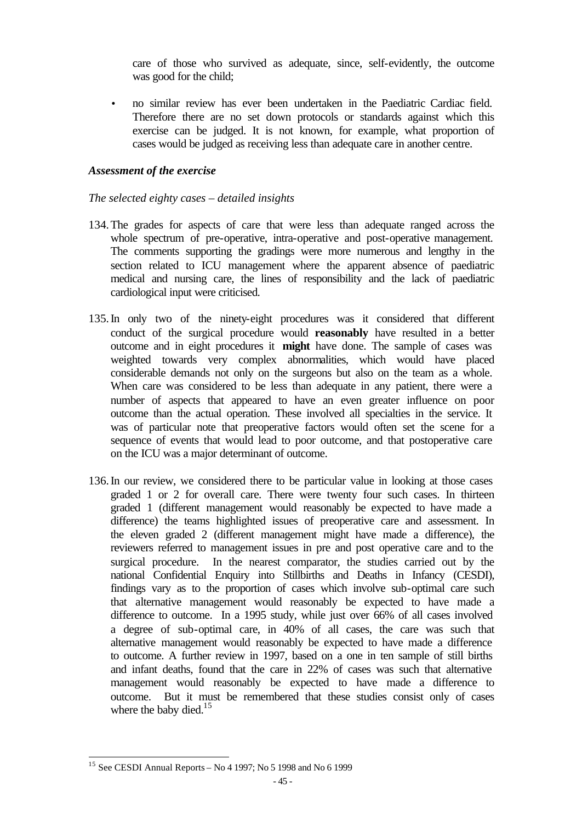care of those who survived as adequate, since, self-evidently, the outcome was good for the child;

• no similar review has ever been undertaken in the Paediatric Cardiac field. Therefore there are no set down protocols or standards against which this exercise can be judged. It is not known, for example, what proportion of cases would be judged as receiving less than adequate care in another centre.

## *Assessment of the exercise*

## *The selected eighty cases – detailed insights*

- 134.The grades for aspects of care that were less than adequate ranged across the whole spectrum of pre-operative, intra-operative and post-operative management. The comments supporting the gradings were more numerous and lengthy in the section related to ICU management where the apparent absence of paediatric medical and nursing care, the lines of responsibility and the lack of paediatric cardiological input were criticised.
- 135.In only two of the ninety-eight procedures was it considered that different conduct of the surgical procedure would **reasonably** have resulted in a better outcome and in eight procedures it **might** have done. The sample of cases was weighted towards very complex abnormalities, which would have placed considerable demands not only on the surgeons but also on the team as a whole. When care was considered to be less than adequate in any patient, there were a number of aspects that appeared to have an even greater influence on poor outcome than the actual operation. These involved all specialties in the service. It was of particular note that preoperative factors would often set the scene for a sequence of events that would lead to poor outcome, and that postoperative care on the ICU was a major determinant of outcome.
- 136.In our review, we considered there to be particular value in looking at those cases graded 1 or 2 for overall care. There were twenty four such cases. In thirteen graded 1 (different management would reasonably be expected to have made a difference) the teams highlighted issues of preoperative care and assessment. In the eleven graded 2 (different management might have made a difference), the reviewers referred to management issues in pre and post operative care and to the surgical procedure. In the nearest comparator, the studies carried out by the national Confidential Enquiry into Stillbirths and Deaths in Infancy (CESDI), findings vary as to the proportion of cases which involve sub-optimal care such that alternative management would reasonably be expected to have made a difference to outcome. In a 1995 study, while just over 66% of all cases involved a degree of sub-optimal care, in 40% of all cases, the care was such that alternative management would reasonably be expected to have made a difference to outcome. A further review in 1997, based on a one in ten sample of still births and infant deaths, found that the care in 22% of cases was such that alternative management would reasonably be expected to have made a difference to outcome. But it must be remembered that these studies consist only of cases where the baby died.<sup>15</sup>

l

 $15$  See CESDI Annual Reports – No 4 1997; No 5 1998 and No 6 1999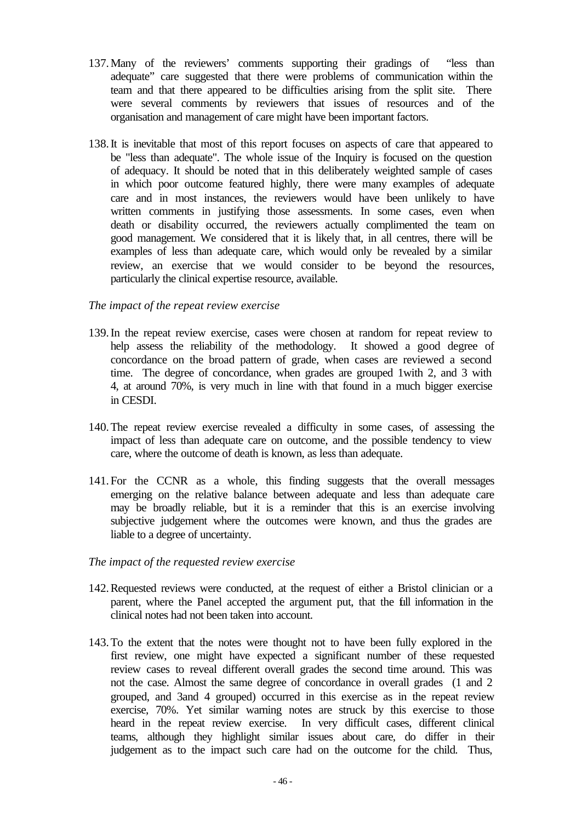- 137.Many of the reviewers' comments supporting their gradings of "less than adequate" care suggested that there were problems of communication within the team and that there appeared to be difficulties arising from the split site. There were several comments by reviewers that issues of resources and of the organisation and management of care might have been important factors.
- 138.It is inevitable that most of this report focuses on aspects of care that appeared to be "less than adequate". The whole issue of the Inquiry is focused on the question of adequacy. It should be noted that in this deliberately weighted sample of cases in which poor outcome featured highly, there were many examples of adequate care and in most instances, the reviewers would have been unlikely to have written comments in justifying those assessments. In some cases, even when death or disability occurred, the reviewers actually complimented the team on good management. We considered that it is likely that, in all centres, there will be examples of less than adequate care, which would only be revealed by a similar review, an exercise that we would consider to be beyond the resources, particularly the clinical expertise resource, available.

## *The impact of the repeat review exercise*

- 139.In the repeat review exercise, cases were chosen at random for repeat review to help assess the reliability of the methodology. It showed a good degree of concordance on the broad pattern of grade, when cases are reviewed a second time. The degree of concordance, when grades are grouped 1with 2, and 3 with 4, at around 70%, is very much in line with that found in a much bigger exercise in CESDI.
- 140.The repeat review exercise revealed a difficulty in some cases, of assessing the impact of less than adequate care on outcome, and the possible tendency to view care, where the outcome of death is known, as less than adequate.
- 141.For the CCNR as a whole, this finding suggests that the overall messages emerging on the relative balance between adequate and less than adequate care may be broadly reliable, but it is a reminder that this is an exercise involving subjective judgement where the outcomes were known, and thus the grades are liable to a degree of uncertainty.
- *The impact of the requested review exercise*
- 142.Requested reviews were conducted, at the request of either a Bristol clinician or a parent, where the Panel accepted the argument put, that the full information in the clinical notes had not been taken into account.
- 143.To the extent that the notes were thought not to have been fully explored in the first review, one might have expected a significant number of these requested review cases to reveal different overall grades the second time around. This was not the case. Almost the same degree of concordance in overall grades (1 and 2 grouped, and 3and 4 grouped) occurred in this exercise as in the repeat review exercise, 70%. Yet similar warning notes are struck by this exercise to those heard in the repeat review exercise. In very difficult cases, different clinical teams, although they highlight similar issues about care, do differ in their judgement as to the impact such care had on the outcome for the child. Thus,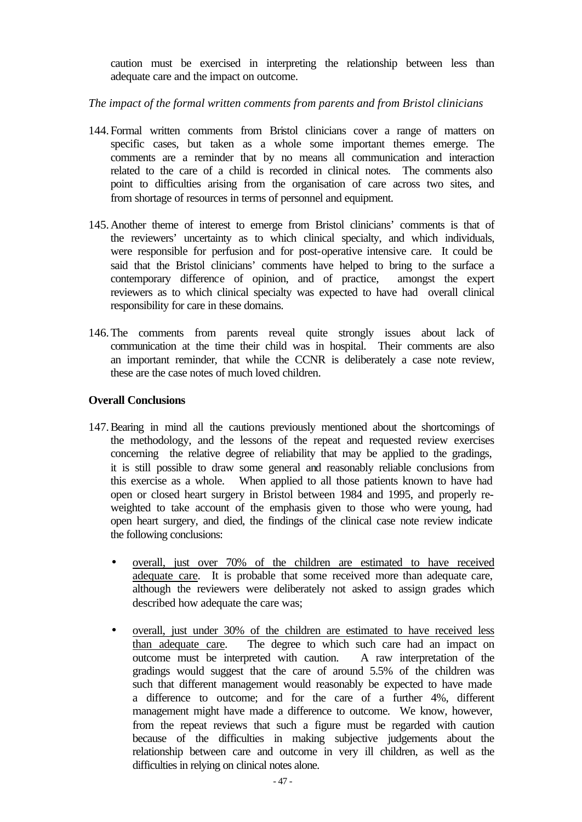caution must be exercised in interpreting the relationship between less than adequate care and the impact on outcome.

*The impact of the formal written comments from parents and from Bristol clinicians* 

- 144.Formal written comments from Bristol clinicians cover a range of matters on specific cases, but taken as a whole some important themes emerge. The comments are a reminder that by no means all communication and interaction related to the care of a child is recorded in clinical notes. The comments also point to difficulties arising from the organisation of care across two sites, and from shortage of resources in terms of personnel and equipment.
- 145.Another theme of interest to emerge from Bristol clinicians' comments is that of the reviewers' uncertainty as to which clinical specialty, and which individuals, were responsible for perfusion and for post-operative intensive care. It could be said that the Bristol clinicians' comments have helped to bring to the surface a contemporary difference of opinion, and of practice, amongst the expert reviewers as to which clinical specialty was expected to have had overall clinical responsibility for care in these domains.
- 146.The comments from parents reveal quite strongly issues about lack of communication at the time their child was in hospital. Their comments are also an important reminder, that while the CCNR is deliberately a case note review, these are the case notes of much loved children.

# **Overall Conclusions**

- 147.Bearing in mind all the cautions previously mentioned about the shortcomings of the methodology, and the lessons of the repeat and requested review exercises concerning the relative degree of reliability that may be applied to the gradings, it is still possible to draw some general and reasonably reliable conclusions from this exercise as a whole. When applied to all those patients known to have had open or closed heart surgery in Bristol between 1984 and 1995, and properly reweighted to take account of the emphasis given to those who were young, had open heart surgery, and died, the findings of the clinical case note review indicate the following conclusions:
	- overall, just over 70% of the children are estimated to have received adequate care. It is probable that some received more than adequate care, although the reviewers were deliberately not asked to assign grades which described how adequate the care was;
	- overall, just under 30% of the children are estimated to have received less than adequate care. The degree to which such care had an impact on outcome must be interpreted with caution. A raw interpretation of the gradings would suggest that the care of around 5.5% of the children was such that different management would reasonably be expected to have made a difference to outcome; and for the care of a further 4%, different management might have made a difference to outcome. We know, however, from the repeat reviews that such a figure must be regarded with caution because of the difficulties in making subjective judgements about the relationship between care and outcome in very ill children, as well as the difficulties in relying on clinical notes alone.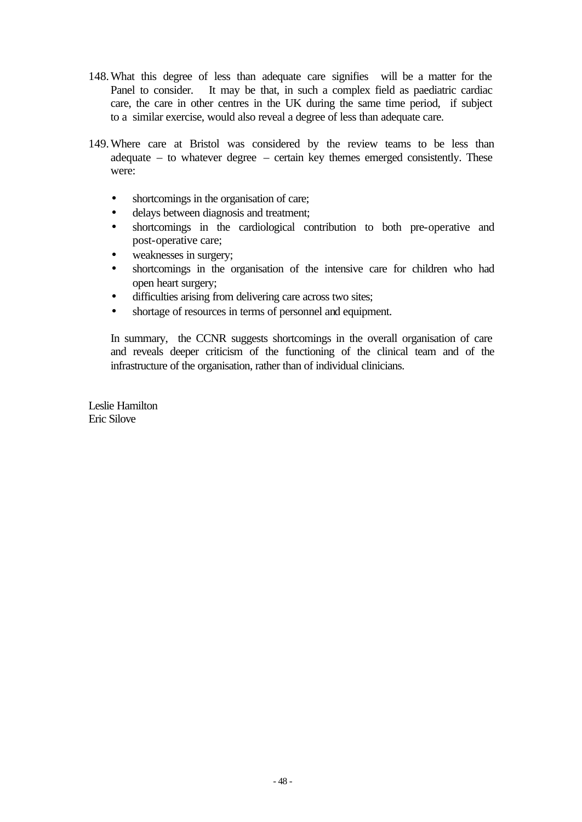- 148.What this degree of less than adequate care signifieswill be a matter for the Panel to consider. It may be that, in such a complex field as paediatric cardiac care, the care in other centres in the UK during the same time period, if subject to a similar exercise, would also reveal a degree of less than adequate care.
- 149.Where care at Bristol was considered by the review teams to be less than adequate – to whatever degree – certain key themes emerged consistently. These were:
	- shortcomings in the organisation of care;
	- delays between diagnosis and treatment;
	- shortcomings in the cardiological contribution to both pre-operative and post-operative care;
	- weaknesses in surgery;
	- shortcomings in the organisation of the intensive care for children who had open heart surgery;
	- difficulties arising from delivering care across two sites;
	- shortage of resources in terms of personnel and equipment.

In summary, the CCNR suggests shortcomings in the overall organisation of care and reveals deeper criticism of the functioning of the clinical team and of the infrastructure of the organisation, rather than of individual clinicians.

Leslie Hamilton Eric Silove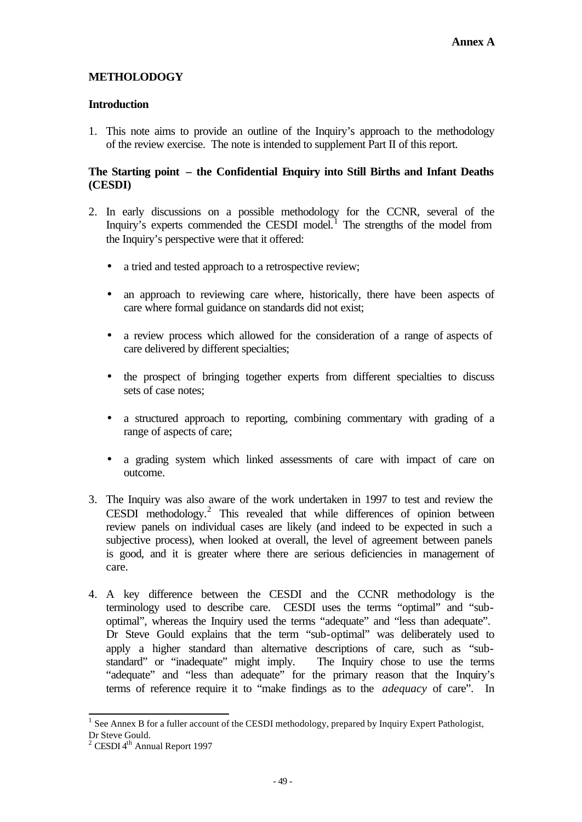# **METHOLODOGY**

# **Introduction**

1. This note aims to provide an outline of the Inquiry's approach to the methodology of the review exercise. The note is intended to supplement Part II of this report.

# **The Starting point – the Confidential Enquiry into Still Births and Infant Deaths (CESDI)**

- 2. In early discussions on a possible methodology for the CCNR, several of the Inquiry's experts commended the CESDI model.<sup>1</sup> The strengths of the model from the Inquiry's perspective were that it offered:
	- a tried and tested approach to a retrospective review;
	- an approach to reviewing care where, historically, there have been aspects of care where formal guidance on standards did not exist;
	- a review process which allowed for the consideration of a range of aspects of care delivered by different specialties;
	- the prospect of bringing together experts from different specialties to discuss sets of case notes;
	- a structured approach to reporting, combining commentary with grading of a range of aspects of care;
	- a grading system which linked assessments of care with impact of care on outcome.
- 3. The Inquiry was also aware of the work undertaken in 1997 to test and review the CESDI methodology.<sup>2</sup> This revealed that while differences of opinion between review panels on individual cases are likely (and indeed to be expected in such a subjective process), when looked at overall, the level of agreement between panels is good, and it is greater where there are serious deficiencies in management of care.
- 4. A key difference between the CESDI and the CCNR methodology is the terminology used to describe care. CESDI uses the terms "optimal" and "suboptimal", whereas the Inquiry used the terms "adequate" and "less than adequate". Dr Steve Gould explains that the term "sub-optimal" was deliberately used to apply a higher standard than alternative descriptions of care, such as "substandard" or "inadequate" might imply. The Inquiry chose to use the terms "adequate" and "less than adequate" for the primary reason that the Inquiry's terms of reference require it to "make findings as to the *adequacy* of care". In

l <sup>1</sup> See Annex B for a fuller account of the CESDI methodology, prepared by Inquiry Expert Pathologist, Dr Steve Gould.

 $2$  CESDI 4<sup>th</sup> Annual Report 1997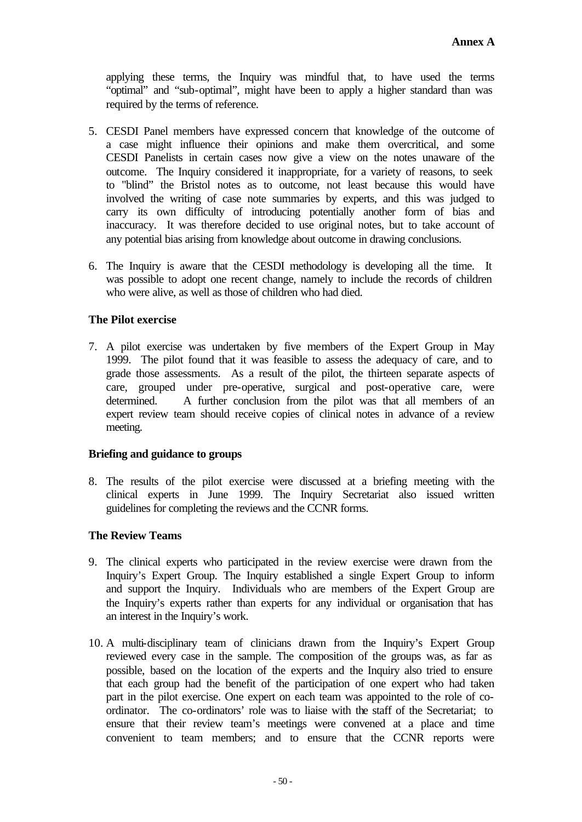applying these terms, the Inquiry was mindful that, to have used the terms "optimal" and "sub-optimal", might have been to apply a higher standard than was required by the terms of reference.

- 5. CESDI Panel members have expressed concern that knowledge of the outcome of a case might influence their opinions and make them overcritical, and some CESDI Panelists in certain cases now give a view on the notes unaware of the outcome. The Inquiry considered it inappropriate, for a variety of reasons, to seek to "blind" the Bristol notes as to outcome, not least because this would have involved the writing of case note summaries by experts, and this was judged to carry its own difficulty of introducing potentially another form of bias and inaccuracy. It was therefore decided to use original notes, but to take account of any potential bias arising from knowledge about outcome in drawing conclusions.
- 6. The Inquiry is aware that the CESDI methodology is developing all the time. It was possible to adopt one recent change, namely to include the records of children who were alive, as well as those of children who had died.

# **The Pilot exercise**

7. A pilot exercise was undertaken by five members of the Expert Group in May 1999. The pilot found that it was feasible to assess the adequacy of care, and to grade those assessments. As a result of the pilot, the thirteen separate aspects of care, grouped under pre-operative, surgical and post-operative care, were determined. A further conclusion from the pilot was that all members of an expert review team should receive copies of clinical notes in advance of a review meeting.

# **Briefing and guidance to groups**

8. The results of the pilot exercise were discussed at a briefing meeting with the clinical experts in June 1999. The Inquiry Secretariat also issued written guidelines for completing the reviews and the CCNR forms.

# **The Review Teams**

- 9. The clinical experts who participated in the review exercise were drawn from the Inquiry's Expert Group. The Inquiry established a single Expert Group to inform and support the Inquiry. Individuals who are members of the Expert Group are the Inquiry's experts rather than experts for any individual or organisation that has an interest in the Inquiry's work.
- 10. A multi-disciplinary team of clinicians drawn from the Inquiry's Expert Group reviewed every case in the sample. The composition of the groups was, as far as possible, based on the location of the experts and the Inquiry also tried to ensure that each group had the benefit of the participation of one expert who had taken part in the pilot exercise. One expert on each team was appointed to the role of coordinator. The co-ordinators' role was to liaise with the staff of the Secretariat; to ensure that their review team's meetings were convened at a place and time convenient to team members; and to ensure that the CCNR reports were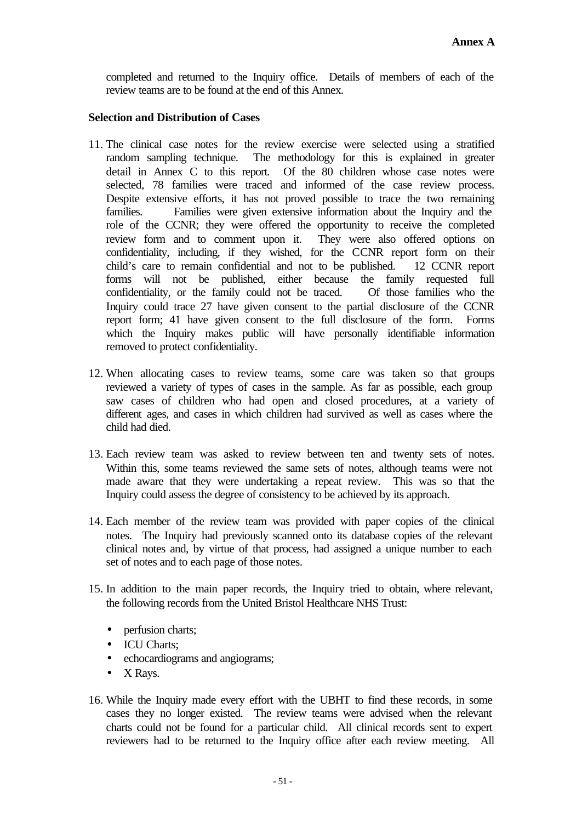completed and returned to the Inquiry office. Details of members of each of the review teams are to be found at the end of this Annex.

# **Selection and Distribution of Cases**

- 11. The clinical case notes for the review exercise were selected using a stratified random sampling technique. The methodology for this is explained in greater detail in Annex C to this report*.* Of the 80 children whose case notes were selected, 78 families were traced and informed of the case review process. Despite extensive efforts, it has not proved possible to trace the two remaining families. Families were given extensive information about the Inquiry and the role of the CCNR; they were offered the opportunity to receive the completed review form and to comment upon it. They were also offered options on confidentiality, including, if they wished, for the CCNR report form on their child's care to remain confidential and not to be published. 12 CCNR report forms will not be published, either because the family requested full confidentiality, or the family could not be traced. Of those families who the Inquiry could trace 27 have given consent to the partial disclosure of the CCNR report form; 41 have given consent to the full disclosure of the form. Forms which the Inquiry makes public will have personally identifiable information removed to protect confidentiality.
- 12. When allocating cases to review teams, some care was taken so that groups reviewed a variety of types of cases in the sample. As far as possible, each group saw cases of children who had open and closed procedures, at a variety of different ages, and cases in which children had survived as well as cases where the child had died.
- 13. Each review team was asked to review between ten and twenty sets of notes. Within this, some teams reviewed the same sets of notes, although teams were not made aware that they were undertaking a repeat review. This was so that the Inquiry could assess the degree of consistency to be achieved by its approach.
- 14. Each member of the review team was provided with paper copies of the clinical notes. The Inquiry had previously scanned onto its database copies of the relevant clinical notes and, by virtue of that process, had assigned a unique number to each set of notes and to each page of those notes.
- 15. In addition to the main paper records, the Inquiry tried to obtain, where relevant, the following records from the United Bristol Healthcare NHS Trust:
	- perfusion charts;
	- ICU Charts;
	- echocardiograms and angiograms;
	- X Rays.
- 16. While the Inquiry made every effort with the UBHT to find these records, in some cases they no longer existed. The review teams were advised when the relevant charts could not be found for a particular child. All clinical records sent to expert reviewers had to be returned to the Inquiry office after each review meeting. All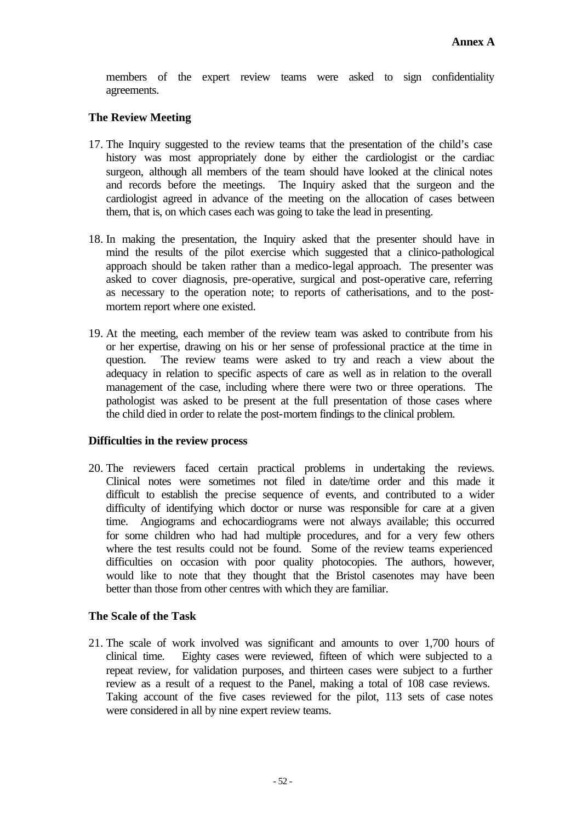members of the expert review teams were asked to sign confidentiality agreements.

# **The Review Meeting**

- 17. The Inquiry suggested to the review teams that the presentation of the child's case history was most appropriately done by either the cardiologist or the cardiac surgeon, although all members of the team should have looked at the clinical notes and records before the meetings. The Inquiry asked that the surgeon and the cardiologist agreed in advance of the meeting on the allocation of cases between them, that is, on which cases each was going to take the lead in presenting.
- 18. In making the presentation, the Inquiry asked that the presenter should have in mind the results of the pilot exercise which suggested that a clinico-pathological approach should be taken rather than a medico-legal approach. The presenter was asked to cover diagnosis, pre-operative, surgical and post-operative care, referring as necessary to the operation note; to reports of catherisations, and to the postmortem report where one existed.
- 19. At the meeting, each member of the review team was asked to contribute from his or her expertise, drawing on his or her sense of professional practice at the time in question. The review teams were asked to try and reach a view about the adequacy in relation to specific aspects of care as well as in relation to the overall management of the case, including where there were two or three operations. The pathologist was asked to be present at the full presentation of those cases where the child died in order to relate the post-mortem findings to the clinical problem.

# **Difficulties in the review process**

20. The reviewers faced certain practical problems in undertaking the reviews. Clinical notes were sometimes not filed in date/time order and this made it difficult to establish the precise sequence of events, and contributed to a wider difficulty of identifying which doctor or nurse was responsible for care at a given time. Angiograms and echocardiograms were not always available; this occurred for some children who had had multiple procedures, and for a very few others where the test results could not be found. Some of the review teams experienced difficulties on occasion with poor quality photocopies. The authors, however, would like to note that they thought that the Bristol casenotes may have been better than those from other centres with which they are familiar.

# **The Scale of the Task**

21. The scale of work involved was significant and amounts to over 1,700 hours of clinical time. Eighty cases were reviewed, fifteen of which were subjected to a repeat review, for validation purposes, and thirteen cases were subject to a further review as a result of a request to the Panel, making a total of 108 case reviews. Taking account of the five cases reviewed for the pilot, 113 sets of case notes were considered in all by nine expert review teams.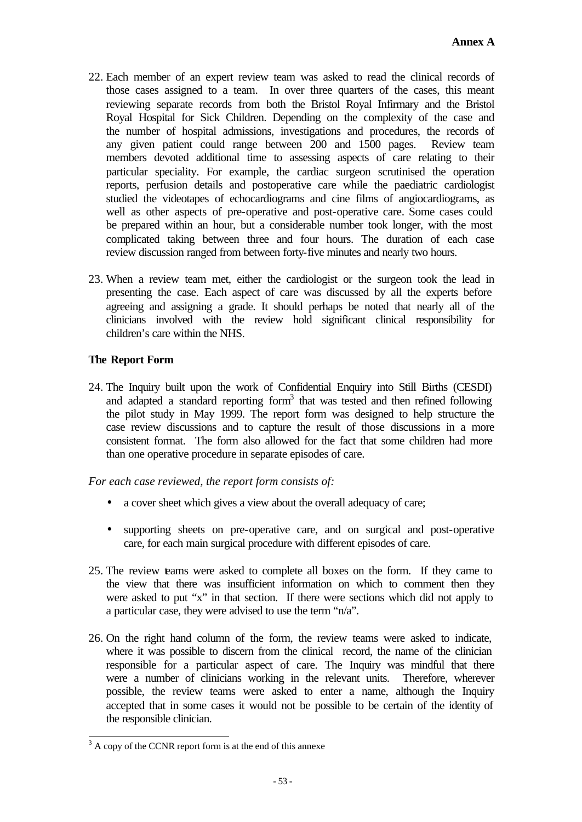- 22. Each member of an expert review team was asked to read the clinical records of those cases assigned to a team. In over three quarters of the cases, this meant reviewing separate records from both the Bristol Royal Infirmary and the Bristol Royal Hospital for Sick Children. Depending on the complexity of the case and the number of hospital admissions, investigations and procedures, the records of any given patient could range between 200 and 1500 pages. Review team members devoted additional time to assessing aspects of care relating to their particular speciality. For example, the cardiac surgeon scrutinised the operation reports, perfusion details and postoperative care while the paediatric cardiologist studied the videotapes of echocardiograms and cine films of angiocardiograms, as well as other aspects of pre-operative and post-operative care. Some cases could be prepared within an hour, but a considerable number took longer, with the most complicated taking between three and four hours. The duration of each case review discussion ranged from between forty-five minutes and nearly two hours.
- 23. When a review team met, either the cardiologist or the surgeon took the lead in presenting the case. Each aspect of care was discussed by all the experts before agreeing and assigning a grade. It should perhaps be noted that nearly all of the clinicians involved with the review hold significant clinical responsibility for children's care within the NHS.

# **The Report Form**

24. The Inquiry built upon the work of Confidential Enquiry into Still Births (CESDI) and adapted a standard reporting form<sup>3</sup> that was tested and then refined following the pilot study in May 1999. The report form was designed to help structure the case review discussions and to capture the result of those discussions in a more consistent format. The form also allowed for the fact that some children had more than one operative procedure in separate episodes of care.

*For each case reviewed, the report form consists of:*

- a cover sheet which gives a view about the overall adequacy of care;
- supporting sheets on pre-operative care, and on surgical and post-operative care, for each main surgical procedure with different episodes of care.
- 25. The review teams were asked to complete all boxes on the form. If they came to the view that there was insufficient information on which to comment then they were asked to put "x" in that section. If there were sections which did not apply to a particular case, they were advised to use the term "n/a".
- 26. On the right hand column of the form, the review teams were asked to indicate, where it was possible to discern from the clinical record, the name of the clinician responsible for a particular aspect of care. The Inquiry was mindful that there were a number of clinicians working in the relevant units. Therefore, wherever possible, the review teams were asked to enter a name, although the Inquiry accepted that in some cases it would not be possible to be certain of the identity of the responsible clinician.

<sup>&</sup>lt;sup>3</sup> A copy of the CCNR report form is at the end of this annexe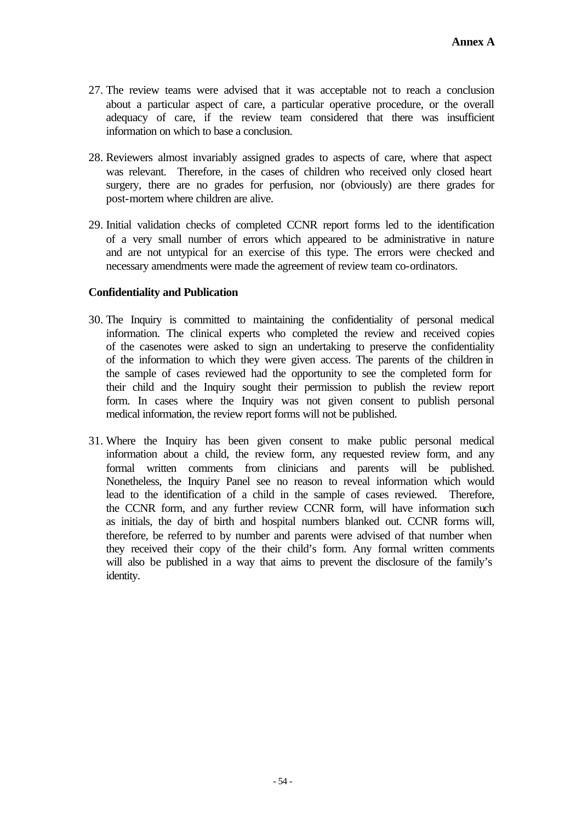- 27. The review teams were advised that it was acceptable not to reach a conclusion about a particular aspect of care, a particular operative procedure, or the overall adequacy of care, if the review team considered that there was insufficient information on which to base a conclusion.
- 28. Reviewers almost invariably assigned grades to aspects of care, where that aspect was relevant. Therefore, in the cases of children who received only closed heart surgery, there are no grades for perfusion, nor (obviously) are there grades for post-mortem where children are alive.
- 29. Initial validation checks of completed CCNR report forms led to the identification of a very small number of errors which appeared to be administrative in nature and are not untypical for an exercise of this type. The errors were checked and necessary amendments were made the agreement of review team co-ordinators.

# **Confidentiality and Publication**

- 30. The Inquiry is committed to maintaining the confidentiality of personal medical information. The clinical experts who completed the review and received copies of the casenotes were asked to sign an undertaking to preserve the confidentiality of the information to which they were given access. The parents of the children in the sample of cases reviewed had the opportunity to see the completed form for their child and the Inquiry sought their permission to publish the review report form. In cases where the Inquiry was not given consent to publish personal medical information, the review report forms will not be published.
- 31. Where the Inquiry has been given consent to make public personal medical information about a child, the review form, any requested review form, and any formal written comments from clinicians and parents will be published. Nonetheless, the Inquiry Panel see no reason to reveal information which would lead to the identification of a child in the sample of cases reviewed. Therefore, the CCNR form, and any further review CCNR form, will have information such as initials, the day of birth and hospital numbers blanked out. CCNR forms will, therefore, be referred to by number and parents were advised of that number when they received their copy of the their child's form. Any formal written comments will also be published in a way that aims to prevent the disclosure of the family's identity.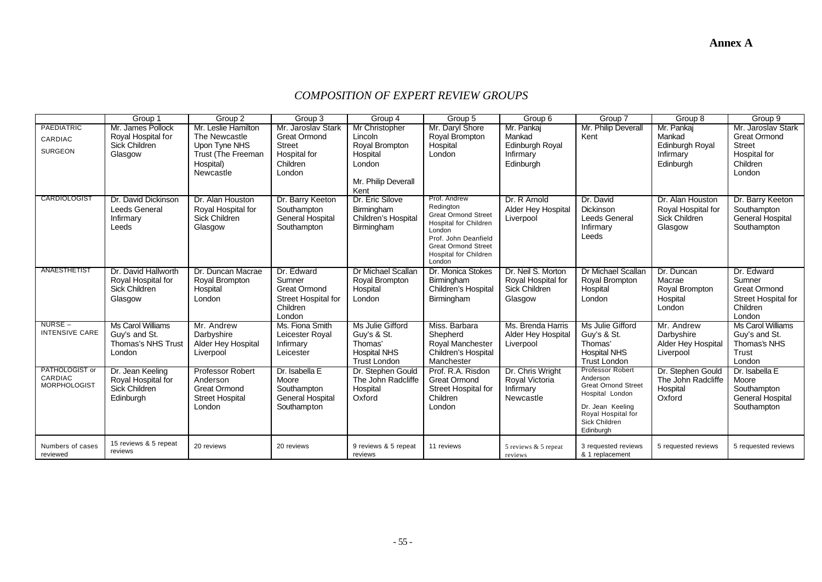# *COMPOSITION OF EXPERT REVIEW GROUPS*

|                                                  | Group 1                                                               | Group <sub>2</sub>                                                                      | Group 3                                                                                         | Group 4                                                                                  | Group 5                                                                                                                                                                                    | Group 6                                                              | Group 7                                                                                                                                               | Group 8                                                            | Group 9                                                                                         |
|--------------------------------------------------|-----------------------------------------------------------------------|-----------------------------------------------------------------------------------------|-------------------------------------------------------------------------------------------------|------------------------------------------------------------------------------------------|--------------------------------------------------------------------------------------------------------------------------------------------------------------------------------------------|----------------------------------------------------------------------|-------------------------------------------------------------------------------------------------------------------------------------------------------|--------------------------------------------------------------------|-------------------------------------------------------------------------------------------------|
| PAEDIATRIC                                       | Mr. James Pollock                                                     | Mr. Leslie Hamilton<br>The Newcastle                                                    | Mr. Jaroslav Stark<br><b>Great Ormond</b>                                                       | Mr Christopher<br>Lincoln                                                                | Mr. Daryl Shore<br>Royal Brompton                                                                                                                                                          | Mr. Pankaj<br>Mankad                                                 | Mr. Philip Deverall<br>Kent                                                                                                                           | Mr. Pankaj<br>Mankad                                               | Mr. Jaroslav Stark<br><b>Great Ormond</b>                                                       |
| CARDIAC<br><b>SURGEON</b>                        | Royal Hospital for<br><b>Sick Children</b><br>Glasgow                 | Upon Tyne NHS<br>Trust (The Freeman<br>Hospital)<br>Newcastle                           | <b>Street</b><br>Hospital for<br>Children<br>London                                             | Royal Brompton<br>Hospital<br>London<br>Mr. Philip Deverall<br>Kent                      | Hospital<br>London                                                                                                                                                                         | Edinburgh Royal<br>Infirmary<br>Edinburgh                            |                                                                                                                                                       | Edinburgh Royal<br>Infirmary<br>Edinburgh                          | <b>Street</b><br>Hospital for<br>Children<br>London                                             |
| CARDIOLOGIST                                     | Dr. David Dickinson<br>Leeds General<br>Infirmary<br>Leeds            | Dr. Alan Houston<br>Royal Hospital for<br>Sick Children<br>Glasgow                      | Dr. Barry Keeton<br>Southampton<br><b>General Hospital</b><br>Southampton                       | Dr. Eric Silove<br>Birmingham<br>Children's Hospita<br>Birmingham                        | Prof. Andrew<br>Redington<br><b>Great Ormond Street</b><br><b>Hospital for Children</b><br>London<br>Prof. John Deanfield<br><b>Great Ormond Street</b><br>Hospital for Children<br>London | Dr. R Arnold<br><b>Alder Hey Hospital</b><br>Liverpool               | Dr. David<br>Dickinson<br>Leeds General<br>Infirmary<br>Leeds                                                                                         | Dr. Alan Houston<br>Royal Hospital for<br>Sick Children<br>Glasgow | Dr. Barry Keeton<br>Southampton<br><b>General Hospital</b><br>Southampton                       |
| ANAESTHETIST                                     | Dr. David Hallworth<br>Royal Hospital for<br>Sick Children<br>Glasgow | Dr. Duncan Macrae<br>Royal Brompton<br>Hospital<br>London                               | Dr. Edward<br>Sumner<br><b>Great Ormond</b><br><b>Street Hospital for</b><br>Children<br>London | Dr Michael Scallan<br>Royal Brompton<br>Hospital<br>London                               | Dr. Monica Stokes<br>Birmingham<br>Children's Hospital<br>Birmingham                                                                                                                       | Dr. Neil S. Morton<br>Royal Hospital for<br>Sick Children<br>Glasgow | <b>Dr Michael Scallan</b><br>Royal Brompton<br>Hospital<br>London                                                                                     | Dr. Duncan<br>Macrae<br>Royal Brompton<br>Hospital<br>London       | Dr. Edward<br>Sumner<br><b>Great Ormond</b><br><b>Street Hospital for</b><br>Children<br>London |
| NURSE –<br><b>INTENSIVE CARE</b>                 | Ms Carol Williams<br>Guy's and St.<br>Thomas's NHS Trust<br>London    | Mr. Andrew<br>Darbyshire<br><b>Alder Hey Hospital</b><br>Liverpool                      | Ms. Fiona Smith<br>Leicester Royal<br>Infirmary<br>Leicester                                    | Ms Julie Gifford<br>Guy's & St.<br>Thomas'<br><b>Hospital NHS</b><br><b>Trust London</b> | Miss. Barbara<br>Shepherd<br>Royal Manchester<br>Children's Hospital<br>Manchester                                                                                                         | Ms. Brenda Harris<br><b>Alder Hey Hospital</b><br>Liverpool          | Ms Julie Gifford<br>Guy's & St.<br>Thomas'<br><b>Hospital NHS</b><br><b>Trust London</b>                                                              | Mr. Andrew<br>Darbyshire<br><b>Alder Hey Hospital</b><br>Liverpool | Ms Carol Williams<br>Guy's and St.<br>Thomas's NHS<br>Trust<br>London                           |
| PATHOLOGIST or<br>CARDIAC<br><b>MORPHOLOGIST</b> | Dr. Jean Keeling<br>Royal Hospital for<br>Sick Children<br>Edinburgh  | <b>Professor Robert</b><br>Anderson<br>Great Ormond<br><b>Street Hospital</b><br>London | Dr. Isabella E<br>Moore<br>Southampton<br><b>General Hospital</b><br>Southampton                | Dr. Stephen Gould<br>The John Radcliffe<br>Hospital<br>Oxford                            | Prof. R.A. Risdon<br><b>Great Ormond</b><br><b>Street Hospital for</b><br>Children<br>London                                                                                               | Dr. Chris Wright<br>Royal Victoria<br>Infirmary<br>Newcastle         | Professor Robert<br>Anderson<br><b>Great Ornond Street</b><br>Hospital London<br>Dr. Jean Keeling<br>Royal Hospital for<br>Sick Children<br>Edinburgh | Dr. Stephen Gould<br>The John Radcliffe<br>Hospital<br>Oxford      | Dr. Isabella E<br>Moore<br>Southampton<br><b>General Hospital</b><br>Southampton                |
| Numbers of cases<br>reviewed                     | 15 reviews & 5 repeat<br>reviews                                      | 20 reviews                                                                              | 20 reviews                                                                                      | 9 reviews & 5 repeat<br>reviews                                                          | 11 reviews                                                                                                                                                                                 | 5 reviews & 5 repeat<br>reviews                                      | 3 requested reviews<br>& 1 replacement                                                                                                                | 5 requested reviews                                                | 5 requested reviews                                                                             |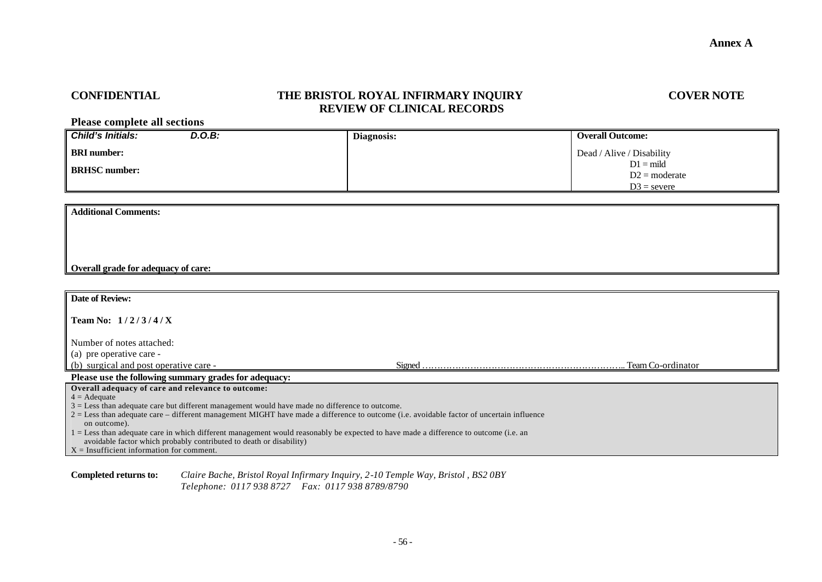# **CONFIDENTIAL THE BRISTOL ROYAL INFIRMARY INQUIRY COVER NOTE REVIEW OF CLINICAL RECORDS**

**Please complete all sections**

| Child's Initials:    | D.O.B: | Diagnosis: | <b>Overall Outcome:</b>   |
|----------------------|--------|------------|---------------------------|
| <b>BRI</b> number:   |        |            | Dead / Alive / Disability |
| <b>BRHSC</b> number: |        |            | $D1 = mid$                |
|                      |        |            | $D2 = moderate$           |
|                      |        |            | $D3$ = severe             |

**Additional Comments:**

### **Overall grade for adequacy of care:**

| <b>Date of Review:</b>                                                                                                                                     |  |                   |
|------------------------------------------------------------------------------------------------------------------------------------------------------------|--|-------------------|
| <b>Team No:</b> $1/2/3/4/X$                                                                                                                                |  |                   |
| Number of notes attached:                                                                                                                                  |  |                   |
| (a) pre operative care -                                                                                                                                   |  |                   |
| (b) surgical and post operative care -                                                                                                                     |  | Team Co-ordinator |
| Please use the following summary grades for adequacy:                                                                                                      |  |                   |
| Overall adequacy of care and relevance to outcome:                                                                                                         |  |                   |
| $4 = \text{A}$ dequate                                                                                                                                     |  |                   |
| $3 =$ Less than adequate care but different management would have made no difference to outcome.                                                           |  |                   |
| $2 =$ Less than adequate care – different management MIGHT have made a difference to outcome (i.e. avoidable factor of uncertain influence<br>on outcome). |  |                   |
| 1 = Less than adequate care in which different management would reasonably be expected to have made a difference to outcome (i.e. an                       |  |                   |
| avoidable factor which probably contributed to death or disability)                                                                                        |  |                   |
| $X =$ Insufficient information for comment.                                                                                                                |  |                   |

**Completed returns to:** *Claire Bache, Bristol Royal Infirmary Inquiry, 2-10 Temple Way, Bristol , BS2 0BY Telephone: 0117 938 8727 Fax: 0117 938 8789/8790*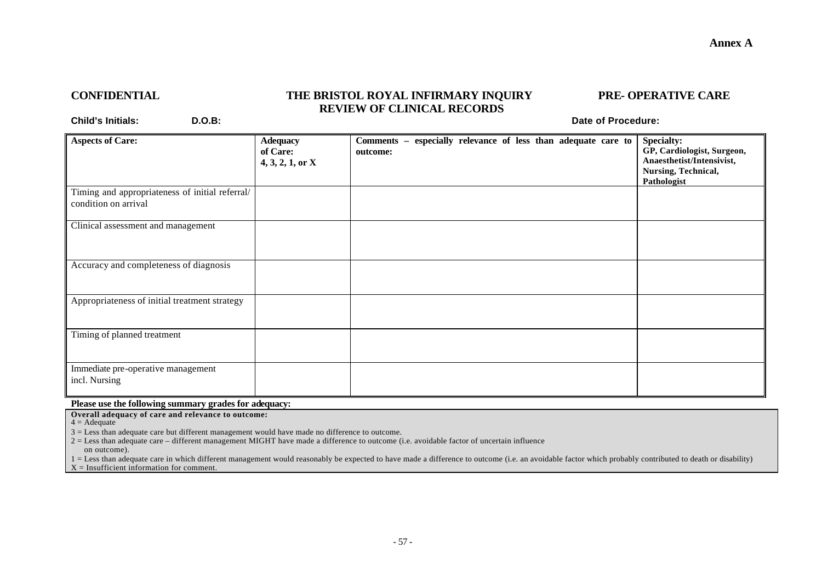### **Annex A**

# **CONFIDENTIAL THE BRISTOL ROYAL INFIRMARY INQUIRY PRE- OPERATIVE CARE REVIEW OF CLINICAL RECORDS**

**Child's Initials: D.O.B: Date of Procedure:**

| <b>Aspects of Care:</b>                                                 | <b>Adequacy</b><br>of Care:<br>$4, 3, 2, 1,$ or X | Comments - especially relevance of less than adequate care to<br>outcome: | Specialty:<br>GP, Cardiologist, Surgeon,<br>Anaesthetist/Intensivist,<br>Nursing, Technical,<br><b>Pathologist</b> |
|-------------------------------------------------------------------------|---------------------------------------------------|---------------------------------------------------------------------------|--------------------------------------------------------------------------------------------------------------------|
| Timing and appropriateness of initial referral/<br>condition on arrival |                                                   |                                                                           |                                                                                                                    |
| Clinical assessment and management                                      |                                                   |                                                                           |                                                                                                                    |
| Accuracy and completeness of diagnosis                                  |                                                   |                                                                           |                                                                                                                    |
| Appropriateness of initial treatment strategy                           |                                                   |                                                                           |                                                                                                                    |
| Timing of planned treatment                                             |                                                   |                                                                           |                                                                                                                    |
| Immediate pre-operative management<br>incl. Nursing                     |                                                   |                                                                           |                                                                                                                    |

**Please use the following summary grades for adequacy:**

**Overall adequacy of care and relevance to outcome:**

 $4 = \text{A}$ dequate

3 = Less than adequate care but different management would have made no difference to outcome.

2 = Less than adequate care – different management MIGHT have made a difference to outcome (i.e. avoidable factor of uncertain influence on outcome).

1 = Less than adequate care in which different management would reasonably be expected to have made a difference to outcome (i.e. an avoidable factor which probably contributed to death or disability)  $X =$  Insufficient information for comment.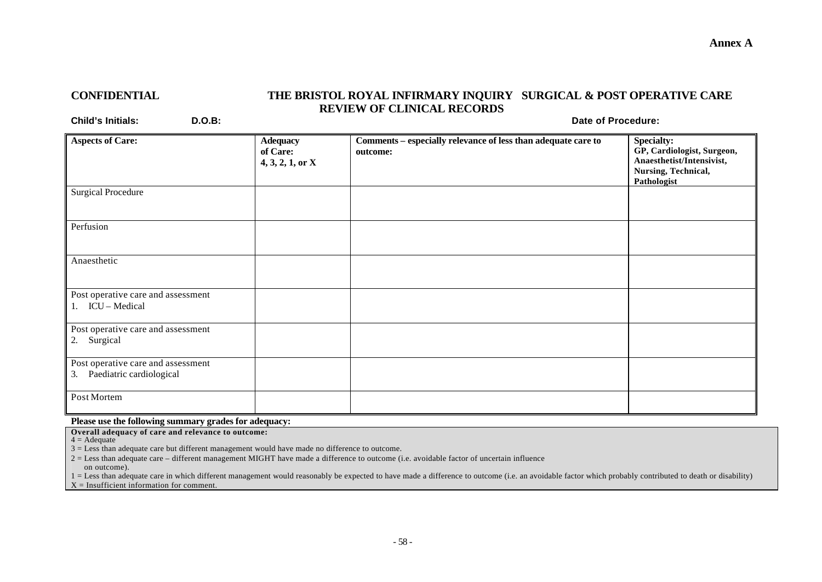## **Annex A**

# **CONFIDENTIAL THE BRISTOL ROYAL INFIRMARY INQUIRY SURGICAL & POST OPERATIVE CARE REVIEW OF CLINICAL RECORDS**

**Child's Initials: D.O.B: Date of Procedure:**

| <b>Aspects of Care:</b>                                           | <b>Adequacy</b><br>of Care:<br>$4, 3, 2, 1,$ or X | Comments - especially relevance of less than adequate care to<br>outcome: | <b>Specialty:</b><br>GP, Cardiologist, Surgeon,<br>Anaesthetist/Intensivist,<br>Nursing, Technical,<br>Pathologist |
|-------------------------------------------------------------------|---------------------------------------------------|---------------------------------------------------------------------------|--------------------------------------------------------------------------------------------------------------------|
| <b>Surgical Procedure</b>                                         |                                                   |                                                                           |                                                                                                                    |
| Perfusion                                                         |                                                   |                                                                           |                                                                                                                    |
| Anaesthetic                                                       |                                                   |                                                                           |                                                                                                                    |
| Post operative care and assessment<br>$\vert$ 1. ICU – Medical    |                                                   |                                                                           |                                                                                                                    |
| Post operative care and assessment<br>2. Surgical                 |                                                   |                                                                           |                                                                                                                    |
| Post operative care and assessment<br>3. Paediatric cardiological |                                                   |                                                                           |                                                                                                                    |
| Post Mortem                                                       |                                                   |                                                                           |                                                                                                                    |

**Please use the following summary grades for adequacy:**

**Overall adequacy of care and relevance to outcome:**

 $4 = \text{A}$ dequate

3 = Less than adequate care but different management would have made no difference to outcome.

2 = Less than adequate care – different management MIGHT have made a difference to outcome (i.e. avoidable factor of uncertain influence on outcome).

1 = Less than adequate care in which different management would reasonably be expected to have made a difference to outcome (i.e. an avoidable factor which probably contributed to death or disability)  $X =$  Insufficient information for comment.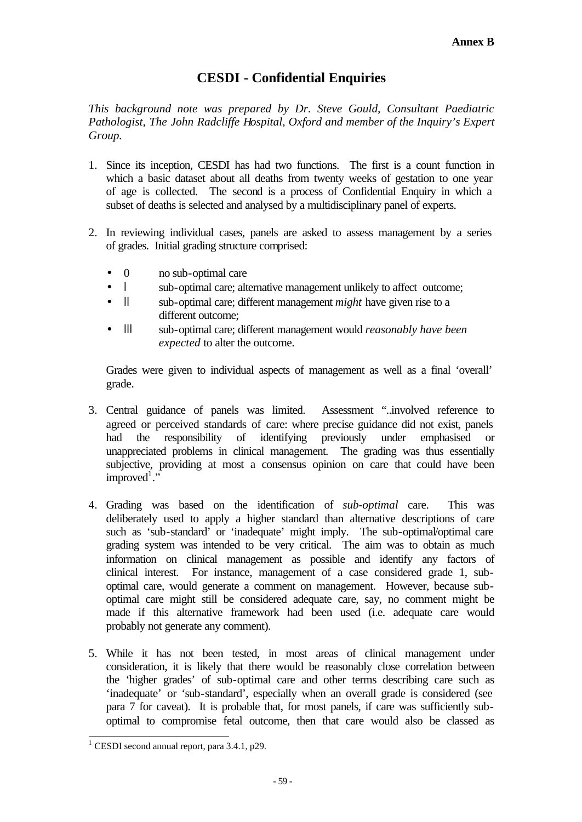# **CESDI - Confidential Enquiries**

*This background note was prepared by Dr. Steve Gould, Consultant Paediatric Pathologist, The John Radcliffe Hospital, Oxford and member of the Inquiry's Expert Group.*

- 1. Since its inception, CESDI has had two functions. The first is a count function in which a basic dataset about all deaths from twenty weeks of gestation to one year of age is collected. The second is a process of Confidential Enquiry in which a subset of deaths is selected and analysed by a multidisciplinary panel of experts.
- 2. In reviewing individual cases, panels are asked to assess management by a series of grades. Initial grading structure comprised:
	- 0 no sub-optimal care
	- l sub-optimal care; alternative management unlikely to affect outcome;
	- Il sub-optimal care; different management *might* have given rise to a different outcome;
	- lll sub-optimal care; different management would *reasonably have been expected* to alter the outcome.

Grades were given to individual aspects of management as well as a final 'overall' grade.

- 3. Central guidance of panels was limited. Assessment "..involved reference to agreed or perceived standards of care: where precise guidance did not exist, panels had the responsibility of identifying previously under emphasised or unappreciated problems in clinical management. The grading was thus essentially subjective, providing at most a consensus opinion on care that could have been  $improved<sup>1</sup>$ ."
- 4. Grading was based on the identification of *sub-optimal* care. This was deliberately used to apply a higher standard than alternative descriptions of care such as 'sub-standard' or 'inadequate' might imply. The sub-optimal/optimal care grading system was intended to be very critical. The aim was to obtain as much information on clinical management as possible and identify any factors of clinical interest. For instance, management of a case considered grade 1, suboptimal care, would generate a comment on management. However, because suboptimal care might still be considered adequate care, say, no comment might be made if this alternative framework had been used (i.e. adequate care would probably not generate any comment).
- 5. While it has not been tested, in most areas of clinical management under consideration, it is likely that there would be reasonably close correlation between the 'higher grades' of sub-optimal care and other terms describing care such as 'inadequate' or 'sub-standard', especially when an overall grade is considered (see para 7 for caveat). It is probable that, for most panels, if care was sufficiently suboptimal to compromise fetal outcome, then that care would also be classed as

 1 CESDI second annual report, para 3.4.1, p29.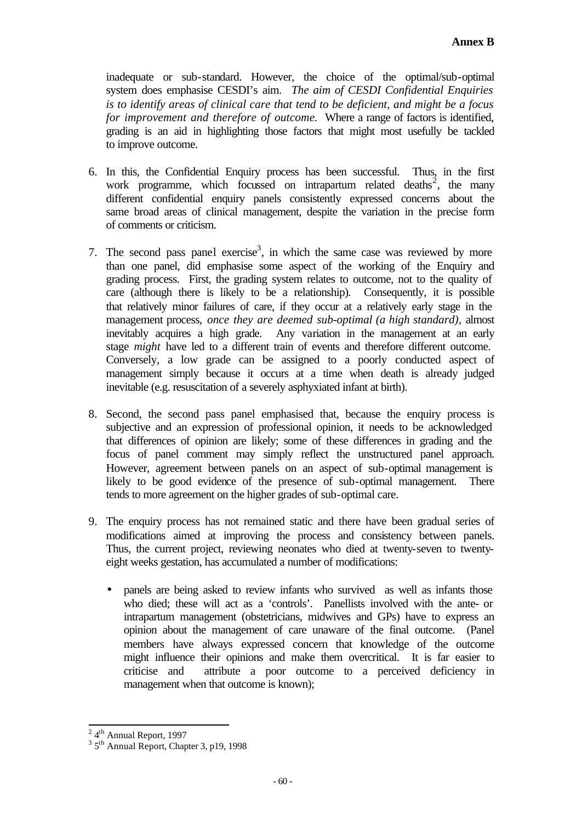inadequate or sub-standard. However, the choice of the optimal/sub-optimal system does emphasise CESDI's aim. *The aim of CESDI Confidential Enquiries is to identify areas of clinical care that tend to be deficient, and might be a focus for improvement and therefore of outcome.* Where a range of factors is identified, grading is an aid in highlighting those factors that might most usefully be tackled to improve outcome.

- 6. In this, the Confidential Enquiry process has been successful. Thus, in the first work programme, which focussed on intrapartum related deaths<sup>2</sup>, the many different confidential enquiry panels consistently expressed concerns about the same broad areas of clinical management, despite the variation in the precise form of comments or criticism.
- 7. The second pass panel exercise<sup>3</sup>, in which the same case was reviewed by more than one panel, did emphasise some aspect of the working of the Enquiry and grading process. First, the grading system relates to outcome, not to the quality of care (although there is likely to be a relationship). Consequently, it is possible that relatively minor failures of care, if they occur at a relatively early stage in the management process, *once they are deemed sub-optimal (a high standard),* almost inevitably acquires a high grade. Any variation in the management at an early stage *might* have led to a different train of events and therefore different outcome. Conversely, a low grade can be assigned to a poorly conducted aspect of management simply because it occurs at a time when death is already judged inevitable (e.g. resuscitation of a severely asphyxiated infant at birth).
- 8. Second, the second pass panel emphasised that, because the enquiry process is subjective and an expression of professional opinion, it needs to be acknowledged that differences of opinion are likely; some of these differences in grading and the focus of panel comment may simply reflect the unstructured panel approach. However, agreement between panels on an aspect of sub-optimal management is likely to be good evidence of the presence of sub-optimal management. There tends to more agreement on the higher grades of sub-optimal care.
- 9. The enquiry process has not remained static and there have been gradual series of modifications aimed at improving the process and consistency between panels. Thus, the current project, reviewing neonates who died at twenty-seven to twentyeight weeks gestation, has accumulated a number of modifications:
	- panels are being asked to review infants who survived as well as infants those who died; these will act as a 'controls'. Panellists involved with the ante- or intrapartum management (obstetricians, midwives and GPs) have to express an opinion about the management of care unaware of the final outcome. (Panel members have always expressed concern that knowledge of the outcome might influence their opinions and make them overcritical. It is far easier to criticise and attribute a poor outcome to a perceived deficiency in management when that outcome is known);

 $2 \frac{4^{\text{th}}}{\text{Annual Report}}$ , 1997

<sup>&</sup>lt;sup>3</sup> 5<sup>th</sup> Annual Report, Chapter 3, p19, 1998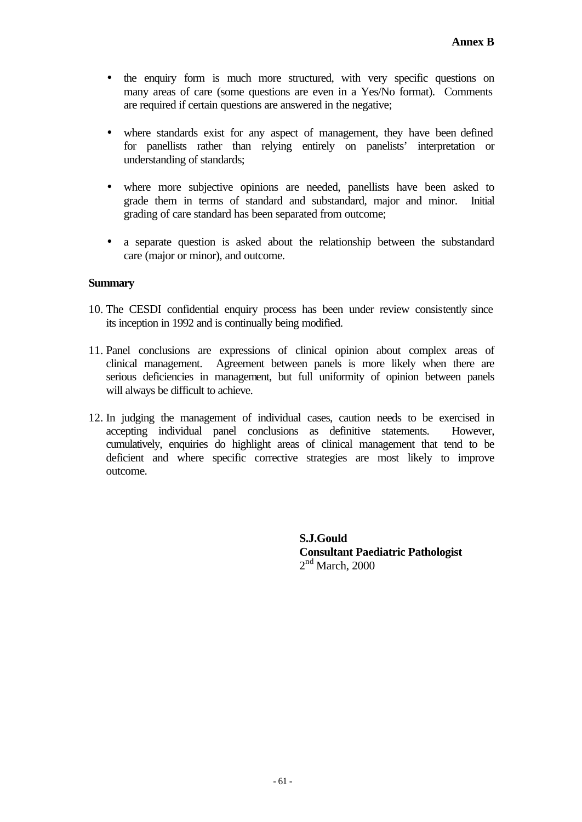- the enquiry form is much more structured, with very specific questions on many areas of care (some questions are even in a Yes/No format). Comments are required if certain questions are answered in the negative;
- where standards exist for any aspect of management, they have been defined for panellists rather than relying entirely on panelists' interpretation or understanding of standards;
- where more subjective opinions are needed, panellists have been asked to grade them in terms of standard and substandard, major and minor. Initial grading of care standard has been separated from outcome;
- a separate question is asked about the relationship between the substandard care (major or minor), and outcome.

# **Summary**

- 10. The CESDI confidential enquiry process has been under review consistently since its inception in 1992 and is continually being modified.
- 11. Panel conclusions are expressions of clinical opinion about complex areas of clinical management. Agreement between panels is more likely when there are serious deficiencies in management, but full uniformity of opinion between panels will always be difficult to achieve.
- 12. In judging the management of individual cases, caution needs to be exercised in accepting individual panel conclusions as definitive statements. However, cumulatively, enquiries do highlight areas of clinical management that tend to be deficient and where specific corrective strategies are most likely to improve outcome.

**S.J.Gould Consultant Paediatric Pathologist**  $2<sup>nd</sup> March, 2000$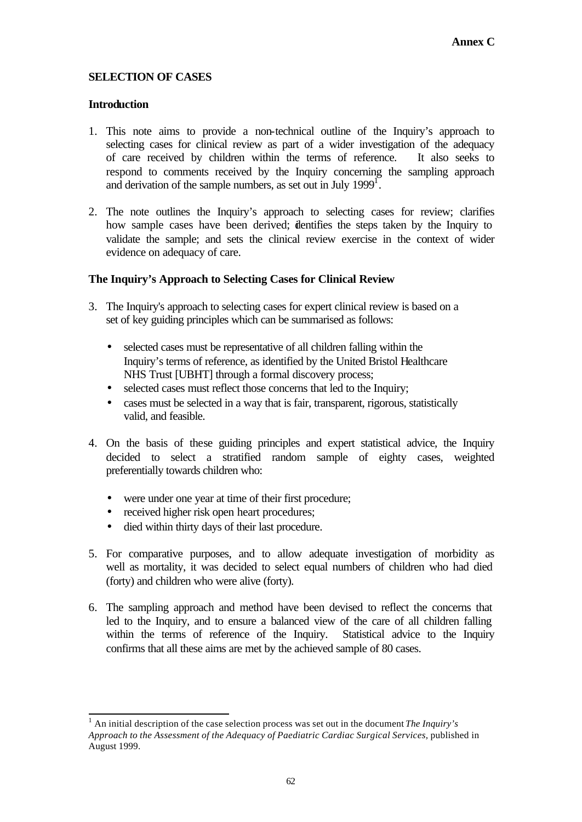# **SELECTION OF CASES**

## **Introduction**

- 1. This note aims to provide a non-technical outline of the Inquiry's approach to selecting cases for clinical review as part of a wider investigation of the adequacy of care received by children within the terms of reference. It also seeks to respond to comments received by the Inquiry concerning the sampling approach and derivation of the sample numbers, as set out in July  $1999<sup>1</sup>$ .
- 2. The note outlines the Inquiry's approach to selecting cases for review; clarifies how sample cases have been derived; identifies the steps taken by the Inquiry to validate the sample; and sets the clinical review exercise in the context of wider evidence on adequacy of care.

# **The Inquiry's Approach to Selecting Cases for Clinical Review**

- 3. The Inquiry's approach to selecting cases for expert clinical review is based on a set of key guiding principles which can be summarised as follows:
	- selected cases must be representative of all children falling within the Inquiry's terms of reference, as identified by the United Bristol Healthcare NHS Trust [UBHT] through a formal discovery process;
	- selected cases must reflect those concerns that led to the Inquiry;
	- cases must be selected in a way that is fair, transparent, rigorous, statistically valid, and feasible.
- 4. On the basis of these guiding principles and expert statistical advice, the Inquiry decided to select a stratified random sample of eighty cases, weighted preferentially towards children who:
	- were under one year at time of their first procedure;
	- received higher risk open heart procedures;
	- died within thirty days of their last procedure.
- 5. For comparative purposes, and to allow adequate investigation of morbidity as well as mortality, it was decided to select equal numbers of children who had died (forty) and children who were alive (forty).
- 6. The sampling approach and method have been devised to reflect the concerns that led to the Inquiry, and to ensure a balanced view of the care of all children falling within the terms of reference of the Inquiry. Statistical advice to the Inquiry confirms that all these aims are met by the achieved sample of 80 cases.

l <sup>1</sup> An initial description of the case selection process was set out in the document *The Inquiry's* Approach to the Assessment of the Adequacy of Paediatric Cardiac Surgical Services, published in August 1999.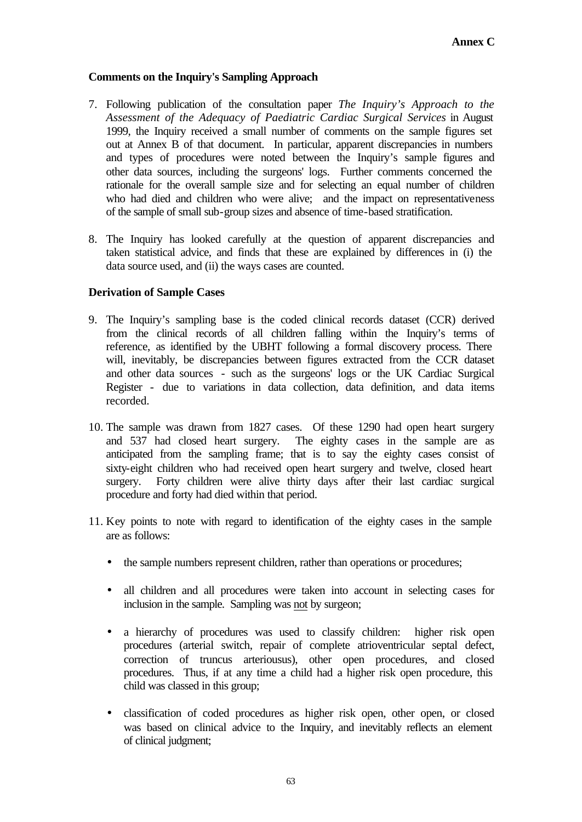# **Comments on the Inquiry's Sampling Approach**

- 7. Following publication of the consultation paper *The Inquiry's Approach to the Assessment of the Adequacy of Paediatric Cardiac Surgical Services* in August 1999, the Inquiry received a small number of comments on the sample figures set out at Annex B of that document. In particular, apparent discrepancies in numbers and types of procedures were noted between the Inquiry's sample figures and other data sources, including the surgeons' logs. Further comments concerned the rationale for the overall sample size and for selecting an equal number of children who had died and children who were alive; and the impact on representativeness of the sample of small sub-group sizes and absence of time-based stratification.
- 8. The Inquiry has looked carefully at the question of apparent discrepancies and taken statistical advice, and finds that these are explained by differences in (i) the data source used, and (ii) the ways cases are counted.

# **Derivation of Sample Cases**

- 9. The Inquiry's sampling base is the coded clinical records dataset (CCR) derived from the clinical records of all children falling within the Inquiry's terms of reference, as identified by the UBHT following a formal discovery process. There will, inevitably, be discrepancies between figures extracted from the CCR dataset and other data sources - such as the surgeons' logs or the UK Cardiac Surgical Register - due to variations in data collection, data definition, and data items recorded.
- 10. The sample was drawn from 1827 cases. Of these 1290 had open heart surgery and 537 had closed heart surgery. The eighty cases in the sample are as anticipated from the sampling frame; that is to say the eighty cases consist of sixty-eight children who had received open heart surgery and twelve, closed heart surgery. Forty children were alive thirty days after their last cardiac surgical procedure and forty had died within that period.
- 11. Key points to note with regard to identification of the eighty cases in the sample are as follows:
	- the sample numbers represent children, rather than operations or procedures;
	- all children and all procedures were taken into account in selecting cases for inclusion in the sample. Sampling was not by surgeon;
	- a hierarchy of procedures was used to classify children: higher risk open procedures (arterial switch, repair of complete atrioventricular septal defect, correction of truncus arteriousus), other open procedures, and closed procedures. Thus, if at any time a child had a higher risk open procedure, this child was classed in this group;
	- classification of coded procedures as higher risk open, other open, or closed was based on clinical advice to the Inquiry, and inevitably reflects an element of clinical judgment;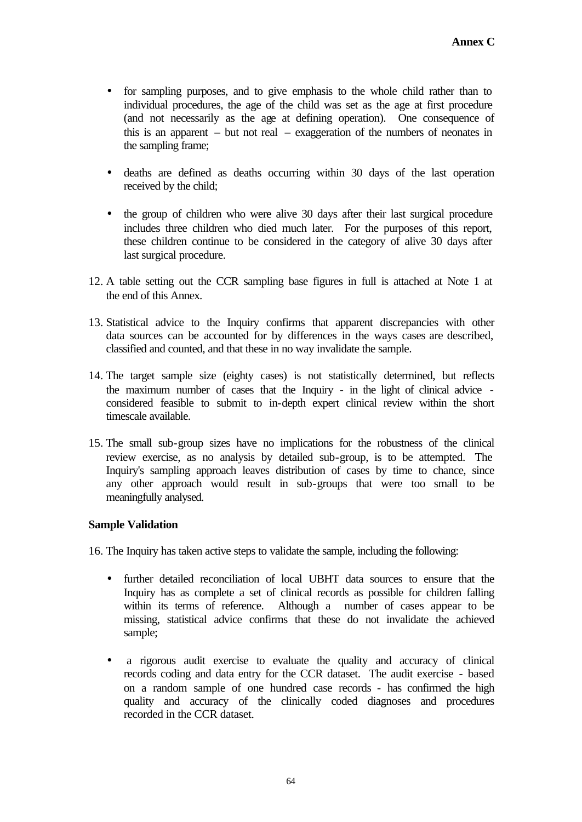- for sampling purposes, and to give emphasis to the whole child rather than to individual procedures, the age of the child was set as the age at first procedure (and not necessarily as the age at defining operation). One consequence of this is an apparent – but not real – exaggeration of the numbers of neonates in the sampling frame;
- deaths are defined as deaths occurring within 30 days of the last operation received by the child;
- the group of children who were alive 30 days after their last surgical procedure includes three children who died much later. For the purposes of this report, these children continue to be considered in the category of alive 30 days after last surgical procedure.
- 12. A table setting out the CCR sampling base figures in full is attached at Note 1 at the end of this Annex.
- 13. Statistical advice to the Inquiry confirms that apparent discrepancies with other data sources can be accounted for by differences in the ways cases are described, classified and counted, and that these in no way invalidate the sample.
- 14. The target sample size (eighty cases) is not statistically determined, but reflects the maximum number of cases that the Inquiry - in the light of clinical advice considered feasible to submit to in-depth expert clinical review within the short timescale available.
- 15. The small sub-group sizes have no implications for the robustness of the clinical review exercise, as no analysis by detailed sub-group, is to be attempted. The Inquiry's sampling approach leaves distribution of cases by time to chance, since any other approach would result in sub-groups that were too small to be meaningfully analysed.

# **Sample Validation**

16. The Inquiry has taken active steps to validate the sample, including the following:

- further detailed reconciliation of local UBHT data sources to ensure that the Inquiry has as complete a set of clinical records as possible for children falling within its terms of reference. Although a number of cases appear to be missing, statistical advice confirms that these do not invalidate the achieved sample;
- a rigorous audit exercise to evaluate the quality and accuracy of clinical records coding and data entry for the CCR dataset. The audit exercise - based on a random sample of one hundred case records - has confirmed the high quality and accuracy of the clinically coded diagnoses and procedures recorded in the CCR dataset.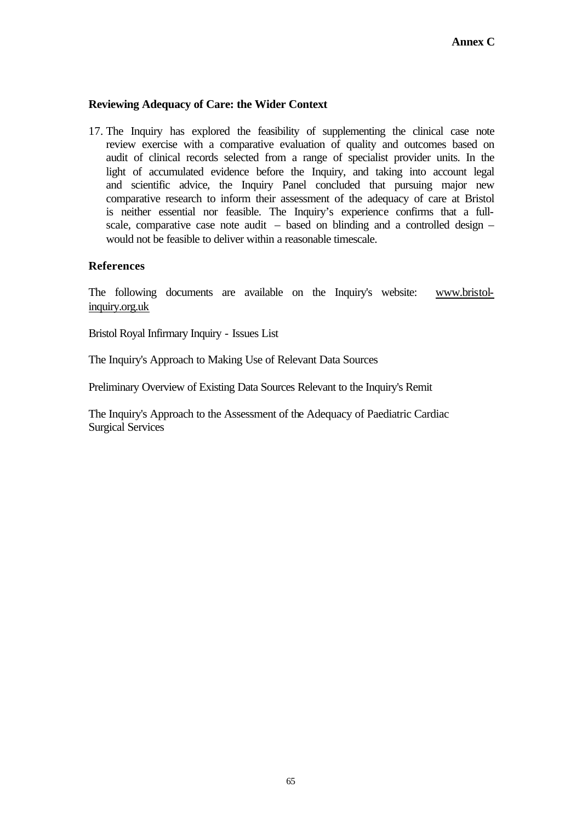# **Reviewing Adequacy of Care: the Wider Context**

17. The Inquiry has explored the feasibility of supplementing the clinical case note review exercise with a comparative evaluation of quality and outcomes based on audit of clinical records selected from a range of specialist provider units. In the light of accumulated evidence before the Inquiry, and taking into account legal and scientific advice, the Inquiry Panel concluded that pursuing major new comparative research to inform their assessment of the adequacy of care at Bristol is neither essential nor feasible. The Inquiry's experience confirms that a fullscale, comparative case note audit – based on blinding and a controlled design – would not be feasible to deliver within a reasonable timescale.

# **References**

The following documents are available on the Inquiry's website: www.bristolinquiry.org.uk

Bristol Royal Infirmary Inquiry - Issues List

The Inquiry's Approach to Making Use of Relevant Data Sources

Preliminary Overview of Existing Data Sources Relevant to the Inquiry's Remit

The Inquiry's Approach to the Assessment of the Adequacy of Paediatric Cardiac Surgical Services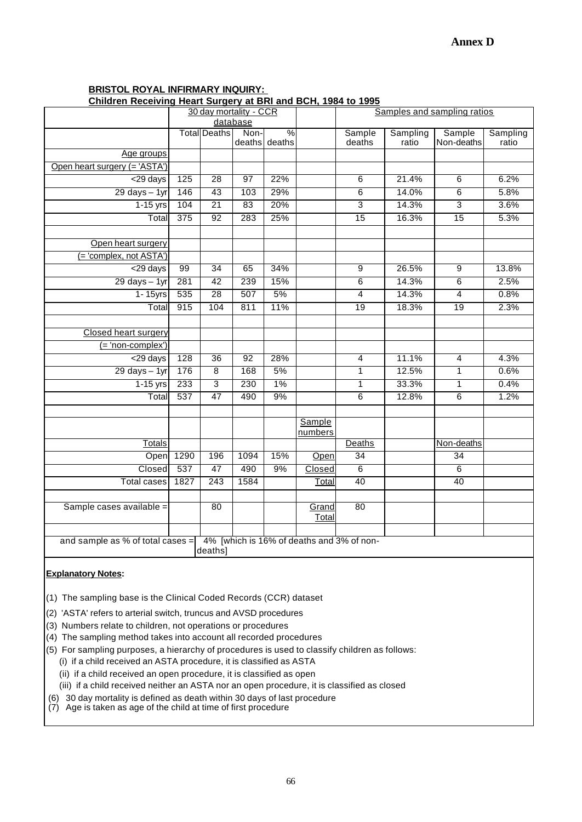## **BRISTOL ROYAL INFIRMARY INQUIRY:**

**Children Receiving Heart Surgery at BRI and BCH, 1984 to 1995**

|                                                                                    | <u>Simarch Receiving Heart oargery at BRI and BOH, 1904 to 1999</u><br>Samples and sampling ratios |                        |                 |               |         |                         |          |                 |          |  |  |  |
|------------------------------------------------------------------------------------|----------------------------------------------------------------------------------------------------|------------------------|-----------------|---------------|---------|-------------------------|----------|-----------------|----------|--|--|--|
|                                                                                    |                                                                                                    | 30 day mortality - CCR | database        |               |         |                         |          |                 |          |  |  |  |
|                                                                                    |                                                                                                    | <b>Total</b> Deaths    | Non-            | $\%$          |         | Sample                  | Sampling | Sample          | Sampling |  |  |  |
|                                                                                    |                                                                                                    |                        |                 | deaths deaths |         | deaths                  | ratio    | Non-deaths      | ratio    |  |  |  |
| Age groups                                                                         |                                                                                                    |                        |                 |               |         |                         |          |                 |          |  |  |  |
| Open heart surgery (= 'ASTA')                                                      |                                                                                                    |                        |                 |               |         |                         |          |                 |          |  |  |  |
| <29 days                                                                           | 125                                                                                                | 28                     | 97              | 22%           |         | 6                       | 21.4%    | 6               | 6.2%     |  |  |  |
| $29$ days $-1$ yr                                                                  | 146                                                                                                | 43                     | 103             | 29%           |         | 6                       | 14.0%    | 6               | 5.8%     |  |  |  |
| $1-15$ yrs                                                                         | 104                                                                                                | $\overline{21}$        | 83              | 20%           |         | $\overline{3}$          | 14.3%    | $\overline{3}$  | 3.6%     |  |  |  |
| Total                                                                              | 375                                                                                                | $\overline{92}$        | 283             | 25%           |         | $\overline{15}$         | 16.3%    | 15              | 5.3%     |  |  |  |
|                                                                                    |                                                                                                    |                        |                 |               |         |                         |          |                 |          |  |  |  |
| Open heart surgery                                                                 |                                                                                                    |                        |                 |               |         |                         |          |                 |          |  |  |  |
| $($ = 'complex, not ASTA')                                                         |                                                                                                    |                        |                 |               |         |                         |          |                 |          |  |  |  |
| <29 days                                                                           | 99                                                                                                 | $\overline{34}$        | 65              | 34%           |         | 9                       | 26.5%    | $\overline{9}$  | 13.8%    |  |  |  |
| $29$ days $-1$ yr                                                                  | 281                                                                                                | $\overline{42}$        | 239             | 15%           |         | 6                       | 14.3%    | $\overline{6}$  | 2.5%     |  |  |  |
| $1 - 15$ yrs                                                                       | 535                                                                                                | $\overline{28}$        | 507             | 5%            |         | $\overline{4}$          | 14.3%    | $\overline{4}$  | 0.8%     |  |  |  |
| Total                                                                              | 915                                                                                                | 104                    | 811             | 11%           |         | 19                      | 18.3%    | $\overline{19}$ | 2.3%     |  |  |  |
|                                                                                    |                                                                                                    |                        |                 |               |         |                         |          |                 |          |  |  |  |
| <b>Closed heart surgery</b>                                                        |                                                                                                    |                        |                 |               |         |                         |          |                 |          |  |  |  |
| $($ = 'non-complex')                                                               |                                                                                                    |                        |                 |               |         |                         |          |                 |          |  |  |  |
| <29 days                                                                           | 128                                                                                                | $\overline{36}$        | $\overline{92}$ | 28%           |         | $\overline{\mathbf{4}}$ | 11.1%    | 4               | 4.3%     |  |  |  |
| $29$ days $-1$ yr                                                                  | 176                                                                                                | $\overline{8}$         | 168             | 5%            |         | 1                       | 12.5%    | 1               | 0.6%     |  |  |  |
| $1-15$ yrs                                                                         | 233                                                                                                | 3                      | 230             | 1%            |         | $\overline{1}$          | 33.3%    | $\overline{1}$  | 0.4%     |  |  |  |
| Total                                                                              | 537                                                                                                | 47                     | 490             | 9%            |         | 6                       | 12.8%    | $\overline{6}$  | 1.2%     |  |  |  |
|                                                                                    |                                                                                                    |                        |                 |               |         |                         |          |                 |          |  |  |  |
|                                                                                    |                                                                                                    |                        |                 |               | Sample  |                         |          |                 |          |  |  |  |
| <u>Totals</u>                                                                      |                                                                                                    |                        |                 |               | numbers | Deaths                  |          | Non-deaths      |          |  |  |  |
|                                                                                    | 1290                                                                                               | 196                    | 1094            | 15%           | Open    | 34                      |          | 34              |          |  |  |  |
| Open<br>Closed                                                                     | 537                                                                                                | 47                     | 490             | 9%            | Closed  | 6                       |          | 6               |          |  |  |  |
| <b>Total cases</b>                                                                 | 1827                                                                                               | $\overline{243}$       | 1584            |               |         | 40                      |          | 40              |          |  |  |  |
|                                                                                    |                                                                                                    |                        |                 |               | Total   |                         |          |                 |          |  |  |  |
| Sample cases available =                                                           |                                                                                                    | 80                     |                 |               | Grand   | 80                      |          |                 |          |  |  |  |
|                                                                                    |                                                                                                    |                        |                 |               | Total   |                         |          |                 |          |  |  |  |
|                                                                                    |                                                                                                    |                        |                 |               |         |                         |          |                 |          |  |  |  |
| and sample as % of total cases = $\vert$ 4% [which is 16% of deaths and 3% of non- |                                                                                                    | deathsl                |                 |               |         |                         |          |                 |          |  |  |  |

### **Explanatory Notes:**

- (1) The sampling base is the Clinical Coded Records (CCR) dataset
- (2) 'ASTA' refers to arterial switch, truncus and AVSD procedures
- (3) Numbers relate to children, not operations or procedures
- (4) The sampling method takes into account all recorded procedures
- (5) For sampling purposes, a hierarchy of procedures is used to classify children as follows: (i) if a child received an ASTA procedure, it is classified as ASTA
	- (ii) if a child received an open procedure, it is classified as open
- (iii) if a child received neither an ASTA nor an open procedure, it is classified as closed
- (6) 30 day mortality is defined as death within 30 days of last procedure
- $(7)$  Age is taken as age of the child at time of first procedure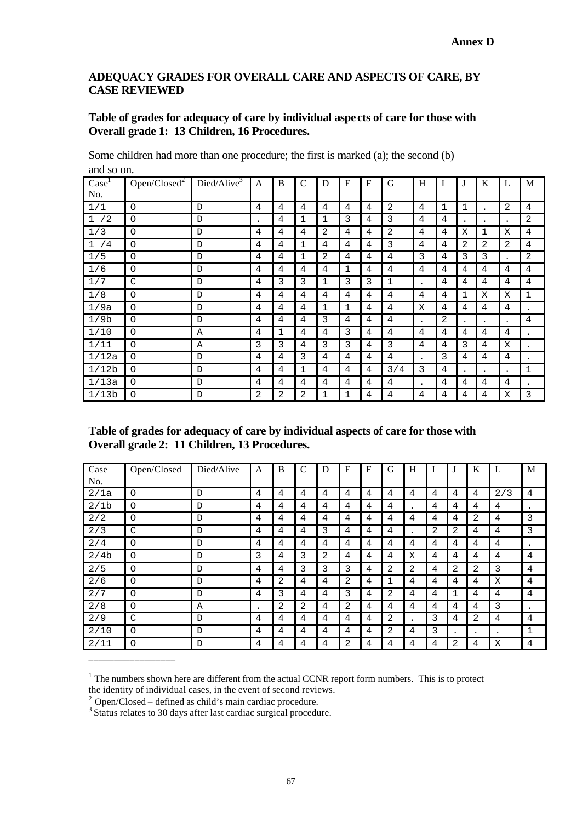# **ADEQUACY GRADES FOR OVERALL CARE AND ASPECTS OF CARE, BY CASE REVIEWED**

# **Table of grades for adequacy of care by individual aspects of care for those with Overall grade 1: 13 Children, 16 Procedures.**

Some children had more than one procedure; the first is marked (a); the second (b) and so on.

| $\text{Case}^1$<br>No. | Open/Closed <sup>2</sup> | Died/Alive <sup>3</sup> | A         | B | C | D | E | $\mathbf{F}$   | G            | H                    |   | J | K         | L         | M              |
|------------------------|--------------------------|-------------------------|-----------|---|---|---|---|----------------|--------------|----------------------|---|---|-----------|-----------|----------------|
| 1/1                    | $\circ$                  | D                       | 4         | 4 | 4 | 4 | 4 | 4              | 2            | 4                    | 1 | 1 |           | 2         | 4              |
| /2<br>$\mathbf{1}$     | O                        | D                       | $\bullet$ | 4 | 1 | 1 | 3 | 4              | 3            | 4                    | 4 |   |           | $\bullet$ | $\overline{2}$ |
| 1/3                    | $\circ$                  | D                       | 4         | 4 | 4 | 2 | 4 | 4              | 2            | 4                    | 4 | X | 1         | X         | 4              |
| 1/4                    | $\circ$                  | $\mathbb D$             | 4         | 4 | 1 | 4 | 4 | 4              | 3            | 4                    | 4 | 2 | 2         | 2         | 4              |
| 1/5                    | $\circ$                  | D                       | 4         | 4 | 1 | 2 | 4 | 4              | 4            | 3                    | 4 | 3 | 3         | $\bullet$ | 2              |
| 1/6                    | $\circ$                  | D                       | 4         | 4 | 4 | 4 | 1 | $\overline{4}$ | 4            | 4                    | 4 | 4 | 4         | 4         | 4              |
| 1/7                    | C                        | D                       | 4         | 3 | 3 | 1 | 3 | 3              | $\mathbf{1}$ | $\bullet$            | 4 | 4 | 4         | 4         | 4              |
| 1/8                    | O                        | D                       | 4         | 4 | 4 | 4 | 4 | 4              | 4            | 4                    | 4 | 1 | Χ         | X         | $\mathbf{1}$   |
| 1/9a                   | O                        | D                       | 4         | 4 | 4 | 1 | 1 | 4              | 4            | X                    | 4 | 4 | 4         | 4         | ٠              |
| 1/9b                   | $\circ$                  | D                       | 4         | 4 | 4 | 3 | 4 | 4              | 4            | $\bullet$            | 2 | ٠ | $\bullet$ | ٠         | 4              |
| 1/10                   | $\circ$                  | Α                       | 4         | 1 | 4 | 4 | 3 | 4              | 4            | 4                    | 4 | 4 | 4         | 4         | ٠              |
| 1/11                   | $\circ$                  | Α                       | 3         | 3 | 4 | 3 | 3 | 4              | 3            | 4                    | 4 | 3 | 4         | X         | ٠              |
| 1/12a                  | $\circ$                  | D                       | 4         | 4 | 3 | 4 | 4 | 4              | 4            | $\ddot{\phantom{0}}$ | 3 | 4 | 4         | 4         | $\bullet$      |
| 1/12b                  | O                        | D                       | 4         | 4 | 1 | 4 | 4 | 4              | 3/4          | 3                    | 4 | ٠ | $\bullet$ | $\bullet$ | 1              |
| 1/13a                  | O                        | $\mathbb{D}$            | 4         | 4 | 4 | 4 | 4 | 4              | 4            | $\bullet$            | 4 | 4 | 4         | 4         | $\bullet$      |
| 1/13b                  | O                        | D                       | 2         | 2 | 2 | 1 | 1 | 4              | 4            | 4                    | 4 | 4 | 4         | X         | 3              |

**Table of grades for adequacy of care by individual aspects of care for those with Overall grade 2: 11 Children, 13 Procedures.**

| Case<br>No.      | Open/Closed | Died/Alive | A | B | C | D | E | F | G | H               | $\mathbf I$ |           | K         |           | M |
|------------------|-------------|------------|---|---|---|---|---|---|---|-----------------|-------------|-----------|-----------|-----------|---|
| 2/1a             | O           | D          | 4 | 4 | 4 | 4 | 4 | 4 | 4 | 4               | 4           | 4         | 4         | 2/3       | 4 |
| 2/1 <sub>b</sub> | O           | D          | 4 | 4 | 4 | 4 | 4 | 4 | 4 |                 | 4           | 4         | 4         | 4         |   |
| 2/2              | O           | D          | 4 | 4 | 4 | 4 | 4 | 4 | 4 | $4\overline{ }$ | 4           | 4         | 2         | 4         | 3 |
| 2/3              | C           | D          | 4 | 4 | 4 | 3 | 4 | 4 | 4 |                 | 2           | 2         | 4         | 4         | 3 |
| 2/4              | O           | D          | 4 | 4 | 4 | 4 | 4 | 4 | 4 | 4               | 4           | 4         | 4         | 4         | ٠ |
| 2/4b             | O           | D          | 3 | 4 | 3 | 2 | 4 | 4 | 4 | X               | 4           | 4         | 4         | 4         | 4 |
| 2/5              | O           | D          | 4 | 4 | 3 | 3 | 3 | 4 | 2 | 2               | 4           | 2         | 2         | 3         | 4 |
| 2/6              | O           | D          | 4 | 2 | 4 | 4 | 2 | 4 | 1 | 4               | 4           | 4         | 4         | X         | 4 |
| 2/7              | O           | D          | 4 | 3 | 4 | 4 | 3 | 4 | 2 | 4               | 4           |           | 4         | 4         | 4 |
| 2/8              | O           | Α          | ٠ | 2 | 2 | 4 | 2 | 4 | 4 | 4               | 4           | 4         | 4         | 3         | ٠ |
| 2/9              | C           | D          | 4 | 4 | 4 | 4 | 4 | 4 | 2 |                 | 3           | 4         | 2         | 4         | 4 |
| 2/10             | O           | D          | 4 | 4 | 4 | 4 | 4 | 4 | 2 | 4               | 3           | $\bullet$ | $\bullet$ | $\bullet$ | 1 |
| 2/11             | O           | D          | 4 | 4 | 4 | 4 | 2 | 4 | 4 | 4               | 4           | 2         | 4         | Χ         | 4 |

 $<sup>1</sup>$  The numbers shown here are different from the actual CCNR report form numbers. This is to protect</sup> the identity of individual cases, in the event of second reviews.

\_\_\_\_\_\_\_\_\_\_\_\_\_\_\_\_\_

 $2$  Open/Closed – defined as child's main cardiac procedure.

<sup>&</sup>lt;sup>3</sup> Status relates to 30 days after last cardiac surgical procedure.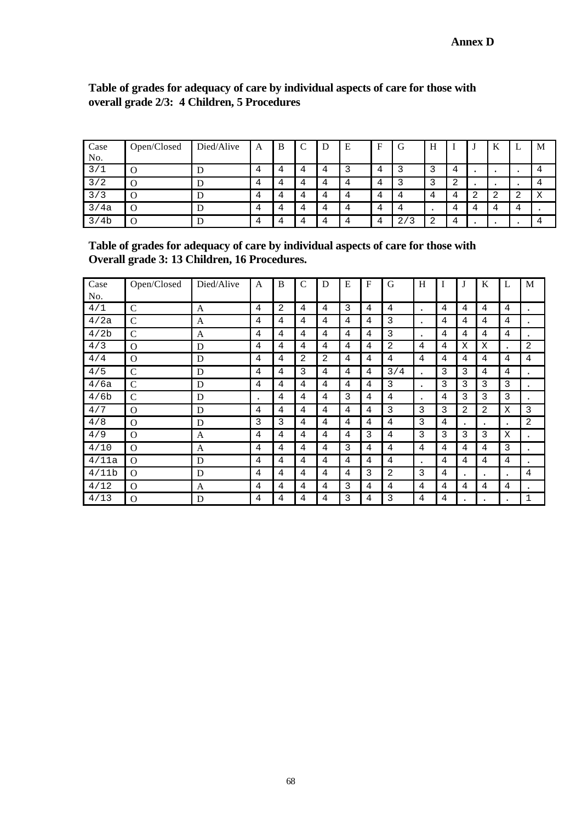| Case<br>No. | Open/Closed | Died/Alive | A | B |                | D | E | $\mathbf{E}$ | G                    | Н |        | - 1 | TZ<br>ĸ | ட | M      |
|-------------|-------------|------------|---|---|----------------|---|---|--------------|----------------------|---|--------|-----|---------|---|--------|
| 3/1         | O           | E          | 4 |   | 4              | 4 |   | 4            |                      |   | 4      |     |         |   |        |
| 3/2         | $\Omega$    | E          | 4 |   | 4              | 4 | 4 | 4            |                      |   | ി<br>▵ |     |         |   |        |
| 3/3         | $\Omega$    | D          | 4 |   | 4              | 4 | 4 | 4            | 4                    |   | 4      |     |         | △ | v<br>A |
| 3/4a        | O           | E          | 4 |   | Δ              | 4 | 4 |              |                      |   | 4      | 4   |         | 4 |        |
| 3/4b        | O           |            | 4 |   | $\overline{4}$ | 4 | Δ | 4            | 2 <sub>1</sub><br>ิว |   | 4      |     |         |   |        |

# **Table of grades for adequacy of care by individual aspects of care for those with overall grade 2/3: 4 Children, 5 Procedures**

**Table of grades for adequacy of care by individual aspects of care for those with Overall grade 3: 13 Children, 16 Procedures.**

| Case             | Open/Closed   | Died/Alive | A              | B | $\mathcal{C}$ | D | E | F              | G   | H         |   | J | K         | L                    | M         |
|------------------|---------------|------------|----------------|---|---------------|---|---|----------------|-----|-----------|---|---|-----------|----------------------|-----------|
| No.              |               |            |                |   |               |   |   |                |     |           |   |   |           |                      |           |
| 4/1              | $\mathsf{C}$  | A          | 4              | 2 | 4             | 4 | 3 | 4              | 4   | ٠         | 4 | 4 | 4         | 4                    | ٠         |
| 4/2a             | $\mathcal{C}$ | A          | 4              | 4 | 4             | 4 | 4 | 4              | 3   | $\bullet$ | 4 | 4 | 4         | 4                    | ٠         |
| 4/2 <sub>b</sub> | $\mathcal{C}$ | A          | 4              | 4 | 4             | 4 | 4 | 4              | 3   | ٠         | 4 | 4 | 4         | 4                    |           |
| 4/3              | $\Omega$      | D          | 4              | 4 | 4             | 4 | 4 | 4              | 2   | 4         | 4 | X | X         | $\ddot{\phantom{0}}$ | 2         |
| 4/4              | $\Omega$      | D          | $\overline{4}$ | 4 | 2             | 2 | 4 | 4              | 4   | 4         | 4 | 4 | 4         | 4                    | 4         |
| 4/5              | $\mathcal{C}$ | D          | 4              | 4 | 3             | 4 | 4 | 4              | 3/4 |           | 3 | 3 | 4         | 4                    | ٠         |
| 4/6a             | $\mathcal{C}$ | D          | 4              | 4 | 4             | 4 | 4 | 4              | 3   | $\bullet$ | 3 | 3 | 3         | 3                    | ٠         |
| 4/6b             | $\mathsf{C}$  | D          | $\bullet$      | 4 | 4             | 4 | 3 | 4              | 4   | ٠         | 4 | 3 | 3         | 3                    | ٠         |
| 4/7              | $\Omega$      | D          | 4              | 4 | 4             | 4 | 4 | $\overline{4}$ | 3   | 3         | 3 | 2 | 2         | X                    | 3         |
| 4/8              | $\Omega$      | D          | 3              | 3 | 4             | 4 | 4 | 4              | 4   | 3         | 4 | ٠ | $\bullet$ | $\bullet$            | 2         |
| 4/9              | $\Omega$      | A          | 4              | 4 | 4             | 4 | 4 | 3              | 4   | 3         | 3 | 3 | 3         | X                    | ٠         |
| 4/10             | $\Omega$      | A          | 4              | 4 | 4             | 4 | 3 | 4              | 4   | 4         | 4 | 4 | 4         | 3                    | $\bullet$ |
| 4/11a            | $\Omega$      | D          | 4              | 4 | 4             | 4 | 4 | 4              | 4   | ٠         | 4 | 4 | 4         | 4                    | ٠         |
| 4/11b            | $\Omega$      | D          | 4              | 4 | 4             | 4 | 4 | 3              | 2   | 3         | 4 |   | $\bullet$ | $\bullet$            | 4         |
| 4/12             | $\Omega$      | A          | 4              | 4 | 4             | 4 | 3 | $\overline{4}$ | 4   | 4         | 4 | 4 | 4         | 4                    |           |
| 4/13             | $\Omega$      | D          | 4              | 4 | 4             | 4 | 3 | 4              | 3   | 4         | 4 |   |           |                      | 1         |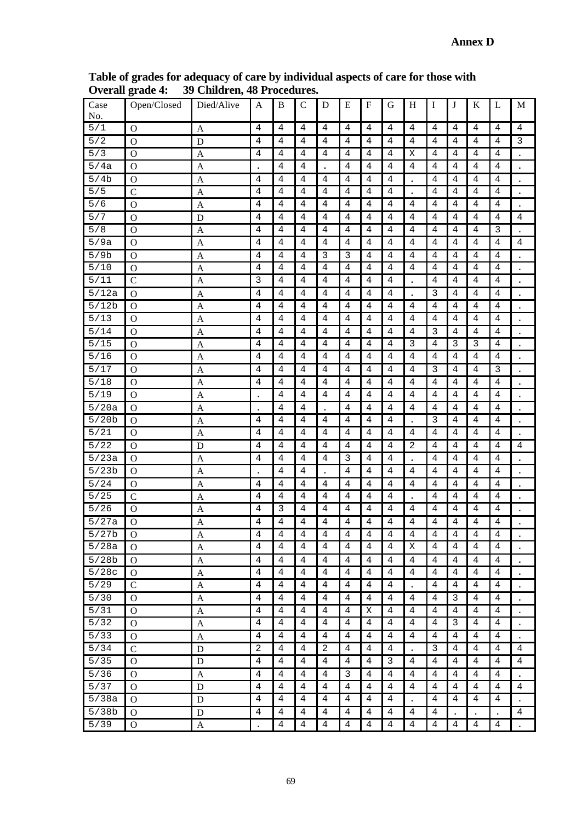|                     | $\sigma$ of the space $\tau$ . | 07 CHIRLELI, TO L'EUCCU |                      |                | սւ ա           |                     |                                  |                |                |                      |                     |                |                |                |                         |
|---------------------|--------------------------------|-------------------------|----------------------|----------------|----------------|---------------------|----------------------------------|----------------|----------------|----------------------|---------------------|----------------|----------------|----------------|-------------------------|
| Case<br>No.         | Open/Closed                    | Died/Alive              | A                    | B              | $\mathsf{C}$   | D                   | E                                | F              | G              | H                    | I                   | J              | K              | L              | $\mathbf M$             |
| 5/1                 | $\Omega$                       | A                       | 4                    | 4              | 4              | 4                   | 4                                | 4              | 4              | 4                    | 4                   | 4              | 4              | 4              | $\overline{4}$          |
| $\overline{5/2}$    | $\mathbf O$                    | D                       | $\overline{4}$       | 4              | 4              | 4                   | 4                                | 4              | 4              | 4                    | 4                   | 4              | 4              | 4              | $\overline{\mathbf{3}}$ |
| $\overline{5/3}$    | $\mathbf{O}$                   | $\mathbf{A}$            | $\overline{4}$       | 4              | 4              | 4                   | 4                                | 4              | 4              | X                    | $\overline{4}$      | 4              | 4              | 4              | $\ddot{\phantom{0}}$    |
| 5/4a                | $\mathbf O$                    | $\mathbf{A}$            | $\ddot{\phantom{0}}$ | 4              | $\overline{4}$ |                     | $\overline{4}$                   | 4              | 4              | $\overline{4}$       | $\overline{4}$      | 4              | 4              | $\overline{4}$ |                         |
| 5/4b                | $\mathbf O$                    | $\mathbf{A}$            | 4                    | 4              | $\sqrt{4}$     | $\overline{4}$      | $\overline{4}$                   | 4              | 4              | $\cdot$              | 4                   | 4              | 4              | $\overline{4}$ | $\bullet$               |
| $\overline{5/5}$    | $\mathcal{C}$                  | $\mathbf{A}$            | $\overline{4}$       | 4              | 4              | 4                   | 4                                | 4              | 4              |                      | 4                   | 4              | 4              | 4              | $\ddot{\phantom{0}}$    |
| 5/6                 | $\mathbf O$                    | $\mathbf{A}$            | $\overline{4}$       | 4              | 4              | 4                   | 4                                | 4              | 4              | 4                    | $\overline{4}$      | 4              | 4              | 4              | $\bullet$               |
| 5/7                 | $\Omega$                       | D                       | $\overline{4}$       | $\overline{4}$ | $\overline{4}$ | 4                   | $\overline{4}$                   | 4              | 4              | 4                    | 4                   | 4              | 4              | 4              | $\ensuremath{4}$        |
| 5/8                 | $\Omega$                       | $\mathbf{A}$            | 4                    | 4              | $\sqrt{4}$     | $\overline{4}$      | 4                                | 4              | 4              | 4                    | $\overline{4}$      | 4              | 4              | 3              | $\bullet$               |
| 5/9a                | $\mathbf O$                    | A                       | $\overline{4}$       | 4              | 4              | 4                   | 4                                | 4              | 4              | 4                    | $\overline{4}$      | 4              | 4              | 4              | 4                       |
| 5/9b                | $\mathbf O$                    | A                       | $\overline{4}$       | 4              | $\sqrt{4}$     | $\mathbf{3}$        | 3                                | 4              | 4              | 4                    | 4                   | 4              | 4              | 4              | $\ddot{\phantom{0}}$    |
| 5/10                | $\mathcal{O}$                  | $\boldsymbol{A}$        | 4                    | 4              | $\sqrt{4}$     | $\overline{4}$      | $\overline{4}$                   | 4              | 4              | 4                    | 4                   | 4              | 4              | $\overline{4}$ |                         |
| 5/11                | $\mathsf{C}$                   | $\mathbf{A}$            | 3                    | 4              | 4              | 4                   | 4                                | 4              | 4              | $\bullet$            | 4                   | 4              | 4              | 4              | $\bullet$               |
| $\overline{5/12a}$  | $\mathbf O$                    | $\mathsf{A}$            | 4                    | 4              | $\overline{4}$ | $\overline{4}$      | 4                                | 4              | 4              | $\ddot{\phantom{0}}$ | 3                   | 4              | 4              | 4              | $\ddot{\phantom{0}}$    |
| 5/12b               | $\mathbf{O}$                   | $\mathbf{A}$            | $\sqrt{4}$           | 4              | $\sqrt{4}$     | $\sqrt{4}$          | $\overline{4}$                   | 4              | 4              | 4                    | $\,4$               | 4              | 4              | $\sqrt{4}$     |                         |
| 5/13                | $\mathbf O$                    | $\mathbf{A}$            | $\overline{4}$       | 4              | $\sqrt{4}$     | $\sqrt{4}$          | $\overline{4}$                   | 4              | 4              | 4                    | $\overline{4}$      | 4              | 4              | 4              |                         |
| 5/14                | $\overline{O}$                 | A                       | 4                    | 4              | $\sqrt{4}$     | $\sqrt{4}$          | $\overline{4}$                   | 4              | 4              | 4                    | 3                   | 4              | 4              | 4              |                         |
| 5/15                | $\mathbf O$                    | $\mathbf{A}$            | 4                    | 4              | $\overline{4}$ | $\sqrt{4}$          | $\overline{4}$                   | 4              | 4              | 3                    | $\overline{4}$      | 3              | 3              | $\overline{4}$ |                         |
| 5/16                | $\mathbf O$                    | $\mathbf{A}$            | $\overline{4}$       | 4              | 4              | 4                   | 4                                | 4              | 4              | 4                    | $\overline{4}$      | 4              | 4              | 4              | $\bullet$               |
| 5/17                | $\mathbf O$                    | A                       | $\overline{4}$       | $\overline{4}$ | $\sqrt{4}$     | $\sqrt{4}$          | $\overline{4}$                   | 4              | 4              | 4                    | 3                   | 4              | $\overline{4}$ | $\overline{3}$ | $\bullet$               |
| 5/18                | $\Omega$                       | $\mathbf{A}$            | 4                    | 4              | $\sqrt{4}$     | $\sqrt{4}$          | $\overline{4}$                   | 4              | 4              | 4                    | $\overline{4}$      | 4              | 4              | 4              | $\bullet$               |
| 5/19                | $\mathbf O$                    | A                       |                      | 4              | 4              | $\sqrt{4}$          | 4                                | 4              | 4              | 4                    | $\overline{4}$      | 4              | 4              | 4              | $\bullet$               |
| 5/20a               | $\mathbf O$                    | A                       |                      | 4              | 4              |                     | $\overline{4}$                   | 4              | 4              | 4                    | 4                   | 4              | 4              | 4              | $\ddot{\phantom{0}}$    |
| 5/20b               | $\mathcal{O}$                  | $\boldsymbol{A}$        | $\overline{4}$       | 4              | $\sqrt{4}$     | $\overline{4}$      | $\overline{4}$                   | 4              | 4              |                      | 3                   | 4              | 4              | $\overline{4}$ | $\bullet$               |
| 5/21                | $\mathbf O$                    | $\mathbf{A}$            | $\overline{4}$       | $\overline{4}$ | 4              | 4                   | 4                                | 4              | 4              | 4                    | $\overline{4}$      | 4              | 4              | 4              | $\bullet$               |
| $\overline{5/22}$   | $\mathbf O$                    | D                       | $\overline{4}$       | 4              | $\overline{4}$ | $\overline{4}$      | 4                                | 4              | 4              | 2                    | 4                   | 4              | 4              | 4              | 4                       |
| $\overline{5/2}$ 3a | $\mathbf{O}$                   | $\mathbf{A}$            | $\overline{4}$       | $\overline{4}$ | $\overline{4}$ | $\overline{4}$      | 3                                | 4              | 4              |                      | $\,4$               | 4              | 4              | $\sqrt{4}$     |                         |
| 5/23b               | $\mathbf{O}$                   | $\mathbf{A}$            |                      | 4              | $\,4$          |                     | $\overline{4}$                   | 4              | 4              | 4                    | $\overline{4}$      | 4              | 4              | 4              | $\ddot{\phantom{0}}$    |
| 5/24                | $\mathbf O$                    | A                       | $\overline{4}$       | 4              | $\sqrt{4}$     | $\sqrt{4}$          | $\overline{4}$                   | 4              | 4              | 4                    | 4                   | 4              | 4              | 4              | $\ddot{\phantom{0}}$    |
| 5/25                | $\mathcal{C}$                  | $\mathbf{A}$            | 4                    | 4              | $\overline{4}$ | $\sqrt{4}$          | $\overline{4}$                   | 4              | 4              |                      | 4                   | 4              | 4              | $\overline{4}$ |                         |
| 5/26                | $\mathbf{O}$                   | $\mathbf{A}$            | 4                    | 3              | 4              | 4                   | $\overline{4}$                   | 4              | 4              | 4                    | $\overline{4}$      | 4              | 4              | 4              |                         |
| 5/27a               | $\overline{O}$                 | A                       | 4                    | 4              | 4              | 4                   | 4                                | 4              | 4              | 4                    | 4                   | 4              | 4              | 4              |                         |
| 5/27b               | O                              | A                       | 4                    | 4              | 4              | 4                   | 4                                | 4              | 4              | 4                    | 4                   | 4              | 4              | 4              |                         |
| 5/28a               | O                              | A                       | 4                    | 4              | 4              | 4                   | 4                                | 4              | 4              | Χ                    | 4                   | 4              | 4              | 4              |                         |
| 5/28b               | $\Omega$                       | A                       | 4                    | 4              | 4              | 4                   | 4                                | 4              | 4              | 4                    | 4                   | 4              | 4              | 4              |                         |
| 5/28c               | $\Omega$                       | $\mathbf{A}$            | 4                    | 4              | 4              | 4                   | 4                                | 4              | 4              | 4                    | 4                   | 4              | 4              | 4              |                         |
| 5/29                | $\mathbf C$                    | A                       | $\overline{4}$       | 4              | 4              | 4                   | $\overline{4}$                   | 4              | 4              |                      | 4                   | 4              | 4              | 4              | $\bullet$               |
| 5/30                | $\mathbf{O}$                   | A                       | $\overline{4}$       | $\overline{4}$ | 4              | 4                   | 4                                | 4              | 4              | 4                    | 4                   | 3              | 4              | 4              | $\ddot{\phantom{0}}$    |
| 5/31                | $\Omega$                       | A                       | 4<br>$\overline{4}$  | 4<br>4         | 4<br>4         | 4<br>4              | $\overline{4}$<br>$\overline{4}$ | Χ              | 4<br>4         | 4<br>$\overline{4}$  | 4<br>$\overline{4}$ | 4              | 4              | 4<br>4         | $\ddot{\phantom{0}}$    |
| 5/32                | $\Omega$                       | A                       |                      |                |                |                     |                                  | 4              |                |                      |                     | 3              | 4              |                |                         |
| 5/33<br>5/34        | $\mathbf{O}$                   | A                       | 4                    | 4              | 4              | 4                   | 4                                | 4              | 4              | $\overline{4}$       | 4                   | 4              | 4              | 4              |                         |
| 5/35                | $\mathcal{C}$                  | D                       | 2<br>$\overline{4}$  | 4<br>4         | 4<br>4         | $\overline{2}$<br>4 | 4<br>4                           | 4<br>4         | 4<br>3         | 4                    | 3<br>$\overline{4}$ | 4<br>4         | 4<br>4         | 4<br>4         | 4<br>4                  |
| 5/36                | $\mathbf O$                    | D                       | $\overline{4}$       | 4              | 4              | 4                   | 3                                |                | $\overline{4}$ |                      | $\overline{4}$      |                |                | 4              |                         |
| 5/37                | $\mathbf{O}$                   | A<br>D                  | $\overline{4}$       | 4              | 4              | 4                   | $\overline{4}$                   | 4<br>4         | 4              | 4<br>$\overline{4}$  | $\overline{4}$      | 4<br>4         | 4<br>4         | 4              | 4                       |
| 5/38a               | $\Omega$<br>O                  | D                       | $\overline{4}$       | 4              | 4              | 4                   | $\overline{4}$                   | 4              | 4              |                      | $\overline{4}$      | 4              | 4              | 4              |                         |
| 5/38b               | $\Omega$                       | D                       | 4                    | 4              | 4              | 4                   | 4                                | 4              | 4              | $\overline{4}$       | 4                   |                |                |                | 4                       |
| 5/39                | $\Omega$                       |                         |                      | $\overline{4}$ | $\overline{4}$ | $\overline{4}$      | $\overline{4}$                   | $\overline{4}$ | 4              | $\overline{4}$       | 4                   | $\overline{4}$ | 4              | 4              |                         |
|                     |                                | A                       |                      |                |                |                     |                                  |                |                |                      |                     |                |                |                |                         |

**Table of grades for adequacy of care by individual aspects of care for those with Overall grade 4: 39 Children, 48 Procedures.**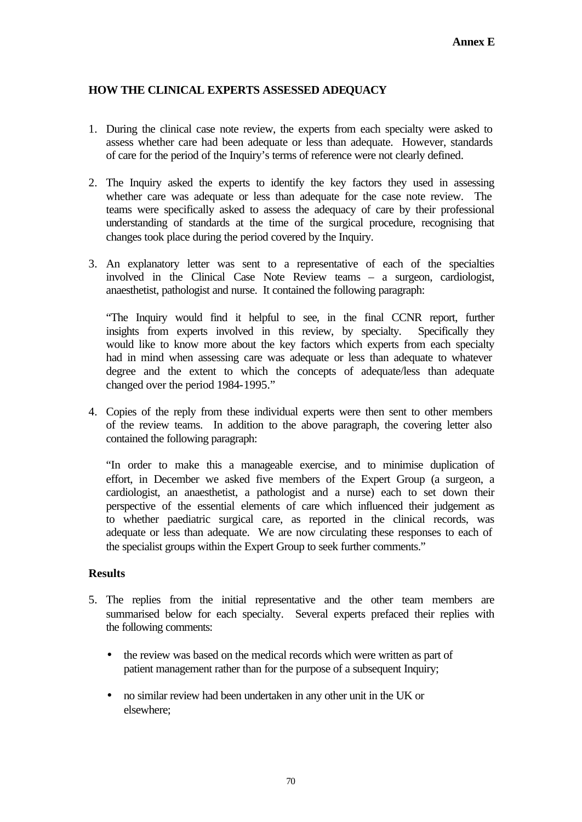# **HOW THE CLINICAL EXPERTS ASSESSED ADEQUACY**

- 1. During the clinical case note review, the experts from each specialty were asked to assess whether care had been adequate or less than adequate. However, standards of care for the period of the Inquiry's terms of reference were not clearly defined.
- 2. The Inquiry asked the experts to identify the key factors they used in assessing whether care was adequate or less than adequate for the case note review. The teams were specifically asked to assess the adequacy of care by their professional understanding of standards at the time of the surgical procedure, recognising that changes took place during the period covered by the Inquiry.
- 3. An explanatory letter was sent to a representative of each of the specialties involved in the Clinical Case Note Review teams – a surgeon, cardiologist, anaesthetist, pathologist and nurse. It contained the following paragraph:

"The Inquiry would find it helpful to see, in the final CCNR report, further insights from experts involved in this review, by specialty. Specifically they would like to know more about the key factors which experts from each specialty had in mind when assessing care was adequate or less than adequate to whatever degree and the extent to which the concepts of adequate/less than adequate changed over the period 1984-1995."

4. Copies of the reply from these individual experts were then sent to other members of the review teams. In addition to the above paragraph, the covering letter also contained the following paragraph:

"In order to make this a manageable exercise, and to minimise duplication of effort, in December we asked five members of the Expert Group (a surgeon, a cardiologist, an anaesthetist, a pathologist and a nurse) each to set down their perspective of the essential elements of care which influenced their judgement as to whether paediatric surgical care, as reported in the clinical records, was adequate or less than adequate. We are now circulating these responses to each of the specialist groups within the Expert Group to seek further comments."

# **Results**

- 5. The replies from the initial representative and the other team members are summarised below for each specialty. Several experts prefaced their replies with the following comments:
	- the review was based on the medical records which were written as part of patient management rather than for the purpose of a subsequent Inquiry;
	- no similar review had been undertaken in any other unit in the UK or elsewhere;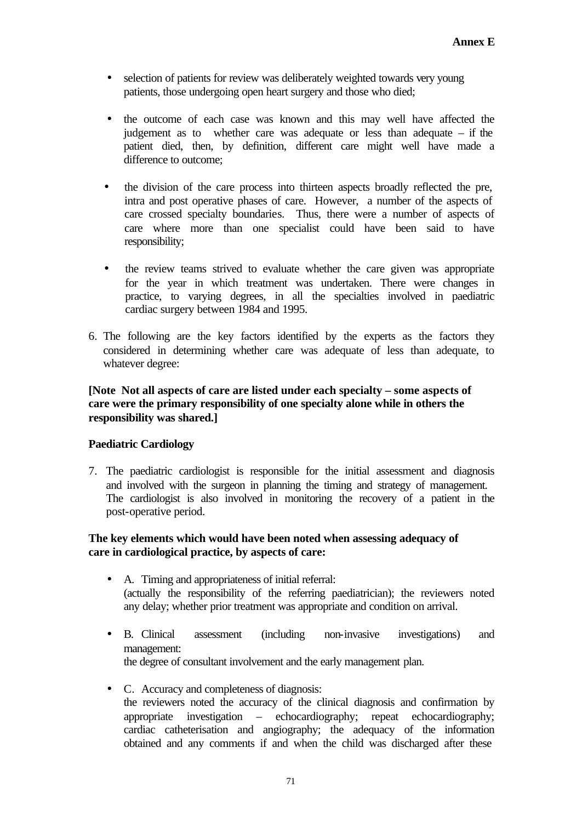- selection of patients for review was deliberately weighted towards very young patients, those undergoing open heart surgery and those who died;
- the outcome of each case was known and this may well have affected the judgement as to whether care was adequate or less than adequate – if the patient died, then, by definition, different care might well have made a difference to outcome;
- the division of the care process into thirteen aspects broadly reflected the pre, intra and post operative phases of care. However, a number of the aspects of care crossed specialty boundaries. Thus, there were a number of aspects of care where more than one specialist could have been said to have responsibility;
- the review teams strived to evaluate whether the care given was appropriate for the year in which treatment was undertaken. There were changes in practice, to varying degrees, in all the specialties involved in paediatric cardiac surgery between 1984 and 1995.
- 6. The following are the key factors identified by the experts as the factors they considered in determining whether care was adequate of less than adequate, to whatever degree:

# **[Note Not all aspects of care are listed under each specialty – some aspects of care were the primary responsibility of one specialty alone while in others the responsibility was shared.]**

# **Paediatric Cardiology**

7. The paediatric cardiologist is responsible for the initial assessment and diagnosis and involved with the surgeon in planning the timing and strategy of management. The cardiologist is also involved in monitoring the recovery of a patient in the post-operative period.

# **The key elements which would have been noted when assessing adequacy of care in cardiological practice, by aspects of care:**

- A. Timing and appropriateness of initial referral: (actually the responsibility of the referring paediatrician); the reviewers noted any delay; whether prior treatment was appropriate and condition on arrival.
- B. Clinical assessment (including non-invasive investigations) and management: the degree of consultant involvement and the early management plan.
- C. Accuracy and completeness of diagnosis: the reviewers noted the accuracy of the clinical diagnosis and confirmation by appropriate investigation – echocardiography; repeat echocardiography; cardiac catheterisation and angiography; the adequacy of the information obtained and any comments if and when the child was discharged after these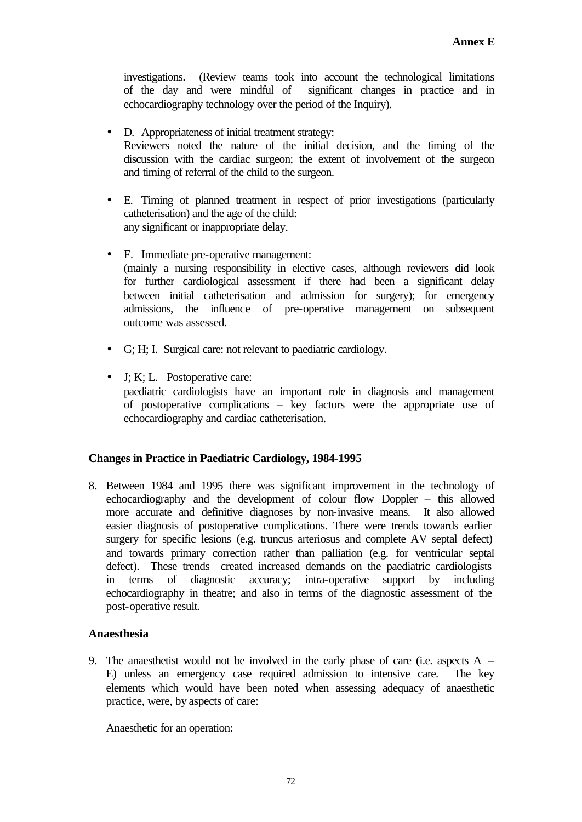investigations. (Review teams took into account the technological limitations of the day and were mindful of significant changes in practice and in echocardiography technology over the period of the Inquiry).

- D. Appropriateness of initial treatment strategy: Reviewers noted the nature of the initial decision, and the timing of the discussion with the cardiac surgeon; the extent of involvement of the surgeon and timing of referral of the child to the surgeon.
- E. Timing of planned treatment in respect of prior investigations (particularly catheterisation) and the age of the child: any significant or inappropriate delay.
- F. Immediate pre-operative management: (mainly a nursing responsibility in elective cases, although reviewers did look for further cardiological assessment if there had been a significant delay between initial catheterisation and admission for surgery); for emergency admissions, the influence of pre-operative management on subsequent outcome was assessed.
- G; H; I. Surgical care: not relevant to paediatric cardiology.
- J; K; L. Postoperative care: paediatric cardiologists have an important role in diagnosis and management of postoperative complications – key factors were the appropriate use of echocardiography and cardiac catheterisation.

# **Changes in Practice in Paediatric Cardiology, 1984-1995**

8. Between 1984 and 1995 there was significant improvement in the technology of echocardiography and the development of colour flow Doppler – this allowed more accurate and definitive diagnoses by non-invasive means. It also allowed easier diagnosis of postoperative complications. There were trends towards earlier surgery for specific lesions (e.g. truncus arteriosus and complete AV septal defect) and towards primary correction rather than palliation (e.g. for ventricular septal defect). These trends created increased demands on the paediatric cardiologists in terms of diagnostic accuracy; intra-operative support by including echocardiography in theatre; and also in terms of the diagnostic assessment of the post-operative result.

# **Anaesthesia**

9. The anaesthetist would not be involved in the early phase of care (i.e. aspects A – E) unless an emergency case required admission to intensive care. The key elements which would have been noted when assessing adequacy of anaesthetic practice, were, by aspects of care:

Anaesthetic for an operation: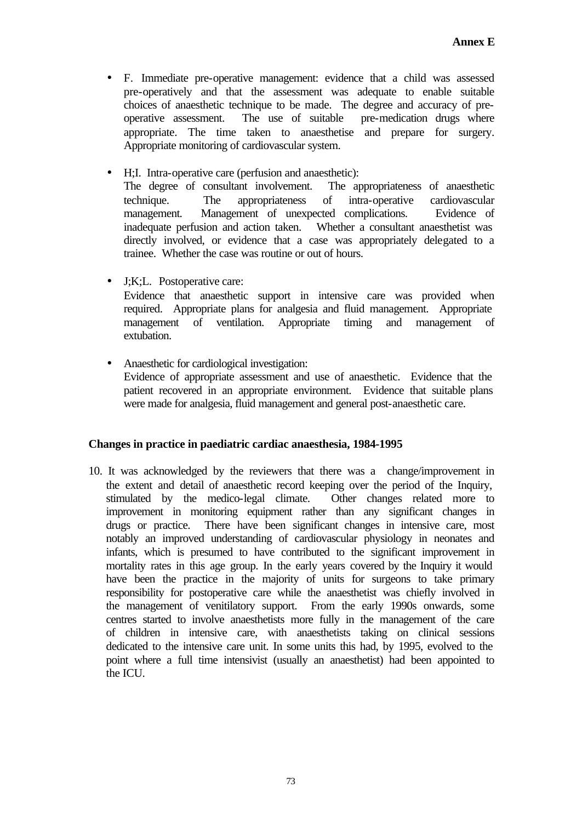- F. Immediate pre-operative management: evidence that a child was assessed pre-operatively and that the assessment was adequate to enable suitable choices of anaesthetic technique to be made. The degree and accuracy of preoperative assessment. The use of suitable pre-medication drugs where appropriate. The time taken to anaesthetise and prepare for surgery. Appropriate monitoring of cardiovascular system.
- H;I. Intra-operative care (perfusion and anaesthetic): The degree of consultant involvement. The appropriateness of anaesthetic technique. The appropriateness of intra-operative cardiovascular management. Management of unexpected complications. Evidence of inadequate perfusion and action taken. Whether a consultant anaesthetist was directly involved, or evidence that a case was appropriately delegated to a trainee. Whether the case was routine or out of hours.
- J;K;L. Postoperative care: Evidence that anaesthetic support in intensive care was provided when required. Appropriate plans for analgesia and fluid management. Appropriate management of ventilation. Appropriate timing and management of extubation.
- Anaesthetic for cardiological investigation: Evidence of appropriate assessment and use of anaesthetic. Evidence that the patient recovered in an appropriate environment. Evidence that suitable plans were made for analgesia, fluid management and general post-anaesthetic care.

# **Changes in practice in paediatric cardiac anaesthesia, 1984-1995**

10. It was acknowledged by the reviewers that there was a change/improvement in the extent and detail of anaesthetic record keeping over the period of the Inquiry, stimulated by the medico-legal climate. Other changes related more to improvement in monitoring equipment rather than any significant changes in drugs or practice. There have been significant changes in intensive care, most notably an improved understanding of cardiovascular physiology in neonates and infants, which is presumed to have contributed to the significant improvement in mortality rates in this age group. In the early years covered by the Inquiry it would have been the practice in the majority of units for surgeons to take primary responsibility for postoperative care while the anaesthetist was chiefly involved in the management of venitilatory support. From the early 1990s onwards, some centres started to involve anaesthetists more fully in the management of the care of children in intensive care, with anaesthetists taking on clinical sessions dedicated to the intensive care unit. In some units this had, by 1995, evolved to the point where a full time intensivist (usually an anaesthetist) had been appointed to the ICU.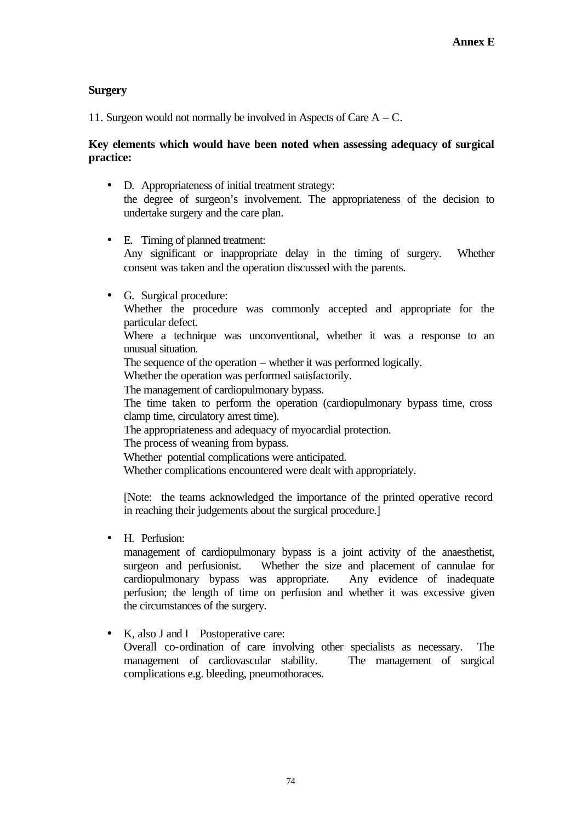# **Surgery**

11. Surgeon would not normally be involved in Aspects of Care A – C.

# **Key elements which would have been noted when assessing adequacy of surgical practice:**

- D. Appropriateness of initial treatment strategy: the degree of surgeon's involvement. The appropriateness of the decision to undertake surgery and the care plan.
- E. Timing of planned treatment: Any significant or inappropriate delay in the timing of surgery. Whether consent was taken and the operation discussed with the parents.
- G. Surgical procedure: Whether the procedure was commonly accepted and appropriate for the particular defect. Where a technique was unconventional, whether it was a response to an unusual situation. The sequence of the operation – whether it was performed logically.

Whether the operation was performed satisfactorily.

The management of cardiopulmonary bypass.

The time taken to perform the operation (cardiopulmonary bypass time, cross clamp time, circulatory arrest time).

The appropriateness and adequacy of myocardial protection.

The process of weaning from bypass.

Whether potential complications were anticipated.

Whether complications encountered were dealt with appropriately.

[Note: the teams acknowledged the importance of the printed operative record in reaching their judgements about the surgical procedure.]

• H. Perfusion:

management of cardiopulmonary bypass is a joint activity of the anaesthetist, surgeon and perfusionist. Whether the size and placement of cannulae for cardiopulmonary bypass was appropriate. Any evidence of inadequate perfusion; the length of time on perfusion and whether it was excessive given the circumstances of the surgery.

• K, also J and I Postoperative care: Overall co-ordination of care involving other specialists as necessary. The management of cardiovascular stability. The management of surgical complications e.g. bleeding, pneumothoraces.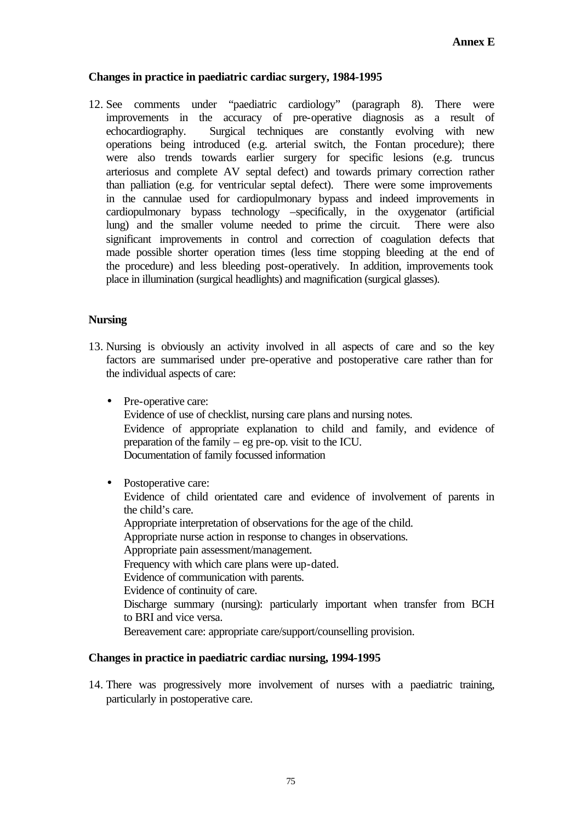### **Changes in practice in paediatric cardiac surgery, 1984-1995**

12. See comments under "paediatric cardiology" (paragraph 8). There were improvements in the accuracy of pre-operative diagnosis as a result of echocardiography. Surgical techniques are constantly evolving with new operations being introduced (e.g. arterial switch, the Fontan procedure); there were also trends towards earlier surgery for specific lesions (e.g. truncus arteriosus and complete AV septal defect) and towards primary correction rather than palliation (e.g. for ventricular septal defect). There were some improvements in the cannulae used for cardiopulmonary bypass and indeed improvements in cardiopulmonary bypass technology –specifically, in the oxygenator (artificial lung) and the smaller volume needed to prime the circuit. There were also significant improvements in control and correction of coagulation defects that made possible shorter operation times (less time stopping bleeding at the end of the procedure) and less bleeding post-operatively. In addition, improvements took place in illumination (surgical headlights) and magnification (surgical glasses).

#### **Nursing**

- 13. Nursing is obviously an activity involved in all aspects of care and so the key factors are summarised under pre-operative and postoperative care rather than for the individual aspects of care:
	- Pre-operative care: Evidence of use of checklist, nursing care plans and nursing notes. Evidence of appropriate explanation to child and family, and evidence of preparation of the family – eg pre-op. visit to the ICU. Documentation of family focussed information
	- Postoperative care:

Evidence of child orientated care and evidence of involvement of parents in the child's care.

Appropriate interpretation of observations for the age of the child.

Appropriate nurse action in response to changes in observations.

- Appropriate pain assessment/management.
- Frequency with which care plans were up-dated.
- Evidence of communication with parents.
- Evidence of continuity of care.

Discharge summary (nursing): particularly important when transfer from BCH to BRI and vice versa.

Bereavement care: appropriate care/support/counselling provision.

# **Changes in practice in paediatric cardiac nursing, 1994-1995**

14. There was progressively more involvement of nurses with a paediatric training, particularly in postoperative care.